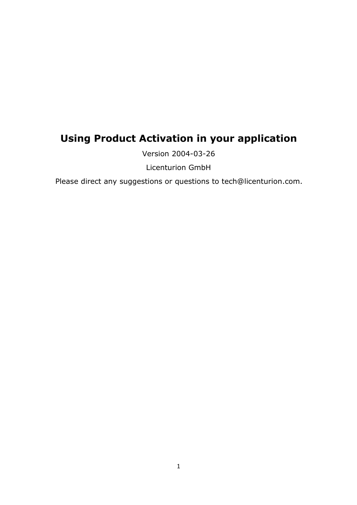# **Using Product Activation in your application**

Version 2004-03-26

Licenturion GmbH

Please direct any suggestions or questions to tech@licenturion.com.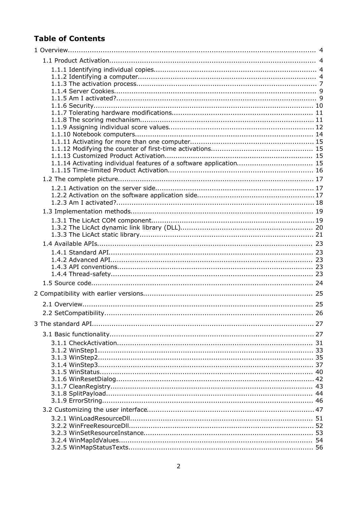# **Table of Contents**

| 1.1.14 Activating individual features of a software application 15 |  |
|--------------------------------------------------------------------|--|
|                                                                    |  |
|                                                                    |  |
|                                                                    |  |
|                                                                    |  |
|                                                                    |  |
|                                                                    |  |
|                                                                    |  |
|                                                                    |  |
|                                                                    |  |
|                                                                    |  |
|                                                                    |  |
|                                                                    |  |
|                                                                    |  |
|                                                                    |  |
|                                                                    |  |
|                                                                    |  |
|                                                                    |  |
|                                                                    |  |
|                                                                    |  |
|                                                                    |  |
|                                                                    |  |
|                                                                    |  |
|                                                                    |  |
|                                                                    |  |
|                                                                    |  |
|                                                                    |  |
|                                                                    |  |
|                                                                    |  |
|                                                                    |  |
|                                                                    |  |
|                                                                    |  |
|                                                                    |  |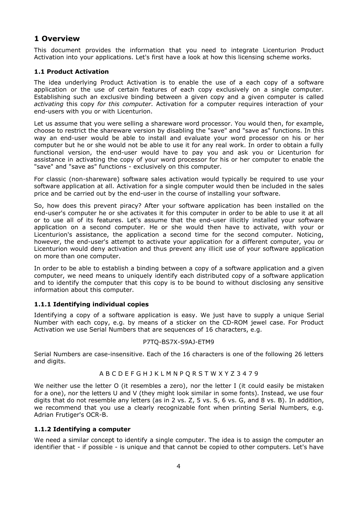# **1 Overview**

This document provides the information that you need to integrate Licenturion Product Activation into your applications. Let's first have a look at how this licensing scheme works.

# **1.1 Product Activation**

The idea underlying Product Activation is to enable the use of a each copy of a software application or the use of certain features of each copy exclusively on a single computer. Establishing such an exclusive binding between a given copy and a given computer is called *activating* this copy *for this computer*. Activation for a computer requires interaction of your end-users with you or with Licenturion.

Let us assume that you were selling a shareware word processor. You would then, for example, choose to restrict the shareware version by disabling the "save" and "save as" functions. In this way an end-user would be able to install and evaluate your word processor on his or her computer but he or she would not be able to use it for any real work. In order to obtain a fully functional version, the end-user would have to pay you and ask you or Licenturion for assistance in activating the copy of your word processor for his or her computer to enable the "save" and "save as" functions - exclusively on this computer.

For classic (non-shareware) software sales activation would typically be required to use your software application at all. Activation for a single computer would then be included in the sales price and be carried out by the end-user in the course of installing your software.

So, how does this prevent piracy? After your software application has been installed on the end-user's computer he or she activates it for this computer in order to be able to use it at all or to use all of its features. Let's assume that the end-user illicitly installed your software application on a second computer. He or she would then have to activate, with your or Licenturion's assistance, the application a second time for the second computer. Noticing, however, the end-user's attempt to activate your application for a different computer, you or Licenturion would deny activation and thus prevent any illicit use of your software application on more than one computer.

In order to be able to establish a binding between a copy of a software application and a given computer, we need means to uniquely identify each distributed copy of a software application and to identify the computer that this copy is to be bound to without disclosing any sensitive information about this computer.

#### **1.1.1 Identifying individual copies**

Identifying a copy of a software application is easy. We just have to supply a unique Serial Number with each copy, e.g. by means of a sticker on the CD-ROM jewel case. For Product Activation we use Serial Numbers that are sequences of 16 characters, e.g.

#### P7TQ-BS7X-S9AJ-ETM9

Serial Numbers are case-insensitive. Each of the 16 characters is one of the following 26 letters and digits.

#### A B C D E F G H J K L M N P Q R S T W X Y Z 3 4 7 9

We neither use the letter O (it resembles a zero), nor the letter I (it could easily be mistaken for a one), nor the letters U and V (they might look similar in some fonts). Instead, we use four digits that do not resemble any letters (as in 2 vs. Z, 5 vs. S, 6 vs. G, and 8 vs. B). In addition, we recommend that you use a clearly recognizable font when printing Serial Numbers, e.g. Adrian Frutiger's OCR-B.

#### **1.1.2 Identifying a computer**

We need a similar concept to identify a single computer. The idea is to assign the computer an identifier that - if possible - is unique and that cannot be copied to other computers. Let's have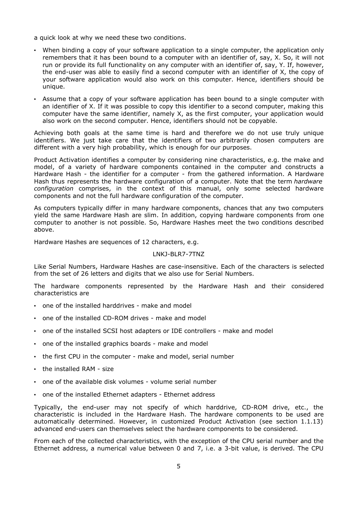a quick look at why we need these two conditions.

- When binding a copy of your software application to a single computer, the application only remembers that it has been bound to a computer with an identifier of, say, X. So, it will not run or provide its full functionality on any computer with an identifier of, say, Y. If, however, the end-user was able to easily find a second computer with an identifier of X, the copy of your software application would also work on this computer. Hence, identifiers should be unique.
- Assume that a copy of your software application has been bound to a single computer with an identifier of X. If it was possible to copy this identifier to a second computer, making this computer have the same identifier, namely X, as the first computer, your application would also work on the second computer. Hence, identifiers should not be copyable.

Achieving both goals at the same time is hard and therefore we do not use truly unique identifiers. We just take care that the identifiers of two arbitrarily chosen computers are different with a very high probability, which is enough for our purposes.

Product Activation identifies a computer by considering nine characteristics, e.g. the make and model, of a variety of hardware components contained in the computer and constructs a Hardware Hash - the identifier for a computer - from the gathered information. A Hardware Hash thus represents the hardware configuration of a computer. Note that the term *hardware configuration* comprises, in the context of this manual, only some selected hardware components and not the full hardware configuration of the computer.

As computers typically differ in many hardware components, chances that any two computers yield the same Hardware Hash are slim. In addition, copying hardware components from one computer to another is not possible. So, Hardware Hashes meet the two conditions described above.

Hardware Hashes are sequences of 12 characters, e.g.

#### LNKJ-BLR7-7TNZ

Like Serial Numbers, Hardware Hashes are case-insensitive. Each of the characters is selected from the set of 26 letters and digits that we also use for Serial Numbers.

The hardware components represented by the Hardware Hash and their considered characteristics are

- one of the installed harddrives make and model
- one of the installed CD-ROM drives make and model
- one of the installed SCSI host adapters or IDE controllers make and model
- one of the installed graphics boards make and model
- the first CPU in the computer make and model, serial number
- the installed RAM size
- one of the available disk volumes volume serial number
- one of the installed Ethernet adapters Ethernet address

Typically, the end-user may not specify of which harddrive, CD-ROM drive, etc., the characteristic is included in the Hardware Hash. The hardware components to be used are automatically determined. However, in customized Product Activation (see section 1.1.13) advanced end-users can themselves select the hardware components to be considered.

From each of the collected characteristics, with the exception of the CPU serial number and the Ethernet address, a numerical value between 0 and 7, i.e. a 3-bit value, is derived. The CPU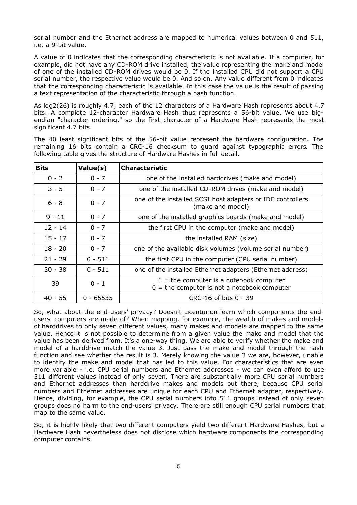serial number and the Ethernet address are mapped to numerical values between 0 and 511, i.e. a 9-bit value.

A value of 0 indicates that the corresponding characteristic is not available. If a computer, for example, did not have any CD-ROM drive installed, the value representing the make and model of one of the installed CD-ROM drives would be 0. If the installed CPU did not support a CPU serial number, the respective value would be 0. And so on. Any value different from 0 indicates that the corresponding characteristic is available. In this case the value is the result of passing a text representation of the characteristic through a hash function.

As log2(26) is roughly 4.7, each of the 12 characters of a Hardware Hash represents about 4.7 bits. A complete 12-character Hardware Hash thus represents a 56-bit value. We use bigendian "character ordering," so the first character of a Hardware Hash represents the most significant 4.7 bits.

The 40 least significant bits of the 56-bit value represent the hardware configuration. The remaining 16 bits contain a CRC-16 checksum to guard against typographic errors. The following table gives the structure of Hardware Hashes in full detail.

| <b>Bits</b> | Value(s)    | <b>Characteristic</b>                                                                      |
|-------------|-------------|--------------------------------------------------------------------------------------------|
| $0 - 2$     | $0 - 7$     | one of the installed harddrives (make and model)                                           |
| $3 - 5$     | $0 - 7$     | one of the installed CD-ROM drives (make and model)                                        |
| $6 - 8$     | $0 - 7$     | one of the installed SCSI host adapters or IDE controllers<br>(make and model)             |
| $9 - 11$    | $0 - 7$     | one of the installed graphics boards (make and model)                                      |
| $12 - 14$   | $0 - 7$     | the first CPU in the computer (make and model)                                             |
| $15 - 17$   | $0 - 7$     | the installed RAM (size)                                                                   |
| $18 - 20$   | $0 - 7$     | one of the available disk volumes (volume serial number)                                   |
| $21 - 29$   | $0 - 511$   | the first CPU in the computer (CPU serial number)                                          |
| $30 - 38$   | $0 - 511$   | one of the installed Ethernet adapters (Ethernet address)                                  |
| 39          | $0 - 1$     | $1 =$ the computer is a notebook computer<br>$0 =$ the computer is not a notebook computer |
| $40 - 55$   | $0 - 65535$ | $CRC-16$ of bits $0 - 39$                                                                  |

So, what about the end-users' privacy? Doesn't Licenturion learn which components the endusers' computers are made of? When mapping, for example, the wealth of makes and models of harddrives to only seven different values, many makes and models are mapped to the same value. Hence it is not possible to determine from a given value the make and model that the value has been derived from. It's a one-way thing. We are able to verify whether the make and model of a harddrive match the value 3. Just pass the make and model through the hash function and see whether the result is 3. Merely knowing the value 3 we are, however, unable to identify the make and model that has led to this value. For characteristics that are even more variable - i.e. CPU serial numbers and Ethernet addresses - we can even afford to use 511 different values instead of only seven. There are substantially more CPU serial numbers and Ethernet addresses than harddrive makes and models out there, because CPU serial numbers and Ethernet addresses are unique for each CPU and Ethernet adapter, respectively. Hence, dividing, for example, the CPU serial numbers into 511 groups instead of only seven groups does no harm to the end-users' privacy. There are still enough CPU serial numbers that map to the same value.

So, it is highly likely that two different computers yield two different Hardware Hashes, but a Hardware Hash nevertheless does not disclose which hardware components the corresponding computer contains.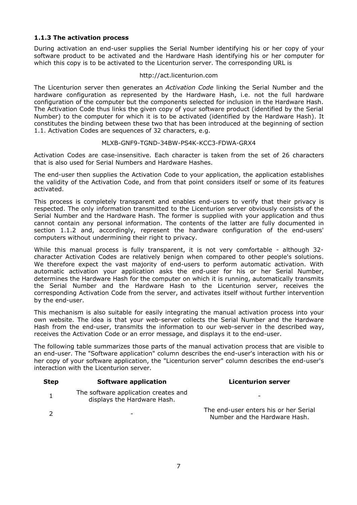# **1.1.3 The activation process**

During activation an end-user supplies the Serial Number identifying his or her copy of your software product to be activated and the Hardware Hash identifying his or her computer for which this copy is to be activated to the Licenturion server. The corresponding URL is

#### http://act.licenturion.com

The Licenturion server then generates an *Activation Code* linking the Serial Number and the hardware configuration as represented by the Hardware Hash, i.e. not the full hardware configuration of the computer but the components selected for inclusion in the Hardware Hash. The Activation Code thus links the given copy of your software product (identified by the Serial Number) to the computer for which it is to be activated (identified by the Hardware Hash). It constitutes the binding between these two that has been introduced at the beginning of section 1.1. Activation Codes are sequences of 32 characters, e.g.

#### MLXB-GNF9-TGND-34BW-PS4K-KCC3-FDWA-GRX4

Activation Codes are case-insensitive. Each character is taken from the set of 26 characters that is also used for Serial Numbers and Hardware Hashes.

The end-user then supplies the Activation Code to your application, the application establishes the validity of the Activation Code, and from that point considers itself or some of its features activated.

This process is completely transparent and enables end-users to verify that their privacy is respected. The only information transmitted to the Licenturion server obviously consists of the Serial Number and the Hardware Hash. The former is supplied with your application and thus cannot contain any personal information. The contents of the latter are fully documented in section 1.1.2 and, accordingly, represent the hardware configuration of the end-users' computers without undermining their right to privacy.

While this manual process is fully transparent, it is not very comfortable - although 32 character Activation Codes are relatively benign when compared to other people's solutions. We therefore expect the vast majority of end-users to perform automatic activation. With automatic activation your application asks the end-user for his or her Serial Number, determines the Hardware Hash for the computer on which it is running, automatically transmits the Serial Number and the Hardware Hash to the Licenturion server, receives the corresponding Activation Code from the server, and activates itself without further intervention by the end-user.

This mechanism is also suitable for easily integrating the manual activation process into your own website. The idea is that your web-server collects the Serial Number and the Hardware Hash from the end-user, transmits the information to our web-server in the described way, receives the Activation Code or an error message, and displays it to the end-user.

The following table summarizes those parts of the manual activation process that are visible to an end-user. The "Software application" column describes the end-user's interaction with his or her copy of your software application, the "Licenturion server" column describes the end-user's interaction with the Licenturion server.

| <b>Step</b> | Software application                                                | <b>Licenturion server</b>                                              |
|-------------|---------------------------------------------------------------------|------------------------------------------------------------------------|
|             | The software application creates and<br>displays the Hardware Hash. | $\overline{\phantom{0}}$                                               |
|             | $\overline{\phantom{0}}$                                            | The end-user enters his or her Serial<br>Number and the Hardware Hash. |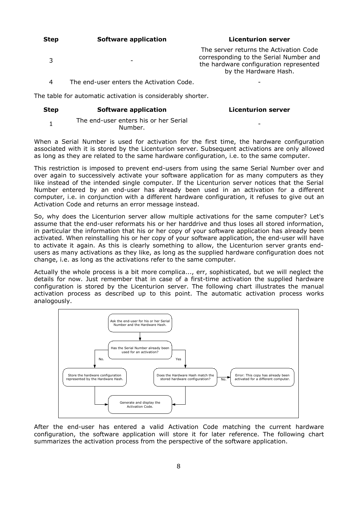| <b>Step</b> | Software application | <b>Licenturion server</b> |
|-------------|----------------------|---------------------------|
|-------------|----------------------|---------------------------|

 $3 \qquad \qquad -$ 

The server returns the Activation Code corresponding to the Serial Number and the hardware configuration represented by the Hardware Hash.

4 The end-user enters the Activation Code. -

The table for automatic activation is considerably shorter.

#### **Step Software application Licenturion server**

-

1 The end-user enters his or her Serial Number.

When a Serial Number is used for activation for the first time, the hardware configuration associated with it is stored by the Licenturion server. Subsequent activations are only allowed as long as they are related to the same hardware configuration, i.e. to the same computer.

This restriction is imposed to prevent end-users from using the same Serial Number over and over again to successively activate your software application for as many computers as they like instead of the intended single computer. If the Licenturion server notices that the Serial Number entered by an end-user has already been used in an activation for a different computer, i.e. in conjunction with a different hardware configuration, it refuses to give out an Activation Code and returns an error message instead.

So, why does the Licenturion server allow multiple activations for the same computer? Let's assume that the end-user reformats his or her harddrive and thus loses all stored information, in particular the information that his or her copy of your software application has already been activated. When reinstalling his or her copy of your software application, the end-user will have to activate it again. As this is clearly something to allow, the Licenturion server grants endusers as many activations as they like, as long as the supplied hardware configuration does not change, i.e. as long as the activations refer to the same computer.

Actually the whole process is a bit more complica..., err, sophisticated, but we will neglect the details for now. Just remember that in case of a first-time activation the supplied hardware configuration is stored by the Licenturion server. The following chart illustrates the manual activation process as described up to this point. The automatic activation process works analogously.



After the end-user has entered a valid Activation Code matching the current hardware configuration, the software application will store it for later reference. The following chart summarizes the activation process from the perspective of the software application.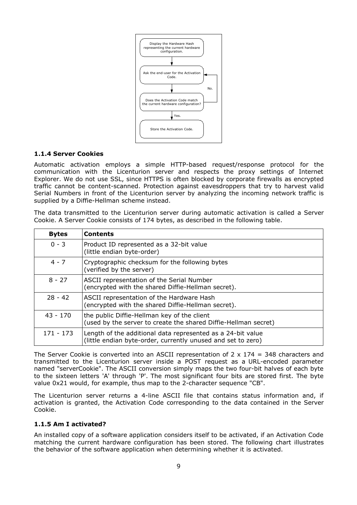

## **1.1.4 Server Cookies**

Automatic activation employs a simple HTTP-based request/response protocol for the communication with the Licenturion server and respects the proxy settings of Internet Explorer. We do not use SSL, since HTTPS is often blocked by corporate firewalls as encrypted traffic cannot be content-scanned. Protection against eavesdroppers that try to harvest valid Serial Numbers in front of the Licenturion server by analyzing the incoming network traffic is supplied by a Diffie-Hellman scheme instead.

| <b>Bytes</b> | <b>Contents</b>                                                                                                             |
|--------------|-----------------------------------------------------------------------------------------------------------------------------|
| $0 - 3$      | Product ID represented as a 32-bit value<br>(little endian byte-order)                                                      |
| $4 - 7$      | Cryptographic checksum for the following bytes<br>(verified by the server)                                                  |
| $8 - 27$     | ASCII representation of the Serial Number<br>(encrypted with the shared Diffie-Hellman secret).                             |
| $28 - 42$    | ASCII representation of the Hardware Hash<br>(encrypted with the shared Diffie-Hellman secret).                             |
| $43 - 170$   | the public Diffie-Hellman key of the client<br>(used by the server to create the shared Diffie-Hellman secret)              |
| $171 - 173$  | Length of the additional data represented as a 24-bit value<br>(little endian byte-order, currently unused and set to zero) |

The data transmitted to the Licenturion server during automatic activation is called a Server Cookie. A Server Cookie consists of 174 bytes, as described in the following table.

The Server Cookie is converted into an ASCII representation of  $2 \times 174 = 348$  characters and transmitted to the Licenturion server inside a POST request as a URL-encoded parameter named "serverCookie". The ASCII conversion simply maps the two four-bit halves of each byte to the sixteen letters 'A' through 'P'. The most significant four bits are stored first. The byte value 0x21 would, for example, thus map to the 2-character sequence "CB".

The Licenturion server returns a 4-line ASCII file that contains status information and, if activation is granted, the Activation Code corresponding to the data contained in the Server Cookie.

# **1.1.5 Am I activated?**

An installed copy of a software application considers itself to be activated, if an Activation Code matching the current hardware configuration has been stored. The following chart illustrates the behavior of the software application when determining whether it is activated.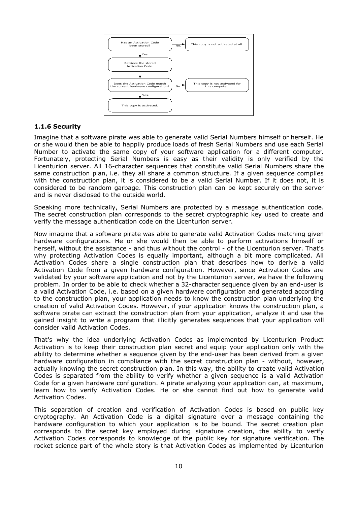

## **1.1.6 Security**

Imagine that a software pirate was able to generate valid Serial Numbers himself or herself. He or she would then be able to happily produce loads of fresh Serial Numbers and use each Serial Number to activate the same copy of your software application for a different computer. Fortunately, protecting Serial Numbers is easy as their validity is only verified by the Licenturion server. All 16-character sequences that constitute valid Serial Numbers share the same construction plan, i.e. they all share a common structure. If a given sequence complies with the construction plan, it is considered to be a valid Serial Number. If it does not, it is considered to be random garbage. This construction plan can be kept securely on the server and is never disclosed to the outside world.

Speaking more technically, Serial Numbers are protected by a message authentication code. The secret construction plan corresponds to the secret cryptographic key used to create and verify the message authentication code on the Licenturion server.

Now imagine that a software pirate was able to generate valid Activation Codes matching given hardware configurations. He or she would then be able to perform activations himself or herself, without the assistance - and thus without the control - of the Licenturion server. That's why protecting Activation Codes is equally important, although a bit more complicated. All Activation Codes share a single construction plan that describes how to derive a valid Activation Code from a given hardware configuration. However, since Activation Codes are validated by your software application and not by the Licenturion server, we have the following problem. In order to be able to check whether a 32-character sequence given by an end-user is a valid Activation Code, i.e. based on a given hardware configuration and generated according to the construction plan, your application needs to know the construction plan underlying the creation of valid Activation Codes. However, if your application knows the construction plan, a software pirate can extract the construction plan from your application, analyze it and use the gained insight to write a program that illicitly generates sequences that your application will consider valid Activation Codes.

That's why the idea underlying Activation Codes as implemented by Licenturion Product Activation is to keep their construction plan secret and equip your application only with the ability to determine whether a sequence given by the end-user has been derived from a given hardware configuration in compliance with the secret construction plan - without, however, actually knowing the secret construction plan. In this way, the ability to create valid Activation Codes is separated from the ability to verify whether a given sequence is a valid Activation Code for a given hardware configuration. A pirate analyzing your application can, at maximum, learn how to verify Activation Codes. He or she cannot find out how to generate valid Activation Codes.

This separation of creation and verification of Activation Codes is based on public key cryptography. An Activation Code is a digital signature over a message containing the hardware configuration to which your application is to be bound. The secret creation plan corresponds to the secret key employed during signature creation, the ability to verify Activation Codes corresponds to knowledge of the public key for signature verification. The rocket science part of the whole story is that Activation Codes as implemented by Licenturion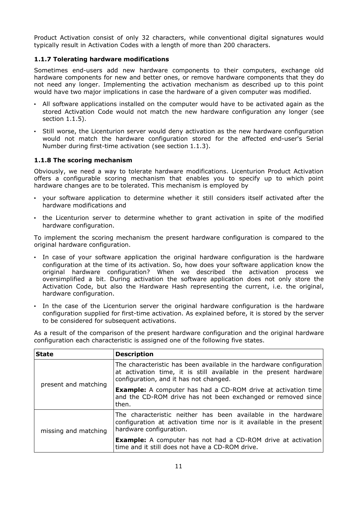Product Activation consist of only 32 characters, while conventional digital signatures would typically result in Activation Codes with a length of more than 200 characters.

# **1.1.7 Tolerating hardware modifications**

Sometimes end-users add new hardware components to their computers, exchange old hardware components for new and better ones, or remove hardware components that they do not need any longer. Implementing the activation mechanism as described up to this point would have two major implications in case the hardware of a given computer was modified.

- All software applications installed on the computer would have to be activated again as the stored Activation Code would not match the new hardware configuration any longer (see section 1.1.5).
- Still worse, the Licenturion server would deny activation as the new hardware configuration would not match the hardware configuration stored for the affected end-user's Serial Number during first-time activation (see section 1.1.3).

# **1.1.8 The scoring mechanism**

Obviously, we need a way to tolerate hardware modifications. Licenturion Product Activation offers a configurable scoring mechanism that enables you to specify up to which point hardware changes are to be tolerated. This mechanism is employed by

- your software application to determine whether it still considers itself activated after the hardware modifications and
- the Licenturion server to determine whether to grant activation in spite of the modified hardware configuration.

To implement the scoring mechanism the present hardware configuration is compared to the original hardware configuration.

- In case of your software application the original hardware configuration is the hardware configuration at the time of its activation. So, how does your software application know the original hardware configuration? When we described the activation process we oversimplified a bit. During activation the software application does not only store the Activation Code, but also the Hardware Hash representing the current, i.e. the original, hardware configuration.
- In the case of the Licenturion server the original hardware configuration is the hardware configuration supplied for first-time activation. As explained before, it is stored by the server to be considered for subsequent activations.

As a result of the comparison of the present hardware configuration and the original hardware configuration each characteristic is assigned one of the following five states.

| <b>State</b>         | <b>Description</b>                                                                                                                                                                 |
|----------------------|------------------------------------------------------------------------------------------------------------------------------------------------------------------------------------|
| present and matching | The characteristic has been available in the hardware configuration<br>at activation time, it is still available in the present hardware<br>configuration, and it has not changed. |
|                      | <b>Example:</b> A computer has had a CD-ROM drive at activation time<br>and the CD-ROM drive has not been exchanged or removed since<br>then.                                      |
| missing and matching | The characteristic neither has been available in the hardware<br>configuration at activation time nor is it available in the present<br>hardware configuration.                    |
|                      | <b>Example:</b> A computer has not had a CD-ROM drive at activation<br>time and it still does not have a CD-ROM drive.                                                             |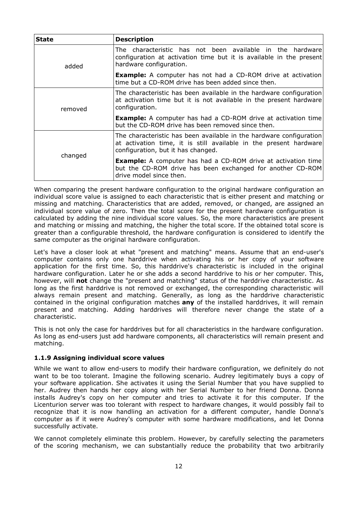| <b>State</b> | <b>Description</b>                                                                                                                                                             |  |  |  |  |
|--------------|--------------------------------------------------------------------------------------------------------------------------------------------------------------------------------|--|--|--|--|
| added        | The characteristic has not been available in the hardware<br>configuration at activation time but it is available in the present<br>hardware configuration.                    |  |  |  |  |
|              | <b>Example:</b> A computer has not had a CD-ROM drive at activation<br>time but a CD-ROM drive has been added since then.                                                      |  |  |  |  |
| removed      | The characteristic has been available in the hardware configuration<br>at activation time but it is not available in the present hardware<br>configuration.                    |  |  |  |  |
|              | <b>Example:</b> A computer has had a CD-ROM drive at activation time<br>but the CD-ROM drive has been removed since then.                                                      |  |  |  |  |
|              | The characteristic has been available in the hardware configuration<br>at activation time, it is still available in the present hardware<br>configuration, but it has changed. |  |  |  |  |
| changed      | <b>Example:</b> A computer has had a CD-ROM drive at activation time<br>but the CD-ROM drive has been exchanged for another CD-ROM<br>drive model since then.                  |  |  |  |  |

When comparing the present hardware configuration to the original hardware configuration an individual score value is assigned to each characteristic that is either present and matching or missing and matching. Characteristics that are added, removed, or changed, are assigned an individual score value of zero. Then the total score for the present hardware configuration is calculated by adding the nine individual score values. So, the more characteristics are present and matching or missing and matching, the higher the total score. If the obtained total score is greater than a configurable threshold, the hardware configuration is considered to identify the same computer as the original hardware configuration.

Let's have a closer look at what "present and matching" means. Assume that an end-user's computer contains only one harddrive when activating his or her copy of your software application for the first time. So, this harddrive's characteristic is included in the original hardware configuration. Later he or she adds a second harddrive to his or her computer. This, however, will **not** change the "present and matching" status of the harddrive characteristic. As long as the first harddrive is not removed or exchanged, the corresponding characteristic will always remain present and matching. Generally, as long as the harddrive characteristic contained in the original configuration matches **any** of the installed harddrives, it will remain present and matching. Adding harddrives will therefore never change the state of a characteristic.

This is not only the case for harddrives but for all characteristics in the hardware configuration. As long as end-users just add hardware components, all characteristics will remain present and matching.

# **1.1.9 Assigning individual score values**

While we want to allow end-users to modify their hardware configuration, we definitely do not want to be too tolerant. Imagine the following scenario. Audrey legitimately buys a copy of your software application. She activates it using the Serial Number that you have supplied to her. Audrey then hands her copy along with her Serial Number to her friend Donna. Donna installs Audrey's copy on her computer and tries to activate it for this computer. If the Licenturion server was too tolerant with respect to hardware changes, it would possibly fail to recognize that it is now handling an activation for a different computer, handle Donna's computer as if it were Audrey's computer with some hardware modifications, and let Donna successfully activate.

We cannot completely eliminate this problem. However, by carefully selecting the parameters of the scoring mechanism, we can substantially reduce the probability that two arbitrarily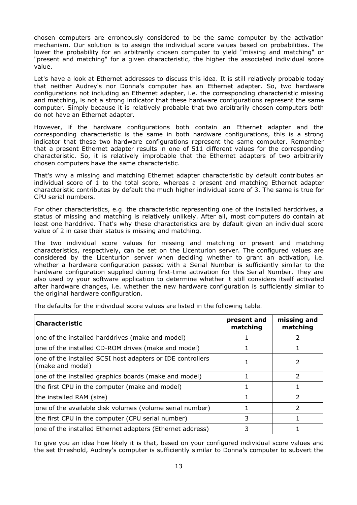chosen computers are erroneously considered to be the same computer by the activation mechanism. Our solution is to assign the individual score values based on probabilities. The lower the probability for an arbitrarily chosen computer to yield "missing and matching" or "present and matching" for a given characteristic, the higher the associated individual score value.

Let's have a look at Ethernet addresses to discuss this idea. It is still relatively probable today that neither Audrey's nor Donna's computer has an Ethernet adapter. So, two hardware configurations not including an Ethernet adapter, i.e. the corresponding characteristic missing and matching, is not a strong indicator that these hardware configurations represent the same computer. Simply because it is relatively probable that two arbitrarily chosen computers both do not have an Ethernet adapter.

However, if the hardware configurations both contain an Ethernet adapter and the corresponding characteristic is the same in both hardware configurations, this is a strong indicator that these two hardware configurations represent the same computer. Remember that a present Ethernet adapter results in one of 511 different values for the corresponding characteristic. So, it is relatively improbable that the Ethernet adapters of two arbitrarily chosen computers have the same characteristic.

That's why a missing and matching Ethernet adapter characteristic by default contributes an individual score of  $1$  to the total score, whereas a present and matching Ethernet adapter characteristic contributes by default the much higher individual score of 3. The same is true for CPU serial numbers.

For other characteristics, e.g. the characteristic representing one of the installed harddrives, a status of missing and matching is relatively unlikely. After all, most computers do contain at least one harddrive. That's why these characteristics are by default given an individual score value of 2 in case their status is missing and matching.

The two individual score values for missing and matching or present and matching characteristics, respectively, can be set on the Licenturion server. The configured values are considered by the Licenturion server when deciding whether to grant an activation, i.e. whether a hardware configuration passed with a Serial Number is sufficiently similar to the hardware configuration supplied during first-time activation for this Serial Number. They are also used by your software application to determine whether it still considers itself activated after hardware changes, i.e. whether the new hardware configuration is sufficiently similar to the original hardware configuration.

| <b>Characteristic</b>                                                          | present and<br>matching | missing and<br>matching |
|--------------------------------------------------------------------------------|-------------------------|-------------------------|
| one of the installed harddrives (make and model)                               |                         |                         |
| one of the installed CD-ROM drives (make and model)                            |                         |                         |
| one of the installed SCSI host adapters or IDE controllers<br>(make and model) |                         |                         |
| one of the installed graphics boards (make and model)                          |                         |                         |
| the first CPU in the computer (make and model)                                 |                         |                         |
| the installed RAM (size)                                                       |                         | 2                       |
| one of the available disk volumes (volume serial number)                       |                         |                         |
| the first CPU in the computer (CPU serial number)                              | 3                       |                         |
| one of the installed Ethernet adapters (Ethernet address)                      |                         |                         |

The defaults for the individual score values are listed in the following table.

To give you an idea how likely it is that, based on your configured individual score values and the set threshold, Audrey's computer is sufficiently similar to Donna's computer to subvert the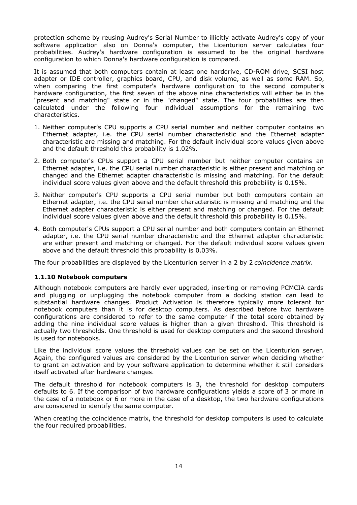protection scheme by reusing Audrey's Serial Number to illicitly activate Audrey's copy of your software application also on Donna's computer, the Licenturion server calculates four probabilities. Audrey's hardware configuration is assumed to be the original hardware configuration to which Donna's hardware configuration is compared.

It is assumed that both computers contain at least one harddrive, CD-ROM drive, SCSI host adapter or IDE controller, graphics board, CPU, and disk volume, as well as some RAM. So, when comparing the first computer's hardware configuration to the second computer's hardware configuration, the first seven of the above nine characteristics will either be in the "present and matching" state or in the "changed" state. The four probabilities are then calculated under the following four individual assumptions for the remaining two characteristics.

- 1. Neither computer's CPU supports a CPU serial number and neither computer contains an Ethernet adapter, i.e. the CPU serial number characteristic and the Ethernet adapter characteristic are missing and matching. For the default individual score values given above and the default threshold this probability is 1.02%.
- 2. Both computer's CPUs support a CPU serial number but neither computer contains an Ethernet adapter, i.e. the CPU serial number characteristic is either present and matching or changed and the Ethernet adapter characteristic is missing and matching. For the default individual score values given above and the default threshold this probability is 0.15%.
- 3. Neither computer's CPU supports a CPU serial number but both computers contain an Ethernet adapter, i.e. the CPU serial number characteristic is missing and matching and the Ethernet adapter characteristic is either present and matching or changed. For the default individual score values given above and the default threshold this probability is 0.15%.
- 4. Both computer's CPUs support a CPU serial number and both computers contain an Ethernet adapter, i.e. the CPU serial number characteristic and the Ethernet adapter characteristic are either present and matching or changed. For the default individual score values given above and the default threshold this probability is 0.03%.

The four probabilities are displayed by the Licenturion server in a 2 by 2 *coincidence matrix*.

# **1.1.10 Notebook computers**

Although notebook computers are hardly ever upgraded, inserting or removing PCMCIA cards and plugging or unplugging the notebook computer from a docking station can lead to substantial hardware changes. Product Activation is therefore typically more tolerant for notebook computers than it is for desktop computers. As described before two hardware configurations are considered to refer to the same computer if the total score obtained by adding the nine individual score values is higher than a given threshold. This threshold is actually two thresholds. One threshold is used for desktop computers and the second threshold is used for notebooks.

Like the individual score values the threshold values can be set on the Licenturion server. Again, the configured values are considered by the Licenturion server when deciding whether to grant an activation and by your software application to determine whether it still considers itself activated after hardware changes.

The default threshold for notebook computers is 3, the threshold for desktop computers defaults to 6. If the comparison of two hardware configurations yields a score of 3 or more in the case of a notebook or 6 or more in the case of a desktop, the two hardware configurations are considered to identify the same computer.

When creating the coincidence matrix, the threshold for desktop computers is used to calculate the four required probabilities.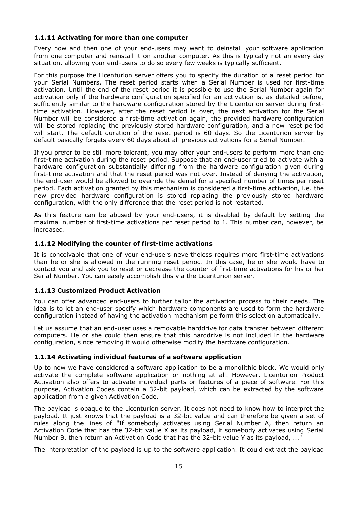# **1.1.11 Activating for more than one computer**

Every now and then one of your end-users may want to deinstall your software application from one computer and reinstall it on another computer. As this is typically not an every day situation, allowing your end-users to do so every few weeks is typically sufficient.

For this purpose the Licenturion server offers you to specify the duration of a reset period for your Serial Numbers. The reset period starts when a Serial Number is used for first-time activation. Until the end of the reset period it is possible to use the Serial Number again for activation only if the hardware configuration specified for an activation is, as detailed before, sufficiently similar to the hardware configuration stored by the Licenturion server during firsttime activation. However, after the reset period is over, the next activation for the Serial Number will be considered a first-time activation again, the provided hardware configuration will be stored replacing the previously stored hardware configuration, and a new reset period will start. The default duration of the reset period is 60 days. So the Licenturion server by default basically forgets every 60 days about all previous activations for a Serial Number.

If you prefer to be still more tolerant, you may offer your end-users to perform more than one first-time activation during the reset period. Suppose that an end-user tried to activate with a hardware configuration substantially differing from the hardware configuration given during first-time activation and that the reset period was not over. Instead of denying the activation, the end-user would be allowed to override the denial for a specified number of times per reset period. Each activation granted by this mechanism is considered a first-time activation, i.e. the new provided hardware configuration is stored replacing the previously stored hardware configuration, with the only difference that the reset period is not restarted.

As this feature can be abused by your end-users, it is disabled by default by setting the maximal number of first-time activations per reset period to 1. This number can, however, be increased.

#### **1.1.12 Modifying the counter of first-time activations**

It is conceivable that one of your end-users nevertheless requires more first-time activations than he or she is allowed in the running reset period. In this case, he or she would have to contact you and ask you to reset or decrease the counter of first-time activations for his or her Serial Number. You can easily accomplish this via the Licenturion server.

# **1.1.13 Customized Product Activation**

You can offer advanced end-users to further tailor the activation process to their needs. The idea is to let an end-user specify which hardware components are used to form the hardware configuration instead of having the activation mechanism perform this selection automatically.

Let us assume that an end-user uses a removable harddrive for data transfer between different computers. He or she could then ensure that this harddrive is not included in the hardware configuration, since removing it would otherwise modify the hardware configuration.

#### **1.1.14 Activating individual features of a software application**

Up to now we have considered a software application to be a monolithic block. We would only activate the complete software application or nothing at all. However, Licenturion Product Activation also offers to activate individual parts or features of a piece of software. For this purpose, Activation Codes contain a 32-bit payload, which can be extracted by the software application from a given Activation Code.

The payload is opaque to the Licenturion server. It does not need to know how to interpret the payload. It just knows that the payload is a 32-bit value and can therefore be given a set of rules along the lines of "If somebody activates using Serial Number A, then return an Activation Code that has the 32-bit value X as its payload, if somebody activates using Serial Number B, then return an Activation Code that has the 32-bit value Y as its payload, ..."

The interpretation of the payload is up to the software application. It could extract the payload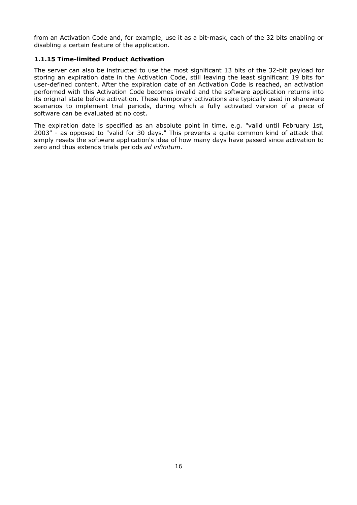from an Activation Code and, for example, use it as a bit-mask, each of the 32 bits enabling or disabling a certain feature of the application.

# **1.1.15 Time-limited Product Activation**

The server can also be instructed to use the most significant 13 bits of the 32-bit payload for storing an expiration date in the Activation Code, still leaving the least significant 19 bits for user-defined content. After the expiration date of an Activation Code is reached, an activation performed with this Activation Code becomes invalid and the software application returns into its original state before activation. These temporary activations are typically used in shareware scenarios to implement trial periods, during which a fully activated version of a piece of software can be evaluated at no cost.

The expiration date is specified as an absolute point in time, e.g. "valid until February 1st, 2003" - as opposed to "valid for 30 days." This prevents a quite common kind of attack that simply resets the software application's idea of how many days have passed since activation to zero and thus extends trials periods *ad infinitum*.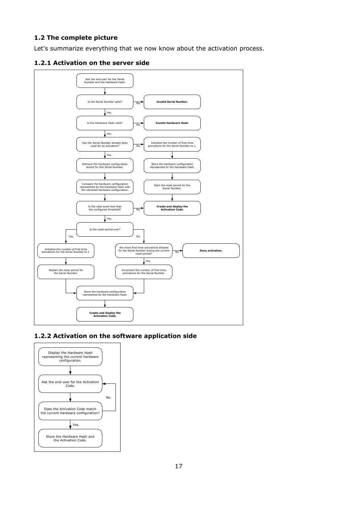# **1.2 The complete picture**

Let's summarize everything that we now know about the activation process.





# **1.2.2 Activation on the software application side**

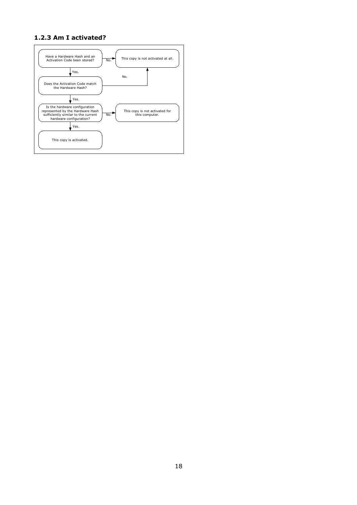# **1.2.3 Am I activated?**

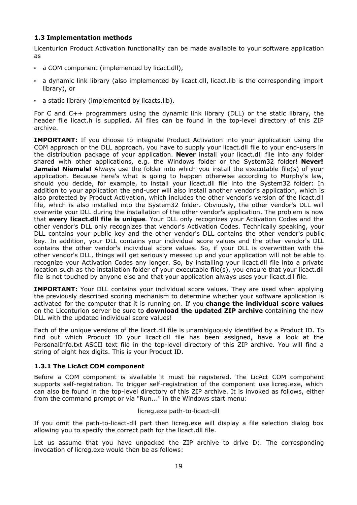# **1.3 Implementation methods**

Licenturion Product Activation functionality can be made available to your software application as

- a COM component (implemented by licact.dll),
- a dynamic link library (also implemented by licact.dll, licact.lib is the corresponding import library), or
- a static library (implemented by licacts.lib).

For C and C++ programmers using the dynamic link library (DLL) or the static library, the header file licact.h is supplied. All files can be found in the top-level directory of this ZIP archive.

**IMPORTANT:** If you choose to integrate Product Activation into your application using the COM approach or the DLL approach, you have to supply your licact.dll file to your end-users in the distribution package of your application. **Never** install your licact.dll file into any folder shared with other applications, e.g. the Windows folder or the System32 folder! **Never! Jamais! Niemals!** Always use the folder into which you install the executable file(s) of your application. Because here's what is going to happen otherwise according to Murphy's law, should you decide, for example, to install your licact.dll file into the System32 folder: In addition to your application the end-user will also install another vendor's application, which is also protected by Product Activation, which includes the other vendor's version of the licact.dll file, which is also installed into the System32 folder. Obviously, the other vendor's DLL will overwrite your DLL during the installation of the other vendor's application. The problem is now that **every licact.dll file is unique**. Your DLL only recognizes your Activation Codes and the other vendor's DLL only recognizes that vendor's Activation Codes. Technically speaking, your DLL contains your public key and the other vendor's DLL contains the other vendor's public key. In addition, your DLL contains your individual score values and the other vendor's DLL contains the other vendor's individual score values. So, if your DLL is overwritten with the other vendor's DLL, things will get seriously messed up and your application will not be able to recognize your Activation Codes any longer. So, by installing your licact.dll file into a private location such as the installation folder of your executable file(s), you ensure that your licact.dll file is not touched by anyone else and that your application always uses your licact.dll file.

**IMPORTANT:** Your DLL contains your individual score values. They are used when applying the previously described scoring mechanism to determine whether your software application is activated for the computer that it is running on. If you **change the individual score values** on the Licenturion server be sure to **download the updated ZIP archive** containing the new DLL with the updated individual score values!

Each of the unique versions of the licact.dll file is unambiguously identified by a Product ID. To find out which Product ID your licact.dll file has been assigned, have a look at the PersonalInfo.txt ASCII text file in the top-level directory of this ZIP archive. You will find a string of eight hex digits. This is your Product ID.

# **1.3.1 The LicAct COM component**

Before a COM component is available it must be registered. The LicAct COM component supports self-registration. To trigger self-registration of the component use licreg.exe, which can also be found in the top-level directory of this ZIP archive. It is invoked as follows, either from the command prompt or via "Run..." in the Windows start menu:

#### licreg.exe path-to-licact-dll

If you omit the path-to-licact-dll part then licreg.exe will display a file selection dialog box allowing you to specify the correct path for the licact.dll file.

Let us assume that you have unpacked the ZIP archive to drive D:. The corresponding invocation of licreg.exe would then be as follows: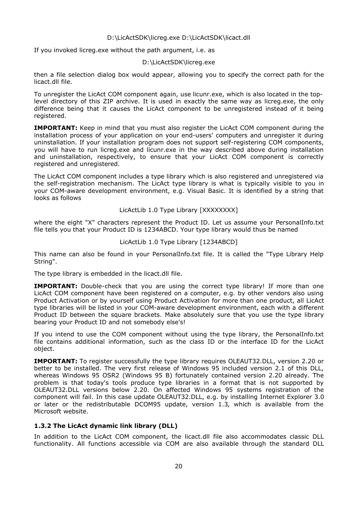#### D:\LicActSDK\licreg.exe D:\LicActSDK\licact.dll

If you invoked licreg.exe without the path argument, i.e. as

#### D:\LicActSDK\licreg.exe

then a file selection dialog box would appear, allowing you to specify the correct path for the licact.dll file.

To unregister the LicAct COM component again, use licunr.exe, which is also located in the toplevel directory of this ZIP archive. It is used in exactly the same way as licreg.exe, the only difference being that it causes the LicAct component to be unregistered instead of it being registered.

**IMPORTANT:** Keep in mind that you must also register the LicAct COM component during the installation process of your application on your end-users' computers and unregister it during uninstallation. If your installation program does not support self-registering COM components, you will have to run licreg.exe and licunr.exe in the way described above during installation and uninstallation, respectively, to ensure that your LicAct COM component is correctly registered and unregistered.

The LicAct COM component includes a type library which is also registered and unregistered via the self-registration mechanism. The LicAct type library is what is typically visible to you in your COM-aware development environment, e.g. Visual Basic. It is identified by a string that looks as follows

#### LicActLib 1.0 Type Library [XXXXXXXX]

where the eight "X" characters represent the Product ID. Let us assume your PersonalInfo.txt file tells you that your Product ID is 1234ABCD. Your type library would thus be named

#### LicActLib 1.0 Type Library [1234ABCD]

This name can also be found in your PersonalInfo.txt file. It is called the "Type Library Help String".

The type library is embedded in the licact.dll file.

**IMPORTANT:** Double-check that you are using the correct type library! If more than one LicAct COM component have been registered on a computer, e.g. by other vendors also using Product Activation or by yourself using Product Activation for more than one product, all LicAct type libraries will be listed in your COM-aware development environment, each with a different Product ID between the square brackets. Make absolutely sure that you use the type library bearing your Product ID and not somebody else's!

If you intend to use the COM component without using the type library, the PersonalInfo.txt file contains additional information, such as the class ID or the interface ID for the LicAct object.

**IMPORTANT:** To register successfully the type library requires OLEAUT32.DLL, version 2.20 or better to be installed. The very first release of Windows 95 included version 2.1 of this DLL, whereas Windows 95 OSR2 (Windows 95 B) fortunately contained version 2.20 already. The problem is that today's tools produce type libraries in a format that is not supported by OLEAUT32.DLL versions below 2.20. On affected Windows 95 systems registration of the component will fail. In this case update OLEAUT32.DLL, e.g. by installing Internet Explorer 3.0 or later or the redistributable DCOM95 update, version 1.3, which is available from the Microsoft website.

#### **1.3.2 The LicAct dynamic link library (DLL)**

In addition to the LicAct COM component, the licact.dll file also accommodates classic DLL functionality. All functions accessible via COM are also available through the standard DLL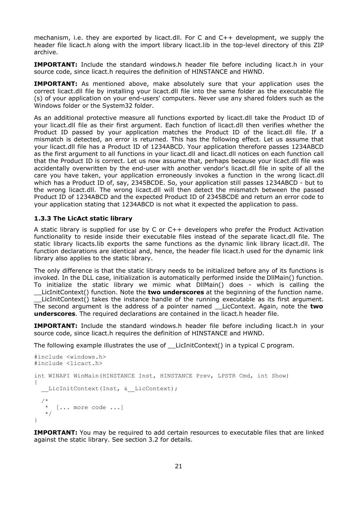mechanism, i.e. they are exported by licact.dll. For C and C++ development, we supply the header file licact.h along with the import library licact.lib in the top-level directory of this ZIP archive.

**IMPORTANT:** Include the standard windows.h header file before including licact.h in your source code, since licact.h requires the definition of HINSTANCE and HWND.

**IMPORTANT:** As mentioned above, make absolutely sure that your application uses the correct licact.dll file by installing your licact.dll file into the same folder as the executable file (s) of your application on your end-users' computers. Never use any shared folders such as the Windows folder or the System32 folder.

As an additional protective measure all functions exported by licact.dll take the Product ID of your licact.dll file as their first argument. Each function of licact.dll then verifies whether the Product ID passed by your application matches the Product ID of the licact.dll file. If a mismatch is detected, an error is returned. This has the following effect. Let us assume that your licact.dll file has a Product ID of 1234ABCD. Your application therefore passes 1234ABCD as the first argument to all functions in your licact.dll and licact.dll notices on each function call that the Product ID is correct. Let us now assume that, perhaps because your licact.dll file was accidentally overwritten by the end-user with another vendor's licact.dll file in spite of all the care you have taken, your application erroneously invokes a function in the wrong licact.dll which has a Product ID of, say, 2345BCDE. So, your application still passes 1234ABCD - but to the wrong licact.dll. The wrong licact.dll will then detect the mismatch between the passed Product ID of 1234ABCD and the expected Product ID of 2345BCDE and return an error code to your application stating that 1234ABCD is not what it expected the application to pass.

## **1.3.3 The LicAct static library**

A static library is supplied for use by C or C++ developers who prefer the Product Activation functionality to reside inside their executable files instead of the separate licact.dll file. The static library licacts.lib exports the same functions as the dynamic link library licact.dll. The function declarations are identical and, hence, the header file licact.h used for the dynamic link library also applies to the static library.

The only difference is that the static library needs to be initialized before any of its functions is invoked. In the DLL case, initialization is automatically performed inside the DllMain() function. To initialize the static library we mimic what DllMain() does - which is calling the

\_\_LicInitContext() function. Note the **two underscores** at the beginning of the function name. LicInitContext() takes the instance handle of the running executable as its first argument. The second argument is the address of a pointer named \_\_LicContext. Again, note the **two underscores**. The required declarations are contained in the licact.h header file.

**IMPORTANT:** Include the standard windows.h header file before including licact.h in your source code, since licact.h requires the definition of HINSTANCE and HWND.

The following example illustrates the use of LicInitContext() in a typical C program.

```
#include <windows.h>
#include <licact.h>
int WINAPI WinMain(HINSTANCE Inst, HINSTANCE Prev, LPSTR Cmd, int Show)
{
   LicInitContext(Inst, & LicContext);
/ *
     [... more code ...] */
}
```
**IMPORTANT:** You may be required to add certain resources to executable files that are linked against the static library. See section 3.2 for details.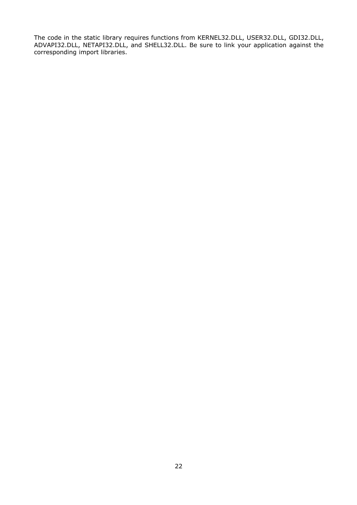The code in the static library requires functions from KERNEL32.DLL, USER32.DLL, GDI32.DLL, ADVAPI32.DLL, NETAPI32.DLL, and SHELL32.DLL. Be sure to link your application against the corresponding import libraries.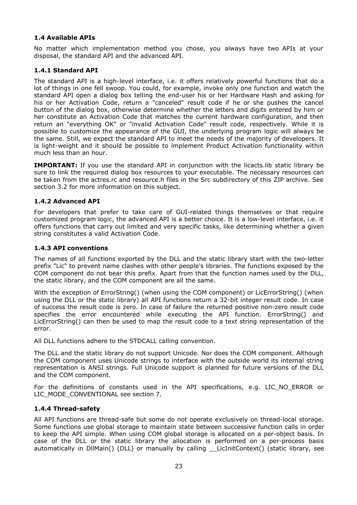# **1.4 Available APIs**

No matter which implementation method you chose, you always have two APIs at your disposal, the standard API and the advanced API.

# **1.4.1 Standard API**

The standard API is a high-level interface, i.e. it offers relatively powerful functions that do a lot of things in one fell swoop. You could, for example, invoke only one function and watch the standard API open a dialog box telling the end-user his or her Hardware Hash and asking for his or her Activation Code, return a "canceled" result code if he or she pushes the cancel button of the dialog box, otherwise determine whether the letters and digits entered by him or her constitute an Activation Code that matches the current hardware configuration, and then return an "everything OK" or "invalid Activation Code" result code, respectively. While it is possible to customize the appearance of the GUI, the underlying program logic will always be the same. Still, we expect the standard API to meet the needs of the majority of developers. It is light-weight and it should be possible to implement Product Activation functionality within much less than an hour.

**IMPORTANT:** If you use the standard API in conjunction with the licacts. Iib static library be sure to link the required dialog box resources to your executable. The necessary resources can be taken from the actres.rc and resource.h files in the Src subdirectory of this ZIP archive. See section 3.2 for more information on this subject.

# **1.4.2 Advanced API**

For developers that prefer to take care of GUI-related things themselves or that require customized program logic, the advanced API is a better choice. It is a low-level interface, i.e. it offers functions that carry out limited and very specific tasks, like determining whether a given string constitutes a valid Activation Code.

# **1.4.3 API conventions**

The names of all functions exported by the DLL and the static library start with the two-letter prefix "Lic" to prevent name clashes with other people's libraries. The functions exposed by the COM component do not bear this prefix. Apart from that the function names used by the DLL, the static library, and the COM component are all the same.

With the exception of ErrorString() (when using the COM component) or LicErrorString() (when using the DLL or the static library) all API functions return a 32-bit integer result code. In case of success the result code is zero. In case of failure the returned positive non-zero result code specifies the error encountered while executing the API function. ErrorString() and LicErrorString() can then be used to map the result code to a text string representation of the error.

All DLL functions adhere to the STDCALL calling convention.

The DLL and the static library do not support Unicode. Nor does the COM component. Although the COM component uses Unicode strings to interface with the outside world its internal string representation is ANSI strings. Full Unicode support is planned for future versions of the DLL and the COM component.

For the definitions of constants used in the API specifications, e.g. LIC\_NO\_ERROR or LIC\_MODE\_CONVENTIONAL see section 7.

# **1.4.4 Thread-safety**

All API functions are thread-safe but some do not operate exclusively on thread-local storage. Some functions use global storage to maintain state between successive function calls in order to keep the API simple. When using COM global storage is allocated on a per-object basis. In case of the DLL or the static library the allocation is performed on a per-process basis automatically in DllMain() (DLL) or manually by calling \_\_LicInitContext() (static library, see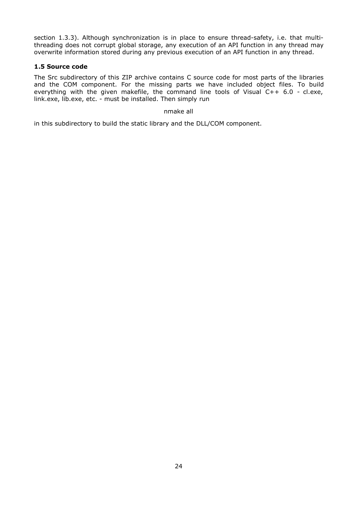section 1.3.3). Although synchronization is in place to ensure thread-safety, i.e. that multithreading does not corrupt global storage, any execution of an API function in any thread may overwrite information stored during any previous execution of an API function in any thread.

## **1.5 Source code**

The Src subdirectory of this ZIP archive contains C source code for most parts of the libraries and the COM component. For the missing parts we have included object files. To build everything with the given makefile, the command line tools of Visual C++ 6.0 - cl.exe, link.exe, lib.exe, etc. - must be installed. Then simply run

#### nmake all

in this subdirectory to build the static library and the DLL/COM component.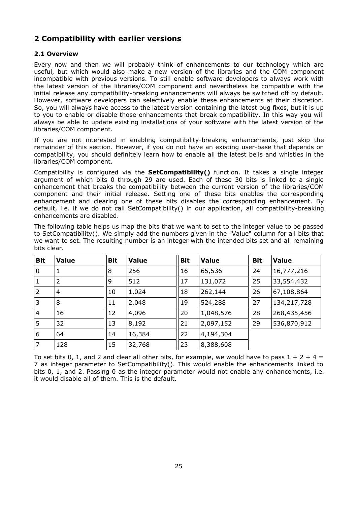# **2 Compatibility with earlier versions**

# **2.1 Overview**

Every now and then we will probably think of enhancements to our technology which are useful, but which would also make a new version of the libraries and the COM component incompatible with previous versions. To still enable software developers to always work with the latest version of the libraries/COM component and nevertheless be compatible with the initial release any compatibility-breaking enhancements will always be switched off by default. However, software developers can selectively enable these enhancements at their discretion. So, you will always have access to the latest version containing the latest bug fixes, but it is up to you to enable or disable those enhancements that break compatibility. In this way you will always be able to update existing installations of your software with the latest version of the libraries/COM component.

If you are not interested in enabling compatibility-breaking enhancements, just skip the remainder of this section. However, if you do not have an existing user-base that depends on compatibility, you should definitely learn how to enable all the latest bells and whistles in the libraries/COM component.

Compatibility is configured via the **SetCompatibility()** function. It takes a single integer argument of which bits 0 through 29 are used. Each of these 30 bits is linked to a single enhancement that breaks the compatibility between the current version of the libraries/COM component and their initial release. Setting one of these bits enables the corresponding enhancement and clearing one of these bits disables the corresponding enhancement. By default, i.e. if we do not call SetCompatibility() in our application, all compatibility-breaking enhancements are disabled.

The following table helps us map the bits that we want to set to the integer value to be passed to SetCompatibility(). We simply add the numbers given in the "Value" column for all bits that we want to set. The resulting number is an integer with the intended bits set and all remaining bits clear.

| <b>Bit</b>     | <b>Value</b>   | <b>Bit</b> | <b>Value</b> | <b>Bit</b> | <b>Value</b> | <b>Bit</b> | <b>Value</b>  |
|----------------|----------------|------------|--------------|------------|--------------|------------|---------------|
| 0              | 1              | 8          | 256          | 16         | 65,536       | 24         | 16,777,216    |
|                | $\overline{2}$ | 9          | 512          | 17         | 131,072      | 25         | 33,554,432    |
| $\overline{2}$ | $\overline{4}$ | 10         | 1,024        | 18         | 262,144      | 26         | 67,108,864    |
| 3              | 8              | 11         | 2,048        | 19         | 524,288      | 27         | 134, 217, 728 |
| $\overline{4}$ | 16             | 12         | 4,096        | 20         | 1,048,576    | 28         | 268,435,456   |
| 5              | 32             | 13         | 8,192        | 21         | 2,097,152    | 29         | 536,870,912   |
| 6              | 64             | 14         | 16,384       | 22         | 4,194,304    |            |               |
| 7              | 128            | 15         | 32,768       | 23         | 8,388,608    |            |               |

To set bits 0, 1, and 2 and clear all other bits, for example, we would have to pass  $1 + 2 + 4 =$ 7 as integer parameter to SetCompatibility(). This would enable the enhancements linked to bits 0, 1, and 2. Passing 0 as the integer parameter would not enable any enhancements, i.e. it would disable all of them. This is the default.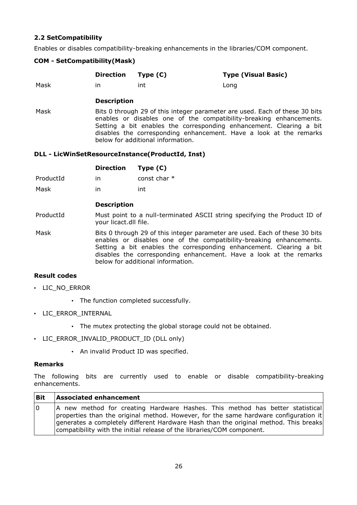# **2.2 SetCompatibility**

Enables or disables compatibility-breaking enhancements in the libraries/COM component.

## **COM - SetCompatibility(Mask)**

|      | Direction Type (C) |     | <b>Type (Visual Basic)</b> |
|------|--------------------|-----|----------------------------|
| Mask | ın                 | int | Long                       |

#### **Description**

Mask Bits 0 through 29 of this integer parameter are used. Each of these 30 bits enables or disables one of the compatibility-breaking enhancements. Setting a bit enables the corresponding enhancement. Clearing a bit disables the corresponding enhancement. Have a look at the remarks below for additional information.

## **DLL - LicWinSetResourceInstance(ProductId, Inst)**

|           | <b>Direction</b> | Type $(C)$     |
|-----------|------------------|----------------|
| ProductId | in               | const char $*$ |

Mask in int

## **Description**

ProductId Must point to a null-terminated ASCII string specifying the Product ID of your licact.dll file.

Mask Bits 0 through 29 of this integer parameter are used. Each of these 30 bits enables or disables one of the compatibility-breaking enhancements. Setting a bit enables the corresponding enhancement. Clearing a bit disables the corresponding enhancement. Have a look at the remarks below for additional information.

#### **Result codes**

- LIC\_NO\_ERROR
	- The function completed successfully.
- LIC\_ERROR\_INTERNAL
	- The mutex protecting the global storage could not be obtained.
- LIC ERROR INVALID PRODUCT ID (DLL only)
	- An invalid Product ID was specified.

#### **Remarks**

The following bits are currently used to enable or disable compatibility-breaking enhancements.

| <b>Bit</b> | <b>Associated enhancement</b>                                                        |
|------------|--------------------------------------------------------------------------------------|
| 0          | A new method for creating Hardware Hashes. This method has better statistical        |
|            | properties than the original method. However, for the same hardware configuration it |
|            | generates a completely different Hardware Hash than the original method. This breaks |
|            | compatibility with the initial release of the libraries/COM component.               |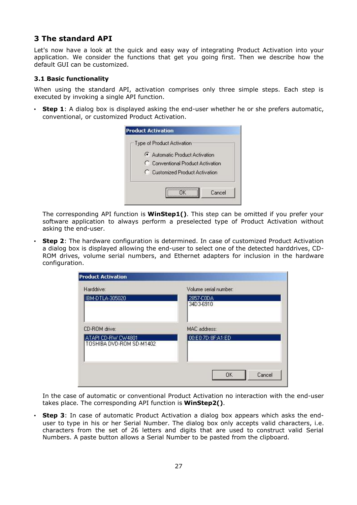# **3 The standard API**

Let's now have a look at the quick and easy way of integrating Product Activation into your application. We consider the functions that get you going first. Then we describe how the default GUI can be customized.

#### **3.1 Basic functionality**

When using the standard API, activation comprises only three simple steps. Each step is executed by invoking a single API function.

• **Step 1**: A dialog box is displayed asking the end-user whether he or she prefers automatic, conventional, or customized Product Activation.

| Automatic Product Activation      |  |
|-----------------------------------|--|
| C Conventional Product Activation |  |
| C Customized Product Activation   |  |

The corresponding API function is **WinStep1()**. This step can be omitted if you prefer your software application to always perform a preselected type of Product Activation without asking the end-user.

**Step 2**: The hardware configuration is determined. In case of customized Product Activation a dialog box is displayed allowing the end-user to select one of the detected harddrives, CD-ROM drives, volume serial numbers, and Ethernet adapters for inclusion in the hardware configuration.

| Harddrive:                                     | Volume serial number:  |
|------------------------------------------------|------------------------|
| IBM-DTLA-305020                                | 2857-C0DA<br>34D3-6910 |
| CD-ROM drive:                                  | MAC address:           |
| ATAPI CD-RW CW4801<br>TOSHIBA DVD-ROM SD-M1402 | 00:E0:7D:8F:A1:ED      |
|                                                |                        |
|                                                | OK<br>Cancel           |

In the case of automatic or conventional Product Activation no interaction with the end-user takes place. The corresponding API function is **WinStep2()**.

• **Step 3**: In case of automatic Product Activation a dialog box appears which asks the enduser to type in his or her Serial Number. The dialog box only accepts valid characters, i.e. characters from the set of 26 letters and digits that are used to construct valid Serial Numbers. A paste button allows a Serial Number to be pasted from the clipboard.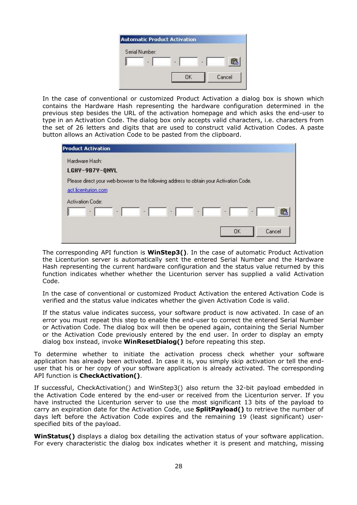| <b>Automatic Product Activation</b> |   |        |
|-------------------------------------|---|--------|
| Serial Number:                      |   |        |
| в                                   | × | s      |
|                                     |   | Cancel |

In the case of conventional or customized Product Activation a dialog box is shown which contains the Hardware Hash representing the hardware configuration determined in the previous step besides the URL of the activation homepage and which asks the end-user to type in an Activation Code. The dialog box only accepts valid characters, i.e. characters from the set of 26 letters and digits that are used to construct valid Activation Codes. A paste button allows an Activation Code to be pasted from the clipboard.

| <b>Product Activation</b>                                                                                      |   |   |   |   |    |    |        |
|----------------------------------------------------------------------------------------------------------------|---|---|---|---|----|----|--------|
| Hardware Hash:<br>LGHY-9B7Y-QNYL                                                                               |   |   |   |   |    |    |        |
| Please direct your web-browser to the following address to obtain your Activation Code.<br>act.licenturion.com |   |   |   |   |    |    |        |
| Activation Code:<br>٠                                                                                          | ٠ | ٠ | ٠ | ۰ | ٠  | a, | œ      |
|                                                                                                                |   |   |   |   | OK |    | Cancel |

The corresponding API function is **WinStep3()**. In the case of automatic Product Activation the Licenturion server is automatically sent the entered Serial Number and the Hardware Hash representing the current hardware configuration and the status value returned by this function indicates whether whether the Licenturion server has supplied a valid Activation Code.

In the case of conventional or customized Product Activation the entered Activation Code is verified and the status value indicates whether the given Activation Code is valid.

If the status value indicates success, your software product is now activated. In case of an error you must repeat this step to enable the end-user to correct the entered Serial Number or Activation Code. The dialog box will then be opened again, containing the Serial Number or the Activation Code previously entered by the end user. In order to display an empty dialog box instead, invoke **WinResetDialog()** before repeating this step.

To determine whether to initiate the activation process check whether your software application has already been activated. In case it is, you simply skip activation or tell the enduser that his or her copy of your software application is already activated. The corresponding API function is **CheckActivation()**.

If successful, CheckActivation() and WinStep3() also return the 32-bit payload embedded in the Activation Code entered by the end-user or received from the Licenturion server. If you have instructed the Licenturion server to use the most significant 13 bits of the payload to carry an expiration date for the Activation Code, use **SplitPayload()** to retrieve the number of days left before the Activation Code expires and the remaining 19 (least significant) userspecified bits of the payload.

**WinStatus()** displays a dialog box detailing the activation status of your software application. For every characteristic the dialog box indicates whether it is present and matching, missing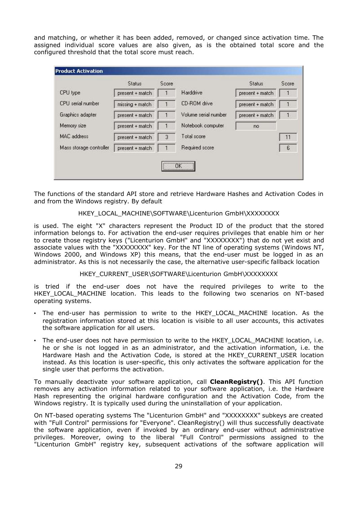and matching, or whether it has been added, removed, or changed since activation time. The assigned individual score values are also given, as is the obtained total score and the configured threshold that the total score must reach.

|                         | <b>Status</b>   | Score |                      | <b>Status</b>   | Score          |
|-------------------------|-----------------|-------|----------------------|-----------------|----------------|
| CPU type                | present + match |       | Harddrive            | present + match | া              |
| CPU serial number       | missing + match |       | CD-ROM drive         | present + match | $\mathbf{1}$   |
| Graphics adapter        | present + match |       | Volume serial number | present + match | $\overline{1}$ |
| Memory size             | present + match |       | Notebook computer    | no              |                |
| <b>MAC</b> address      | present + match | 3     | Total score          |                 | 11             |
| Mass storage controller | present + match |       | Required score       |                 | 6              |

The functions of the standard API store and retrieve Hardware Hashes and Activation Codes in and from the Windows registry. By default

## HKEY\_LOCAL\_MACHINE\SOFTWARE\Licenturion GmbH\XXXXXXXX

is used. The eight "X" characters represent the Product ID of the product that the stored information belongs to. For activation the end-user requires privileges that enable him or her to create those registry keys ("Licenturion GmbH" and "XXXXXXXX") that do not yet exist and associate values with the "XXXXXXXX" key. For the NT line of operating systems (Windows NT, Windows 2000, and Windows XP) this means, that the end-user must be logged in as an administrator. As this is not necessarily the case, the alternative user-specific fallback location

#### HKEY\_CURRENT\_USER\SOFTWARE\Licenturion GmbH\XXXXXXXX

is tried if the end-user does not have the required privileges to write to the HKEY LOCAL MACHINE location. This leads to the following two scenarios on NT-based operating systems.

- The end-user has permission to write to the HKEY\_LOCAL\_MACHINE location. As the registration information stored at this location is visible to all user accounts, this activates the software application for all users.
- The end-user does not have permission to write to the HKEY\_LOCAL\_MACHINE location, i.e. he or she is not logged in as an administrator, and the activation information, i.e. the Hardware Hash and the Activation Code, is stored at the HKEY\_CURRENT\_USER location instead. As this location is user-specific, this only activates the software application for the single user that performs the activation.

To manually deactivate your software application, call **CleanRegistry()**. This API function removes any activation information related to your software application, i.e. the Hardware Hash representing the original hardware configuration and the Activation Code, from the Windows registry. It is typically used during the uninstallation of your application.

On NT-based operating systems The "Licenturion GmbH" and "XXXXXXXX" subkeys are created with "Full Control" permissions for "Everyone". CleanRegistry() will thus successfully deactivate the software application, even if invoked by an ordinary end-user without administrative privileges. Moreover, owing to the liberal "Full Control" permissions assigned to the "Licenturion GmbH" registry key, subsequent activations of the software application will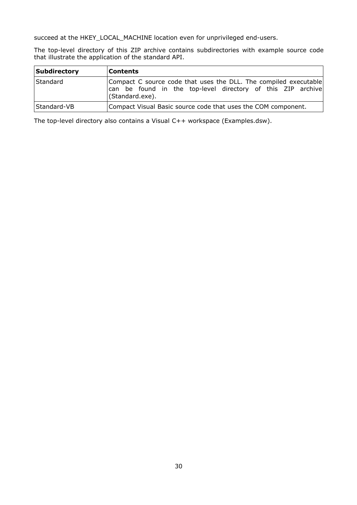succeed at the HKEY\_LOCAL\_MACHINE location even for unprivileged end-users.

The top-level directory of this ZIP archive contains subdirectories with example source code that illustrate the application of the standard API.

| Subdirectory | <b>Contents</b>                                                                                                                                    |
|--------------|----------------------------------------------------------------------------------------------------------------------------------------------------|
| Standard     | Compact C source code that uses the DLL. The compiled executable<br>can be found in the top-level directory of this ZIP archive<br>(Standard.exe). |
| Standard-VB  | Compact Visual Basic source code that uses the COM component.                                                                                      |

The top-level directory also contains a Visual C++ workspace (Examples.dsw).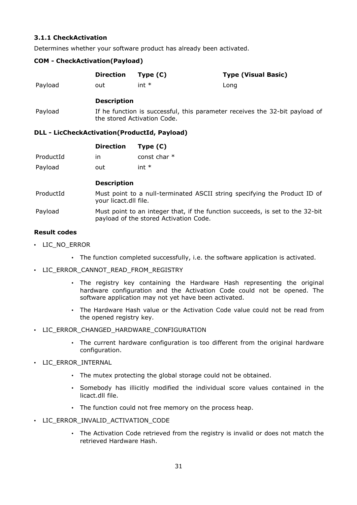# **3.1.1 CheckActivation**

Determines whether your software product has already been activated.

#### **COM - CheckActivation(Payload)**

|         | Direction Type (C) |         | <b>Type (Visual Basic)</b> |
|---------|--------------------|---------|----------------------------|
| Payload | out                | int $*$ | Long                       |

# **Description**

Payload If he function is successful, this parameter receives the 32-bit payload of the stored Activation Code.

#### **DLL - LicCheckActivation(ProductId, Payload)**

|           | <b>Direction</b> | Type $(C)$     |
|-----------|------------------|----------------|
| ProductId | in               | const char $*$ |
| Payload   | out              | int $*$        |

# **Description**

- ProductId Must point to a null-terminated ASCII string specifying the Product ID of your licact.dll file.
- Payload Must point to an integer that, if the function succeeds, is set to the 32-bit payload of the stored Activation Code.

# **Result codes**

- LIC\_NO\_ERROR
	- The function completed successfully, i.e. the software application is activated.
- LIC\_ERROR\_CANNOT\_READ\_FROM\_REGISTRY
	- The registry key containing the Hardware Hash representing the original hardware configuration and the Activation Code could not be opened. The software application may not yet have been activated.
	- The Hardware Hash value or the Activation Code value could not be read from the opened registry key.
- LIC ERROR CHANGED HARDWARE CONFIGURATION
	- The current hardware configuration is too different from the original hardware configuration.
- LIC\_ERROR\_INTERNAL
	- The mutex protecting the global storage could not be obtained.
	- Somebody has illicitly modified the individual score values contained in the licact.dll file.
	- The function could not free memory on the process heap.
- LIC ERROR INVALID ACTIVATION CODE
	- The Activation Code retrieved from the registry is invalid or does not match the retrieved Hardware Hash.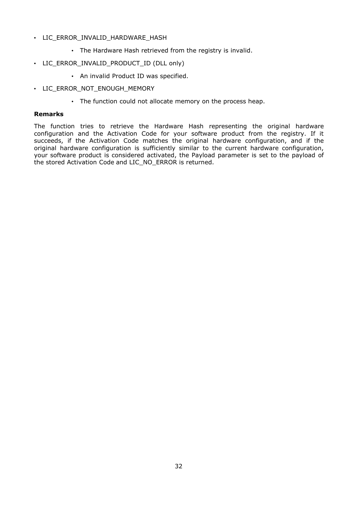- LIC\_ERROR\_INVALID\_HARDWARE\_HASH
	- The Hardware Hash retrieved from the registry is invalid.
- LIC\_ERROR\_INVALID\_PRODUCT\_ID (DLL only)
	- An invalid Product ID was specified.
- LIC\_ERROR\_NOT\_ENOUGH\_MEMORY
	- The function could not allocate memory on the process heap.

#### **Remarks**

The function tries to retrieve the Hardware Hash representing the original hardware configuration and the Activation Code for your software product from the registry. If it succeeds, if the Activation Code matches the original hardware configuration, and if the original hardware configuration is sufficiently similar to the current hardware configuration, your software product is considered activated, the Payload parameter is set to the payload of the stored Activation Code and LIC\_NO\_ERROR is returned.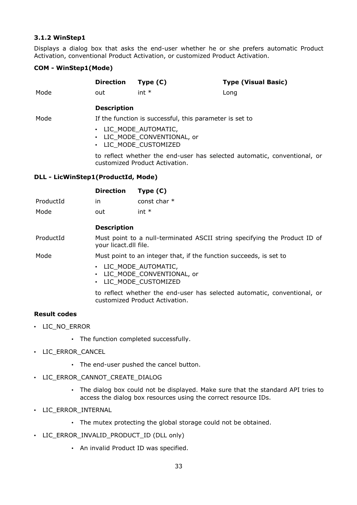## **3.1.2 WinStep1**

Displays a dialog box that asks the end-user whether he or she prefers automatic Product Activation, conventional Product Activation, or customized Product Activation.

## **COM - WinStep1(Mode)**

|      | <b>Direction</b>                                        | Type $(C)$                                                                                 | <b>Type (Visual Basic)</b> |  |  |
|------|---------------------------------------------------------|--------------------------------------------------------------------------------------------|----------------------------|--|--|
| Mode | out                                                     | int $*$                                                                                    | Long                       |  |  |
|      | <b>Description</b>                                      |                                                                                            |                            |  |  |
| Mode | If the function is successful, this parameter is set to |                                                                                            |                            |  |  |
|      |                                                         | • LIC MODE AUTOMATIC,<br>• LIC MODE CONVENTIONAL, or<br>$\blacksquare$ ITC MODE CUCTOMIZED |                            |  |  |

• LIC\_MODE\_CUSTOMIZED

to reflect whether the end-user has selected automatic, conventional, or customized Product Activation.

## **DLL - LicWinStep1(ProductId, Mode)**

|           | <b>Direction</b> | Type $(C)$     |
|-----------|------------------|----------------|
| ProductId | in               | const char $*$ |
| Mode      | out              | int $*$        |

## **Description**

ProductId Must point to a null-terminated ASCII string specifying the Product ID of your licact.dll file.

Mode Must point to an integer that, if the function succeeds, is set to

- LIC\_MODE\_AUTOMATIC,
- LIC\_MODE\_CONVENTIONAL, or
- LIC MODE CUSTOMIZED

to reflect whether the end-user has selected automatic, conventional, or customized Product Activation.

# **Result codes**

- LIC\_NO\_ERROR
	- The function completed successfully.
- LIC\_ERROR\_CANCEL
	- The end-user pushed the cancel button.
- LIC\_ERROR\_CANNOT\_CREATE\_DIALOG
	- The dialog box could not be displayed. Make sure that the standard API tries to access the dialog box resources using the correct resource IDs.
- LIC\_ERROR\_INTERNAL
	- The mutex protecting the global storage could not be obtained.
- LIC\_ERROR\_INVALID\_PRODUCT\_ID (DLL only)
	- An invalid Product ID was specified.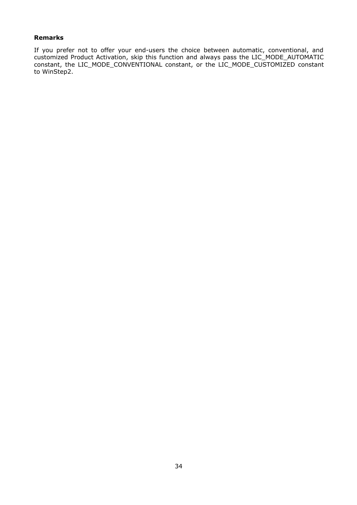#### **Remarks**

If you prefer not to offer your end-users the choice between automatic, conventional, and customized Product Activation, skip this function and always pass the LIC\_MODE\_AUTOMATIC constant, the LIC\_MODE\_CONVENTIONAL constant, or the LIC\_MODE\_CUSTOMIZED constant to WinStep2.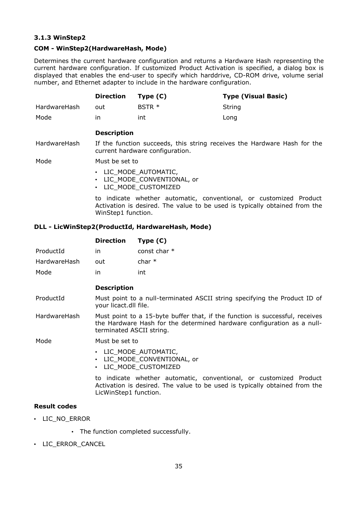## **3.1.3 WinStep2**

## **COM - WinStep2(HardwareHash, Mode)**

Determines the current hardware configuration and returns a Hardware Hash representing the current hardware configuration. If customized Product Activation is specified, a dialog box is displayed that enables the end-user to specify which harddrive, CD-ROM drive, volume serial number, and Ethernet adapter to include in the hardware configuration.

|                                                                                                                             | <b>Direction</b>                                                                                                                                                       | Type $(C)$                                       | <b>Type (Visual Basic)</b> |  |  |
|-----------------------------------------------------------------------------------------------------------------------------|------------------------------------------------------------------------------------------------------------------------------------------------------------------------|--------------------------------------------------|----------------------------|--|--|
| HardwareHash                                                                                                                | out                                                                                                                                                                    | BSTR *                                           | String                     |  |  |
| Mode                                                                                                                        | in.                                                                                                                                                                    | int                                              | Long                       |  |  |
|                                                                                                                             | <b>Description</b>                                                                                                                                                     |                                                  |                            |  |  |
| HardwareHash<br>If the function succeeds, this string receives the Hardware Hash for the<br>current hardware configuration. |                                                                                                                                                                        |                                                  |                            |  |  |
| Mode                                                                                                                        | Must be set to                                                                                                                                                         |                                                  |                            |  |  |
|                                                                                                                             | • LIC MODE AUTOMATIC,<br>LIC MODE CONVENTIONAL, or<br>LIC MODE CUSTOMIZED                                                                                              |                                                  |                            |  |  |
|                                                                                                                             | to indicate whether automatic, conventional, or customized Product<br>Activation is desired. The value to be used is typically obtained from the<br>WinStep1 function. |                                                  |                            |  |  |
|                                                                                                                             |                                                                                                                                                                        | DLL - LicWinStep2(ProductId, HardwareHash, Mode) |                            |  |  |

|                     | <b>Direction</b>                                                                                                                                                                   | Type $(C)$                                                                                                                                       |
|---------------------|------------------------------------------------------------------------------------------------------------------------------------------------------------------------------------|--------------------------------------------------------------------------------------------------------------------------------------------------|
| ProductId           | in.                                                                                                                                                                                | const char $*$                                                                                                                                   |
| HardwareHash        | out                                                                                                                                                                                | char $*$                                                                                                                                         |
| Mode                | in                                                                                                                                                                                 | int                                                                                                                                              |
|                     | <b>Description</b>                                                                                                                                                                 |                                                                                                                                                  |
| ProductId           | your licact.dll file.                                                                                                                                                              | Must point to a null-terminated ASCII string specifying the Product ID of                                                                        |
| HardwareHash        | Must point to a 15-byte buffer that, if the function is successful, receives<br>the Hardware Hash for the determined hardware configuration as a null-<br>terminated ASCII string. |                                                                                                                                                  |
| Mode                | Must be set to                                                                                                                                                                     |                                                                                                                                                  |
|                     | $\bullet$                                                                                                                                                                          | • LIC MODE AUTOMATIC,<br>LIC MODE CONVENTIONAL, or<br>LIC MODE CUSTOMIZED                                                                        |
|                     | LicWinStep1 function.                                                                                                                                                              | to indicate whether automatic, conventional, or customized Product<br>Activation is desired. The value to be used is typically obtained from the |
| <b>Result codes</b> |                                                                                                                                                                                    |                                                                                                                                                  |

- LIC\_NO\_ERROR
	- The function completed successfully.
- LIC\_ERROR\_CANCEL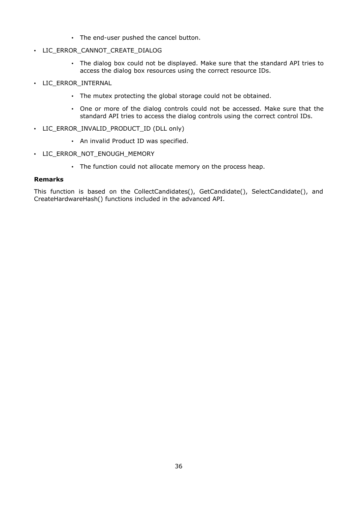- The end-user pushed the cancel button.
- LIC\_ERROR\_CANNOT\_CREATE\_DIALOG
	- The dialog box could not be displayed. Make sure that the standard API tries to access the dialog box resources using the correct resource IDs.
- LIC\_ERROR\_INTERNAL
	- The mutex protecting the global storage could not be obtained.
	- One or more of the dialog controls could not be accessed. Make sure that the standard API tries to access the dialog controls using the correct control IDs.
- LIC\_ERROR\_INVALID\_PRODUCT\_ID (DLL only)
	- An invalid Product ID was specified.
- LIC\_ERROR\_NOT\_ENOUGH\_MEMORY
	- The function could not allocate memory on the process heap.

#### **Remarks**

This function is based on the CollectCandidates(), GetCandidate(), SelectCandidate(), and CreateHardwareHash() functions included in the advanced API.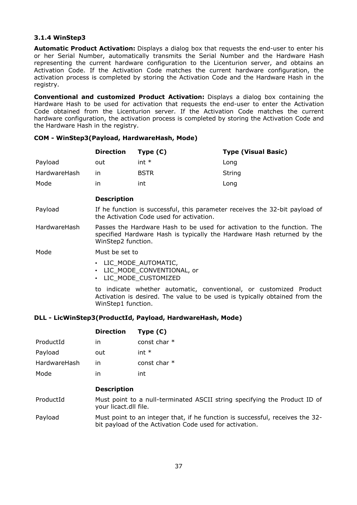### **3.1.4 WinStep3**

**Automatic Product Activation:** Displays a dialog box that requests the end-user to enter his or her Serial Number, automatically transmits the Serial Number and the Hardware Hash representing the current hardware configuration to the Licenturion server, and obtains an Activation Code. If the Activation Code matches the current hardware configuration, the activation process is completed by storing the Activation Code and the Hardware Hash in the registry.

**Conventional and customized Product Activation:** Displays a dialog box containing the Hardware Hash to be used for activation that requests the end-user to enter the Activation Code obtained from the Licenturion server. If the Activation Code matches the current hardware configuration, the activation process is completed by storing the Activation Code and the Hardware Hash in the registry.

### **COM - WinStep3(Payload, HardwareHash, Mode)**

|              | <b>Direction</b> | Type $(C)$  | <b>Type (Visual Basic)</b> |
|--------------|------------------|-------------|----------------------------|
| Payload      | out              | int $*$     | Long                       |
| HardwareHash | ın               | <b>BSTR</b> | String                     |
| Mode         | ın               | int         | Long                       |

#### **Description**

Payload If he function is successful, this parameter receives the 32-bit payload of the Activation Code used for activation.

HardwareHash Passes the Hardware Hash to be used for activation to the function. The specified Hardware Hash is typically the Hardware Hash returned by the WinStep2 function.

- Mode Must be set to
	- LIC\_MODE\_AUTOMATIC,
	- LIC\_MODE\_CONVENTIONAL, or
	- LIC MODE CUSTOMIZED

to indicate whether automatic, conventional, or customized Product Activation is desired. The value to be used is typically obtained from the WinStep1 function.

#### **DLL - LicWinStep3(ProductId, Payload, HardwareHash, Mode)**

|              | <b>Direction</b>                                                                                   | Type $(C)$                                                                                                                               |
|--------------|----------------------------------------------------------------------------------------------------|------------------------------------------------------------------------------------------------------------------------------------------|
| ProductId    | in                                                                                                 | const char $*$                                                                                                                           |
| Payload      | out                                                                                                | int $*$                                                                                                                                  |
| HardwareHash | in.                                                                                                | const char $*$                                                                                                                           |
| Mode         | in                                                                                                 | int                                                                                                                                      |
|              | <b>Description</b>                                                                                 |                                                                                                                                          |
| ProductId    | Must point to a null-terminated ASCII string specifying the Product ID of<br>your licact.dll file. |                                                                                                                                          |
| Payload      |                                                                                                    | Must point to an integer that, if he function is successful, receives the 32-<br>bit payload of the Activation Code used for activation. |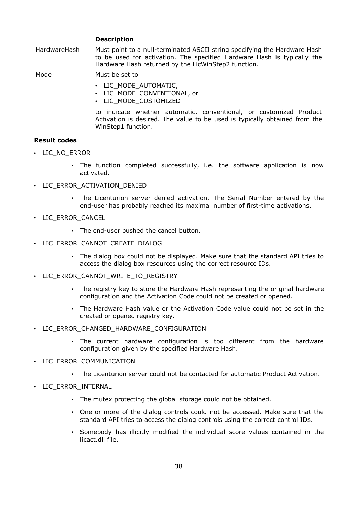### **Description**

HardwareHash Must point to a null-terminated ASCII string specifying the Hardware Hash to be used for activation. The specified Hardware Hash is typically the Hardware Hash returned by the LicWinStep2 function.

Mode Must be set to

- LIC\_MODE\_AUTOMATIC,
- LIC\_MODE\_CONVENTIONAL, or
- LIC MODE CUSTOMIZED

to indicate whether automatic, conventional, or customized Product Activation is desired. The value to be used is typically obtained from the WinStep1 function.

#### **Result codes**

- LIC\_NO\_ERROR
	- The function completed successfully, i.e. the software application is now activated.
- LIC\_ERROR\_ACTIVATION\_DENIED
	- The Licenturion server denied activation. The Serial Number entered by the end-user has probably reached its maximal number of first-time activations.
- LIC\_ERROR\_CANCEL
	- The end-user pushed the cancel button.
- LIC\_ERROR\_CANNOT\_CREATE\_DIALOG
	- The dialog box could not be displayed. Make sure that the standard API tries to access the dialog box resources using the correct resource IDs.
- LIC\_ERROR\_CANNOT\_WRITE\_TO\_REGISTRY
	- The registry key to store the Hardware Hash representing the original hardware configuration and the Activation Code could not be created or opened.
	- The Hardware Hash value or the Activation Code value could not be set in the created or opened registry key.
- LIC\_ERROR\_CHANGED\_HARDWARE\_CONFIGURATION
	- The current hardware configuration is too different from the hardware configuration given by the specified Hardware Hash.
- LIC ERROR COMMUNICATION
	- The Licenturion server could not be contacted for automatic Product Activation.
- LIC\_ERROR\_INTERNAL
	- The mutex protecting the global storage could not be obtained.
	- One or more of the dialog controls could not be accessed. Make sure that the standard API tries to access the dialog controls using the correct control IDs.
	- Somebody has illicitly modified the individual score values contained in the licact.dll file.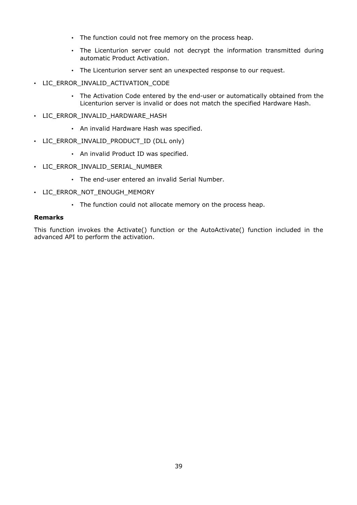- The function could not free memory on the process heap.
- The Licenturion server could not decrypt the information transmitted during automatic Product Activation.
- The Licenturion server sent an unexpected response to our request.
- LIC\_ERROR\_INVALID\_ACTIVATION\_CODE
	- The Activation Code entered by the end-user or automatically obtained from the Licenturion server is invalid or does not match the specified Hardware Hash.
- LIC ERROR INVALID HARDWARE HASH
	- An invalid Hardware Hash was specified.
- LIC\_ERROR\_INVALID\_PRODUCT\_ID (DLL only)
	- An invalid Product ID was specified.
- LIC ERROR INVALID SERIAL NUMBER
	- The end-user entered an invalid Serial Number.
- LIC\_ERROR\_NOT\_ENOUGH\_MEMORY
	- The function could not allocate memory on the process heap.

#### **Remarks**

This function invokes the Activate() function or the AutoActivate() function included in the advanced API to perform the activation.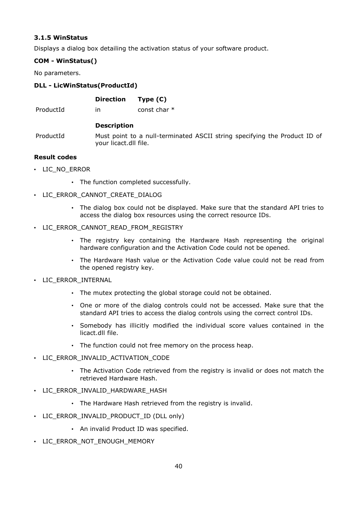# **3.1.5 WinStatus**

Displays a dialog box detailing the activation status of your software product.

# **COM - WinStatus()**

No parameters.

# **DLL - LicWinStatus(ProductId)**

ProductId in const char \*

### **Description**

ProductId Must point to a null-terminated ASCII string specifying the Product ID of your licact.dll file.

# **Result codes**

- LIC\_NO\_ERROR
	- The function completed successfully.
- LIC\_ERROR\_CANNOT\_CREATE\_DIALOG
	- The dialog box could not be displayed. Make sure that the standard API tries to access the dialog box resources using the correct resource IDs.
- LIC\_ERROR\_CANNOT\_READ\_FROM\_REGISTRY
	- The registry key containing the Hardware Hash representing the original hardware configuration and the Activation Code could not be opened.
	- The Hardware Hash value or the Activation Code value could not be read from the opened registry key.
- LIC\_ERROR\_INTERNAL
	- The mutex protecting the global storage could not be obtained.
	- One or more of the dialog controls could not be accessed. Make sure that the standard API tries to access the dialog controls using the correct control IDs.
	- Somebody has illicitly modified the individual score values contained in the licact.dll file.
	- The function could not free memory on the process heap.
- LIC ERROR INVALID ACTIVATION CODE
	- The Activation Code retrieved from the registry is invalid or does not match the retrieved Hardware Hash.
- LIC ERROR INVALID HARDWARE HASH
	- The Hardware Hash retrieved from the registry is invalid.
- LIC\_ERROR\_INVALID\_PRODUCT\_ID (DLL only)
	- An invalid Product ID was specified.
- LIC\_ERROR\_NOT\_ENOUGH\_MEMORY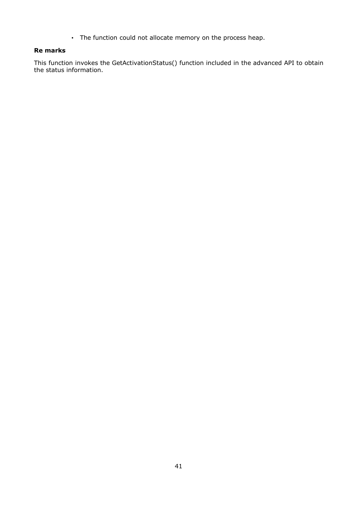• The function could not allocate memory on the process heap.

# **Re marks**

This function invokes the GetActivationStatus() function included in the advanced API to obtain the status information.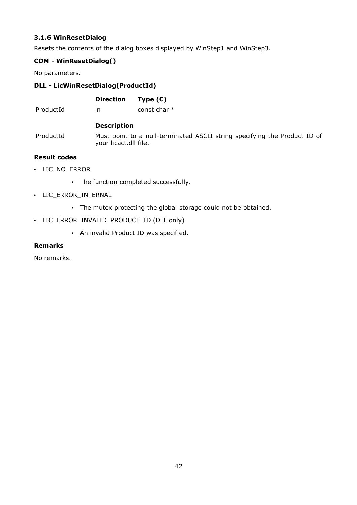# **3.1.6 WinResetDialog**

Resets the contents of the dialog boxes displayed by WinStep1 and WinStep3.

# **COM - WinResetDialog()**

No parameters.

# **DLL - LicWinResetDialog(ProductId)**

|   | <b>Direction</b> | Type $(C)$      |
|---|------------------|-----------------|
| ᅬ |                  | دام مطمع المصدم |

ProductId in const char  $*$ 

# **Description**

ProductId Must point to a null-terminated ASCII string specifying the Product ID of your licact.dll file.

# **Result codes**

- LIC\_NO\_ERROR
	- The function completed successfully.
- LIC\_ERROR\_INTERNAL
	- The mutex protecting the global storage could not be obtained.
- LIC\_ERROR\_INVALID\_PRODUCT\_ID (DLL only)
	- An invalid Product ID was specified.

### **Remarks**

No remarks.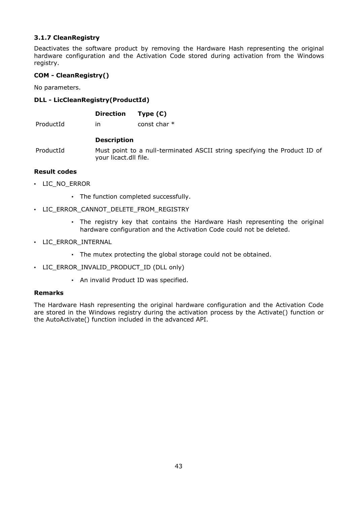# **3.1.7 CleanRegistry**

Deactivates the software product by removing the Hardware Hash representing the original hardware configuration and the Activation Code stored during activation from the Windows registry.

# **COM - CleanRegistry()**

No parameters.

# **DLL - LicCleanRegistry(ProductId)**

|           | <b>Direction</b>      | Type $(C)$                                                                |
|-----------|-----------------------|---------------------------------------------------------------------------|
| ProductId | ın                    | const char $*$                                                            |
|           | <b>Description</b>    |                                                                           |
| ProductId | your licact.dll file. | Must point to a null-terminated ASCII string specifying the Product ID of |

### **Result codes**

- LIC\_NO\_ERROR
	- The function completed successfully.
- LIC\_ERROR\_CANNOT\_DELETE\_FROM\_REGISTRY
	- The registry key that contains the Hardware Hash representing the original hardware configuration and the Activation Code could not be deleted.
- LIC\_ERROR\_INTERNAL
	- The mutex protecting the global storage could not be obtained.
- LIC\_ERROR\_INVALID\_PRODUCT\_ID (DLL only)
	- An invalid Product ID was specified.

#### **Remarks**

The Hardware Hash representing the original hardware configuration and the Activation Code are stored in the Windows registry during the activation process by the Activate() function or the AutoActivate() function included in the advanced API.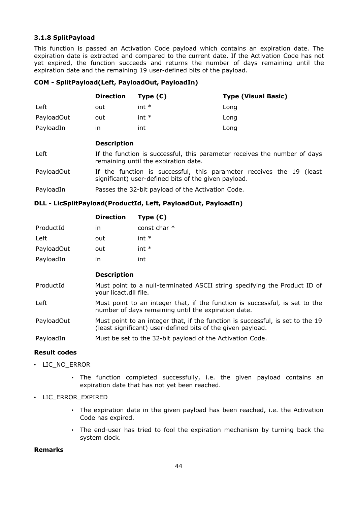### **3.1.8 SplitPayload**

This function is passed an Activation Code payload which contains an expiration date. The expiration date is extracted and compared to the current date. If the Activation Code has not yet expired, the function succeeds and returns the number of days remaining until the expiration date and the remaining 19 user-defined bits of the payload.

### **COM - SplitPayload(Left, PayloadOut, PayloadIn)**

|            | <b>Direction</b>                                                                                                             | Type $(C)$                                        | <b>Type (Visual Basic)</b> |
|------------|------------------------------------------------------------------------------------------------------------------------------|---------------------------------------------------|----------------------------|
| Left       | out                                                                                                                          | $int *$                                           | Long                       |
| PayloadOut | out                                                                                                                          | $int *$                                           | Long                       |
| PayloadIn  | in                                                                                                                           | int                                               | Long                       |
|            | <b>Description</b>                                                                                                           |                                                   |                            |
| Left       | If the function is successful, this parameter receives the number of days<br>remaining until the expiration date.            |                                                   |                            |
| PayloadOut | If the function is successful, this parameter receives the 19 (least<br>significant) user-defined bits of the given payload. |                                                   |                            |
| PayloadIn  |                                                                                                                              | Passes the 32-bit payload of the Activation Code. |                            |

#### **DLL - LicSplitPayload(ProductId, Left, PayloadOut, PayloadIn)**

|            | <b>Direction</b>   | Type $(C)$     |
|------------|--------------------|----------------|
| ProductId  | in                 | const char $*$ |
| Left       | out                | int $*$        |
| PayloadOut | out                | int $*$        |
| PayloadIn  | in                 | int            |
|            | <b>Description</b> |                |

- ProductId Must point to a null-terminated ASCII string specifying the Product ID of your licact.dll file.
- Left Must point to an integer that, if the function is successful, is set to the number of days remaining until the expiration date.

PayloadOut Must point to an integer that, if the function is successful, is set to the 19 (least significant) user-defined bits of the given payload.

PayloadIn Must be set to the 32-bit payload of the Activation Code.

#### **Result codes**

- LIC\_NO\_ERROR
	- The function completed successfully, i.e. the given payload contains an expiration date that has not yet been reached.
- LIC\_ERROR\_EXPIRED
	- The expiration date in the given payload has been reached, i.e. the Activation Code has expired.
	- The end-user has tried to fool the expiration mechanism by turning back the system clock.

#### **Remarks**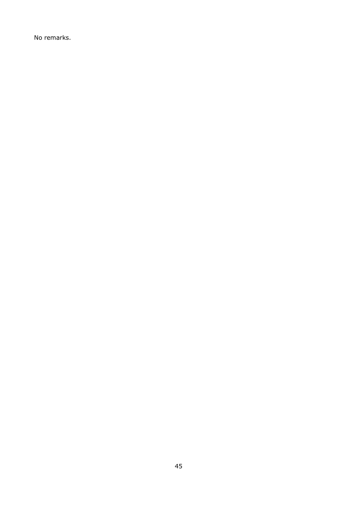No remarks.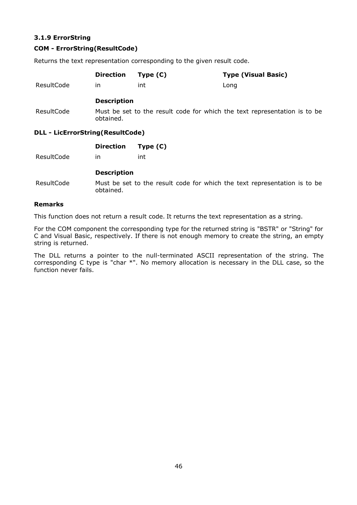# **3.1.9 ErrorString**

# **COM - ErrorString(ResultCode)**

Returns the text representation corresponding to the given result code.

|                                  | <b>Direction</b>   | Type $(C)$ | <b>Type (Visual Basic)</b>                                                |  |
|----------------------------------|--------------------|------------|---------------------------------------------------------------------------|--|
| ResultCode                       | ın                 | int        | Long                                                                      |  |
|                                  | <b>Description</b> |            |                                                                           |  |
| ResultCode                       | obtained.          |            | Must be set to the result code for which the text representation is to be |  |
| DLL - LicErrorString(ResultCode) |                    |            |                                                                           |  |

# **DLL - LicErrorString(ResultCode)**

|            | <b>Direction</b>   | Type $(C)$                                                                |
|------------|--------------------|---------------------------------------------------------------------------|
| ResultCode | ın                 | int                                                                       |
|            | <b>Description</b> |                                                                           |
| ResultCode | obtained.          | Must be set to the result code for which the text representation is to be |

#### **Remarks**

This function does not return a result code. It returns the text representation as a string.

For the COM component the corresponding type for the returned string is "BSTR" or "String" for C and Visual Basic, respectively. If there is not enough memory to create the string, an empty string is returned.

The DLL returns a pointer to the null-terminated ASCII representation of the string. The corresponding C type is "char \*". No memory allocation is necessary in the DLL case, so the function never fails.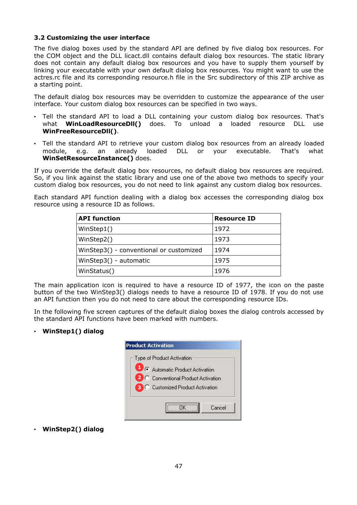### **3.2 Customizing the user interface**

The five dialog boxes used by the standard API are defined by five dialog box resources. For the COM object and the DLL licact.dll contains default dialog box resources. The static library does not contain any default dialog box resources and you have to supply them yourself by linking your executable with your own default dialog box resources. You might want to use the actres.rc file and its corresponding resource.h file in the Src subdirectory of this ZIP archive as a starting point.

The default dialog box resources may be overridden to customize the appearance of the user interface. Your custom dialog box resources can be specified in two ways.

- Tell the standard API to load a DLL containing your custom dialog box resources. That's what **WinLoadResourceDll()** does. To unload a loaded resource DLL use **WinFreeResourceDll()**.
- Tell the standard API to retrieve your custom dialog box resources from an already loaded module, e.g. an already loaded DLL or your executable. That's what **WinSetResourceInstance()** does.

If you override the default dialog box resources, no default dialog box resources are required. So, if you link against the static library and use one of the above two methods to specify your custom dialog box resources, you do not need to link against any custom dialog box resources.

Each standard API function dealing with a dialog box accesses the corresponding dialog box resource using a resource ID as follows.

| <b>API</b> function                     | <b>Resource ID</b> |
|-----------------------------------------|--------------------|
| WinStep1()                              | 1972               |
| WinStep2()                              | 1973               |
| WinStep3() - conventional or customized | 1974               |
| WinStep3() - automatic                  | 1975               |
| WinStatus()                             | 1976               |

The main application icon is required to have a resource ID of 1977, the icon on the paste button of the two WinStep3() dialogs needs to have a resource ID of 1978. If you do not use an API function then you do not need to care about the corresponding resource IDs.

In the following five screen captures of the default dialog boxes the dialog controls accessed by the standard API functions have been marked with numbers.

# • **WinStep1() dialog**

| Type of Product Activation               |
|------------------------------------------|
| 1 G Automatic Product Activation         |
| 2 C Conventional Product Activation      |
| <b>B</b> C Customized Product Activation |

• **WinStep2() dialog**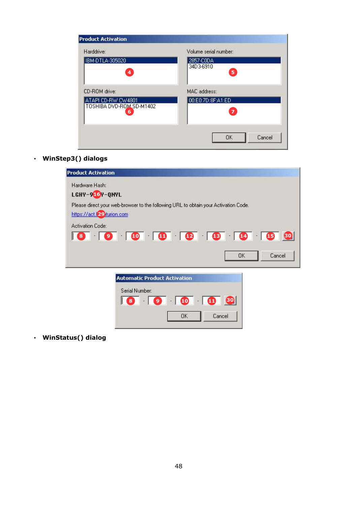| Harddrive:                                          | Volume serial number:               |
|-----------------------------------------------------|-------------------------------------|
| IBM-DTLA-305020<br>$\overline{\mathbf{4}}$          | 2857-C0DA<br>34D3-6910<br>5         |
| CD-ROM drive:                                       | MAC address:                        |
| ATAPI CD-RW CW4801<br>TOSHIBA DVD-ROM SD-M1402<br>6 | 00:E0:7D:8F:A1:ED<br>$\overline{7}$ |
|                                                     | OK<br>Cancel                        |

• **WinStep3() dialogs**

| <b>Product Activation</b>     |                                                                                     |                     |        |
|-------------------------------|-------------------------------------------------------------------------------------|---------------------|--------|
| Hardware Hash:                |                                                                                     |                     |        |
| LGHY-9 <mark>16</mark> Y-QNYL |                                                                                     |                     |        |
| https://act.l29.turion.com    | Please direct your web-browser to the following URL to obtain your Activation Code. |                     |        |
| Activation Code:              |                                                                                     |                     |        |
|                               | 8 9 0 10 10 12 13 13 13 15 30                                                       |                     |        |
|                               |                                                                                     | 0K                  | Cancel |
|                               | <b>Automatic Product Activation</b>                                                 |                     |        |
|                               | Serial Number:                                                                      |                     |        |
|                               |                                                                                     | 8 9 10 10 30        |        |
|                               |                                                                                     |                     |        |
|                               |                                                                                     | Cancel<br><b>OK</b> |        |
|                               |                                                                                     |                     |        |

• **WinStatus() dialog**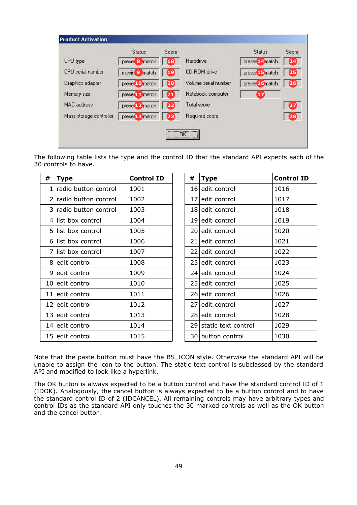|                         | Status                     | Score        |                      | Status                     | Score           |
|-------------------------|----------------------------|--------------|----------------------|----------------------------|-----------------|
| CPU type                | preser <sup>8</sup> match  | $\bigoplus$  | <b>Harddrive</b>     | preser <sup>14</sup> match | $\overline{24}$ |
| CPU serial number       | missin <sup>9</sup> match  | $\mathbf{D}$ | CD-ROM drive         | preser <sup>15</sup> match | 25              |
| Graphics adapter        | preser10 match             | 20           | Volume serial number | preser <sup>16</sup> match | 26              |
| Memory size             | preser <sub>11</sub> match | 21           | Notebook computer    | $\bf{E}$                   |                 |
| <b>MAC</b> address      | preser <sub>12</sub> match | 22)          | Total score          |                            | 27              |
| Mass storage controller | preser <sub>13</sub> match | 23           | Required score       |                            | 28              |

The following table lists the type and the control ID that the standard API expects each of the 30 controls to have.

| #  | <b>Type</b>            | <b>Control ID</b> | #    | <b>Type</b>            | <b>Control ID</b> |
|----|------------------------|-------------------|------|------------------------|-------------------|
|    | radio button control   | 1001              |      | 16 edit control        | 1016              |
| 2  | radio button control   | 1002              | 17 I | edit control           | 1017              |
|    | 3 radio button control | 1003              |      | 18 edit control        | 1018              |
| 4  | list box control       | 1004              |      | 19 edit control        | 1019              |
| 5. | list box control       | 1005              |      | 20 edit control        | 1020              |
| 6  | list box control       | 1006              |      | 21 edit control        | 1021              |
| 7  | list box control       | 1007              |      | 22 edit control        | 1022              |
| 8  | edit control           | 1008              |      | 23 edit control        | 1023              |
| 9  | edit control           | 1009              |      | 24 edit control        | 1024              |
| 10 | edit control           | 1010              |      | 25 edit control        | 1025              |
| 11 | edit control           | 1011              |      | 26 edit control        | 1026              |
| 12 | edit control           | 1012              |      | 27 edit control        | 1027              |
| 13 | edit control           | 1013              |      | 28 edit control        | 1028              |
| 14 | edit control           | 1014              |      | 29 static text control | 1029              |
| 15 | edit control           | 1015              | 30 I | button control         | 1030              |

Note that the paste button must have the BS\_ICON style. Otherwise the standard API will be unable to assign the icon to the button. The static text control is subclassed by the standard API and modified to look like a hyperlink.

The OK button is always expected to be a button control and have the standard control ID of 1 (IDOK). Analogously, the cancel button is always expected to be a button control and to have the standard control ID of 2 (IDCANCEL). All remaining controls may have arbitrary types and control IDs as the standard API only touches the 30 marked controls as well as the OK button and the cancel button.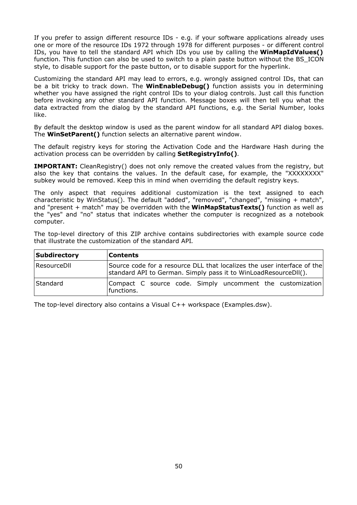If you prefer to assign different resource IDs - e.g. if your software applications already uses one or more of the resource IDs 1972 through 1978 for different purposes - or different control IDs, you have to tell the standard API which IDs you use by calling the **WinMapIdValues()** function. This function can also be used to switch to a plain paste button without the BS\_ICON style, to disable support for the paste button, or to disable support for the hyperlink.

Customizing the standard API may lead to errors, e.g. wrongly assigned control IDs, that can be a bit tricky to track down. The **WinEnableDebug()** function assists you in determining whether you have assigned the right control IDs to your dialog controls. Just call this function before invoking any other standard API function. Message boxes will then tell you what the data extracted from the dialog by the standard API functions, e.g. the Serial Number, looks like.

By default the desktop window is used as the parent window for all standard API dialog boxes. The **WinSetParent()** function selects an alternative parent window.

The default registry keys for storing the Activation Code and the Hardware Hash during the activation process can be overridden by calling **SetRegistryInfo()**.

**IMPORTANT:** CleanRegistry() does not only remove the created values from the registry, but also the key that contains the values. In the default case, for example, the "XXXXXXXX" subkey would be removed. Keep this in mind when overriding the default registry keys.

The only aspect that requires additional customization is the text assigned to each characteristic by WinStatus(). The default "added", "removed", "changed", "missing + match", and "present + match" may be overridden with the **WinMapStatusTexts()** function as well as the "yes" and "no" status that indicates whether the computer is recognized as a notebook computer.

The top-level directory of this ZIP archive contains subdirectories with example source code that illustrate the customization of the standard API.

| Subdirectory | <b>Contents</b>                                                                                                                            |
|--------------|--------------------------------------------------------------------------------------------------------------------------------------------|
| ResourceDll  | Source code for a resource DLL that localizes the user interface of the<br>standard API to German. Simply pass it to WinLoadResourceDII(). |
| Standard     | Compact C source code. Simply uncomment the customization<br>functions.                                                                    |

The top-level directory also contains a Visual C++ workspace (Examples.dsw).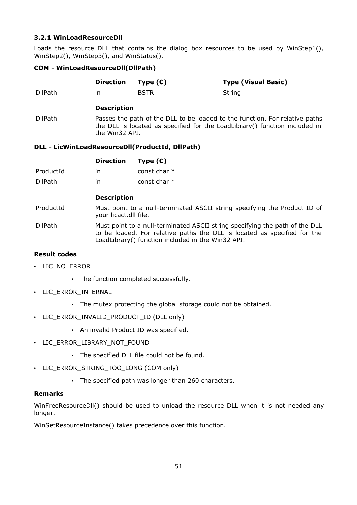## **3.2.1 WinLoadResourceDll**

Loads the resource DLL that contains the dialog box resources to be used by WinStep1(), WinStep2(), WinStep3(), and WinStatus().

## **COM - WinLoadResourceDll(DllPath)**

|                | <b>Direction</b>                                                                                                                                                            | Type $(C)$  | <b>Type (Visual Basic)</b> |
|----------------|-----------------------------------------------------------------------------------------------------------------------------------------------------------------------------|-------------|----------------------------|
| <b>DllPath</b> | ın                                                                                                                                                                          | <b>BSTR</b> | String                     |
|                | <b>Description</b>                                                                                                                                                          |             |                            |
| <b>DllPath</b> | Passes the path of the DLL to be loaded to the function. For relative paths<br>the DLL is located as specified for the LoadLibrary() function included in<br>the Win32 API. |             |                            |

# **DLL - LicWinLoadResourceDll(ProductId, DllPath)**

|                | <b>Direction</b> | Type $(C)$     |
|----------------|------------------|----------------|
| ProductId      | in               | const char $*$ |
| <b>DllPath</b> | ın               | const char $*$ |

### **Description**

ProductId Must point to a null-terminated ASCII string specifying the Product ID of your licact.dll file.

DllPath Must point to a null-terminated ASCII string specifying the path of the DLL to be loaded. For relative paths the DLL is located as specified for the LoadLibrary() function included in the Win32 API.

### **Result codes**

- LIC\_NO\_ERROR
	- The function completed successfully.
- LIC\_ERROR\_INTERNAL
	- The mutex protecting the global storage could not be obtained.
- LIC\_ERROR\_INVALID\_PRODUCT\_ID (DLL only)
	- An invalid Product ID was specified.
- LIC\_ERROR\_LIBRARY\_NOT\_FOUND
	- The specified DLL file could not be found.
- LIC ERROR STRING TOO LONG (COM only)
	- The specified path was longer than 260 characters.

# **Remarks**

WinFreeResourceDll() should be used to unload the resource DLL when it is not needed any longer.

WinSetResourceInstance() takes precedence over this function.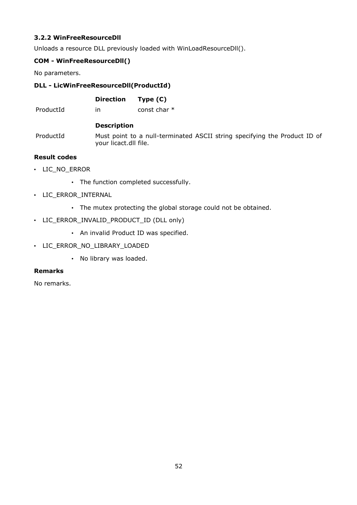# **3.2.2 WinFreeResourceDll**

Unloads a resource DLL previously loaded with WinLoadResourceDll().

# **COM - WinFreeResourceDll()**

No parameters.

## **DLL - LicWinFreeResourceDll(ProductId)**

**Direction Type (C)**

ProductId in const char  $*$ 

#### **Description**

ProductId Must point to a null-terminated ASCII string specifying the Product ID of your licact.dll file.

### **Result codes**

- LIC\_NO\_ERROR
	- The function completed successfully.
- LIC\_ERROR\_INTERNAL
	- The mutex protecting the global storage could not be obtained.
- LIC\_ERROR\_INVALID\_PRODUCT\_ID (DLL only)
	- An invalid Product ID was specified.
- LIC\_ERROR\_NO\_LIBRARY\_LOADED
	- No library was loaded.

#### **Remarks**

No remarks.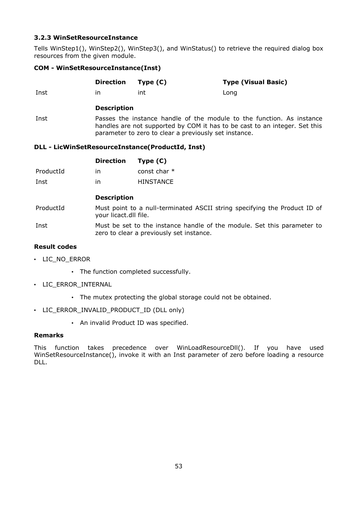### **3.2.3 WinSetResourceInstance**

Tells WinStep1(), WinStep2(), WinStep3(), and WinStatus() to retrieve the required dialog box resources from the given module.

### **COM - WinSetResourceInstance(Inst)**

|           | <b>Direction</b>                                                                                                                                                                                                                                                 | Type $(C)$       | <b>Type (Visual Basic)</b> |  |
|-----------|------------------------------------------------------------------------------------------------------------------------------------------------------------------------------------------------------------------------------------------------------------------|------------------|----------------------------|--|
| Inst      | in.                                                                                                                                                                                                                                                              | int              | Long                       |  |
|           | <b>Description</b>                                                                                                                                                                                                                                               |                  |                            |  |
| Inst      | Passes the instance handle of the module to the function. As instance<br>handles are not supported by COM it has to be cast to an integer. Set this<br>parameter to zero to clear a previously set instance.<br>DLL - LicWinSetResourceInstance(ProductId, Inst) |                  |                            |  |
|           | <b>Direction</b>                                                                                                                                                                                                                                                 | Type $(C)$       |                            |  |
| ProductId | in                                                                                                                                                                                                                                                               | const char $*$   |                            |  |
| Inst      | in                                                                                                                                                                                                                                                               | <b>HINSTANCE</b> |                            |  |
|           | <b>Description</b>                                                                                                                                                                                                                                               |                  |                            |  |

ProductId Must point to a null-terminated ASCII string specifying the Product ID of your licact.dll file.

Inst Must be set to the instance handle of the module. Set this parameter to zero to clear a previously set instance.

# **Result codes**

- LIC\_NO\_ERROR
	- The function completed successfully.
- LIC\_ERROR\_INTERNAL
	- The mutex protecting the global storage could not be obtained.
- LIC\_ERROR\_INVALID\_PRODUCT\_ID (DLL only)
	- An invalid Product ID was specified.

#### **Remarks**

This function takes precedence over WinLoadResourceDll(). If you have used WinSetResourceInstance(), invoke it with an Inst parameter of zero before loading a resource DLL.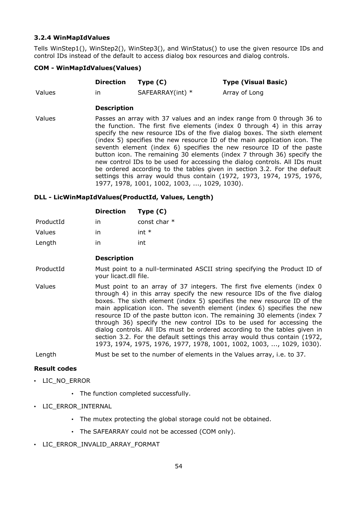### **3.2.4 WinMapIdValues**

Tells WinStep1(), WinStep2(), WinStep3(), and WinStatus() to use the given resource IDs and control IDs instead of the default to access dialog box resources and dialog controls.

### **COM - WinMapIdValues(Values)**

|        | Direction Type (C) |                  | <b>Type (Visual Basic)</b> |
|--------|--------------------|------------------|----------------------------|
| Values | ın                 | SAFEARRAY(int) * | Array of Long              |

#### **Description**

Values Passes an array with 37 values and an index range from 0 through 36 to the function. The first five elements (index 0 through 4) in this array specify the new resource IDs of the five dialog boxes. The sixth element (index 5) specifies the new resource ID of the main application icon. The seventh element (index 6) specifies the new resource ID of the paste button icon. The remaining 30 elements (index 7 through 36) specify the new control IDs to be used for accessing the dialog controls. All IDs must be ordered according to the tables given in section 3.2. For the default settings this array would thus contain (1972, 1973, 1974, 1975, 1976, 1977, 1978, 1001, 1002, 1003, ..., 1029, 1030).

### **DLL - LicWinMapIdValues(ProductId, Values, Length)**

|               | <b>Direction</b> | Type $(C)$     |
|---------------|------------------|----------------|
| ProductId     | ın               | const char $*$ |
| <b>Values</b> | in               | int $*$        |
| Length        | ın               | int            |

#### **Description**

- ProductId Must point to a null-terminated ASCII string specifying the Product ID of your licact.dll file.
- Values Must point to an array of 37 integers. The first five elements (index 0 through 4) in this array specify the new resource IDs of the five dialog boxes. The sixth element (index 5) specifies the new resource ID of the main application icon. The seventh element (index 6) specifies the new resource ID of the paste button icon. The remaining 30 elements (index 7 through 36) specify the new control IDs to be used for accessing the dialog controls. All IDs must be ordered according to the tables given in section 3.2. For the default settings this array would thus contain (1972, 1973, 1974, 1975, 1976, 1977, 1978, 1001, 1002, 1003, ..., 1029, 1030).

Length Must be set to the number of elements in the Values array, i.e. to 37.

#### **Result codes**

- LIC\_NO\_ERROR
	- The function completed successfully.
- LIC\_ERROR\_INTERNAL
	- The mutex protecting the global storage could not be obtained.
	- The SAFEARRAY could not be accessed (COM only).
- LIC ERROR INVALID ARRAY FORMAT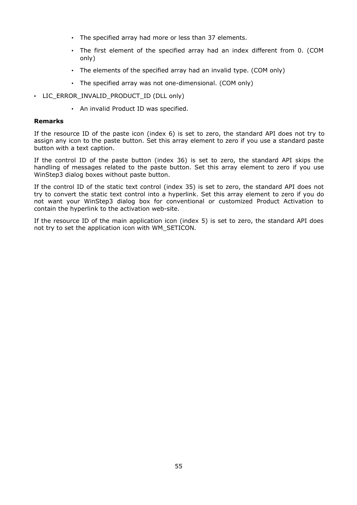- The specified array had more or less than 37 elements.
- The first element of the specified array had an index different from 0. (COM only)
- The elements of the specified array had an invalid type. (COM only)
- The specified array was not one-dimensional. (COM only)
- LIC\_ERROR\_INVALID\_PRODUCT\_ID (DLL only)
	- An invalid Product ID was specified.

#### **Remarks**

If the resource ID of the paste icon (index 6) is set to zero, the standard API does not try to assign any icon to the paste button. Set this array element to zero if you use a standard paste button with a text caption.

If the control ID of the paste button (index 36) is set to zero, the standard API skips the handling of messages related to the paste button. Set this array element to zero if you use WinStep3 dialog boxes without paste button.

If the control ID of the static text control (index 35) is set to zero, the standard API does not try to convert the static text control into a hyperlink. Set this array element to zero if you do not want your WinStep3 dialog box for conventional or customized Product Activation to contain the hyperlink to the activation web-site.

If the resource ID of the main application icon (index 5) is set to zero, the standard API does not try to set the application icon with WM\_SETICON.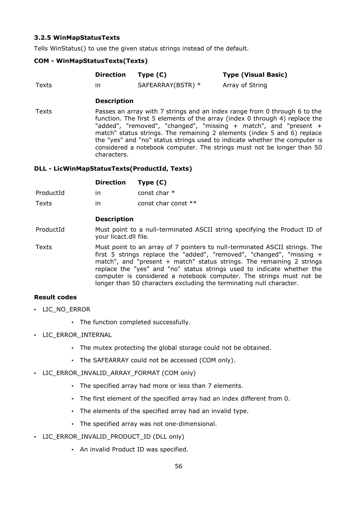## **3.2.5 WinMapStatusTexts**

Tells WinStatus() to use the given status strings instead of the default.

### **COM - WinMapStatusTexts(Texts)**

|       | Direction | Type (C)          | <b>Type (Visual Basic)</b> |
|-------|-----------|-------------------|----------------------------|
| Texts | ın        | SAFEARRAY(BSTR) * | Array of String            |

### **Description**

Texts Passes an array with 7 strings and an index range from 0 through 6 to the function. The first 5 elements of the array (index 0 through 4) replace the "added", "removed", "changed", "missing + match", and "present + match" status strings. The remaining 2 elements (index 5 and 6) replace the "yes" and "no" status strings used to indicate whether the computer is considered a notebook computer. The strings must not be longer than 50 characters.

#### **DLL - LicWinMapStatusTexts(ProductId, Texts)**

|           | Direction Type (C) |                       |
|-----------|--------------------|-----------------------|
| ProductId | ın                 | const char $*$        |
| Texts     | ın                 | const char const $**$ |

### **Description**

ProductId Must point to a null-terminated ASCII string specifying the Product ID of your licact.dll file.

Texts Must point to an array of 7 pointers to null-terminated ASCII strings. The first 5 strings replace the "added", "removed", "changed", "missing + match", and "present + match" status strings. The remaining 2 strings replace the "yes" and "no" status strings used to indicate whether the computer is considered a notebook computer. The strings must not be longer than 50 characters excluding the terminating null character.

#### **Result codes**

- LIC\_NO\_ERROR
	- The function completed successfully.
- LIC\_ERROR\_INTERNAL
	- The mutex protecting the global storage could not be obtained.
	- The SAFEARRAY could not be accessed (COM only).
- LIC ERROR INVALID ARRAY FORMAT (COM only)
	- The specified array had more or less than 7 elements.
	- The first element of the specified array had an index different from 0.
	- The elements of the specified array had an invalid type.
	- The specified array was not one-dimensional.
- LIC\_ERROR\_INVALID\_PRODUCT\_ID (DLL only)
	- An invalid Product ID was specified.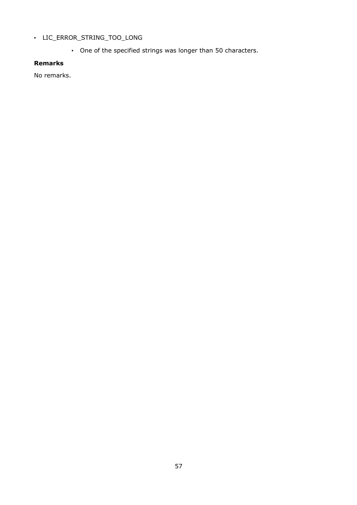# • LIC\_ERROR\_STRING\_TOO\_LONG

• One of the specified strings was longer than 50 characters.

# **Remarks**

No remarks.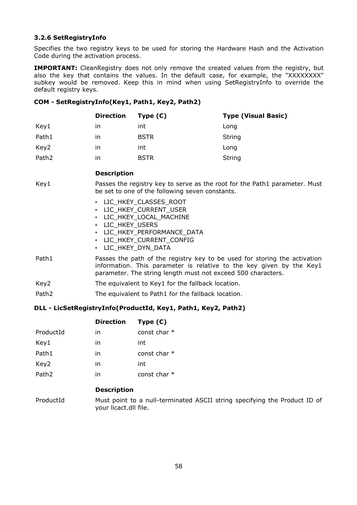## **3.2.6 SetRegistryInfo**

Specifies the two registry keys to be used for storing the Hardware Hash and the Activation Code during the activation process.

**IMPORTANT:** CleanRegistry does not only remove the created values from the registry, but also the key that contains the values. In the default case, for example, the "XXXXXXXX" subkey would be removed. Keep this in mind when using SetRegistryInfo to override the default registry keys.

### **COM - SetRegistryInfo(Key1, Path1, Key2, Path2)**

|                   | <b>Direction</b> | Type $(C)$  | <b>Type (Visual Basic)</b> |
|-------------------|------------------|-------------|----------------------------|
| Key1              | ın               | int         | Long                       |
| Path1             | ın               | <b>BSTR</b> | String                     |
| Key2              | ın               | int         | Long                       |
| Path <sub>2</sub> | ın               | <b>BSTR</b> | String                     |

## **Description**

Key1 Passes the registry key to serve as the root for the Path1 parameter. Must be set to one of the following seven constants.

| LIC HKEY CLASSES ROOT |
|-----------------------|
|-----------------------|

- LIC\_HKEY\_CURRENT\_USER
- LIC HKEY LOCAL MACHINE
- LIC\_HKEY\_USERS
- LIC\_HKEY\_PERFORMANCE\_DATA
- LIC HKEY CURRENT CONFIG
- LIC\_HKEY\_DYN\_DATA
- Path1 Passes the path of the registry key to be used for storing the activation information. This parameter is relative to the key given by the Key1 parameter. The string length must not exceed 500 characters.
- Key2 The equivalent to Key1 for the fallback location.
- Path2 The equivalent to Path1 for the fallback location.

# **DLL - LicSetRegistryInfo(ProductId, Key1, Path1, Key2, Path2)**

|                   | <b>Direction</b> | Type $(C)$     |
|-------------------|------------------|----------------|
| ProductId         | in               | const char $*$ |
| Key1              | in               | int            |
| Path1             | in               | const char $*$ |
| Key2              | in               | int            |
| Path <sub>2</sub> | in               | const char $*$ |

#### **Description**

ProductId Must point to a null-terminated ASCII string specifying the Product ID of your licact.dll file.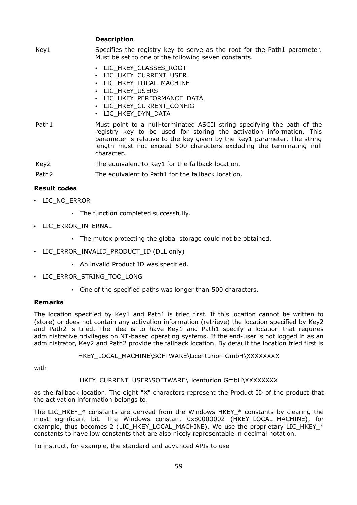**Description**

| Key1  | Specifies the registry key to serve as the root for the Path1 parameter.<br>Must be set to one of the following seven constants.                                                                                                                                                                                  |
|-------|-------------------------------------------------------------------------------------------------------------------------------------------------------------------------------------------------------------------------------------------------------------------------------------------------------------------|
|       | • LIC HKEY CLASSES ROOT<br>• LIC HKEY CURRENT USER<br>• LIC HKEY LOCAL MACHINE<br>LIC HKEY USERS<br>• LIC HKEY PERFORMANCE DATA<br>• LIC HKEY CURRENT CONFIG<br>• LIC HKEY DYN DATA                                                                                                                               |
| Path1 | Must point to a null-terminated ASCII string specifying the path of the<br>registry key to be used for storing the activation information. This<br>parameter is relative to the key given by the Key1 parameter. The string<br>length must not exceed 500 characters excluding the terminating null<br>character. |

Key2 The equivalent to Key1 for the fallback location.

Path2 The equivalent to Path1 for the fallback location.

### **Result codes**

- LIC\_NO\_ERROR
	- The function completed successfully.
- LIC\_ERROR\_INTERNAL
	- The mutex protecting the global storage could not be obtained.
- LIC\_ERROR\_INVALID\_PRODUCT\_ID (DLL only)
	- An invalid Product ID was specified.
- LIC\_ERROR\_STRING\_TOO\_LONG
	- One of the specified paths was longer than 500 characters.

#### **Remarks**

The location specified by Key1 and Path1 is tried first. If this location cannot be written to (store) or does not contain any activation information (retrieve) the location specified by Key2 and Path2 is tried. The idea is to have Key1 and Path1 specify a location that requires administrative privileges on NT-based operating systems. If the end-user is not logged in as an administrator, Key2 and Path2 provide the fallback location. By default the location tried first is

HKEY\_LOCAL\_MACHINE\SOFTWARE\Licenturion GmbH\XXXXXXXX

with

#### HKEY\_CURRENT\_USER\SOFTWARE\Licenturion GmbH\XXXXXXXX

as the fallback location. The eight "X" characters represent the Product ID of the product that the activation information belongs to.

The LIC HKEY  $*$  constants are derived from the Windows HKEY  $*$  constants by clearing the most significant bit. The Windows constant 0x80000002 (HKEY\_LOCAL\_MACHINE), for example, thus becomes 2 (LIC\_HKEY\_LOCAL\_MACHINE). We use the proprietary LIC\_HKEY\_\* constants to have low constants that are also nicely representable in decimal notation.

To instruct, for example, the standard and advanced APIs to use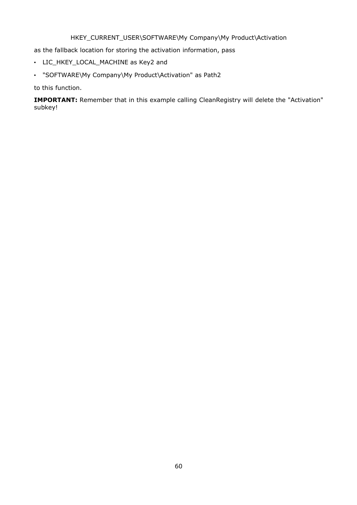# HKEY\_CURRENT\_USER\SOFTWARE\My Company\My Product\Activation

as the fallback location for storing the activation information, pass

- LIC\_HKEY\_LOCAL\_MACHINE as Key2 and
- "SOFTWARE\My Company\My Product\Activation" as Path2

to this function.

**IMPORTANT:** Remember that in this example calling CleanRegistry will delete the "Activation" subkey!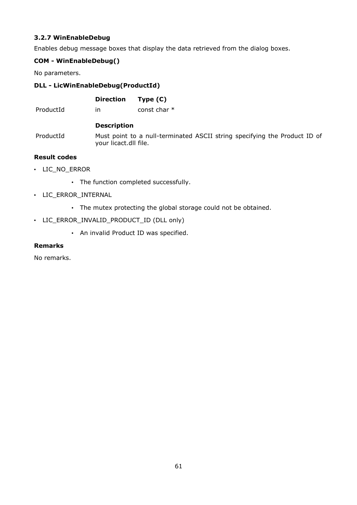# **3.2.7 WinEnableDebug**

Enables debug message boxes that display the data retrieved from the dialog boxes.

# **COM - WinEnableDebug()**

No parameters.

# **DLL - LicWinEnableDebug(ProductId)**

| <b>Direction</b> | Type $(C)$                 |
|------------------|----------------------------|
|                  | المتحامل الملامين والمحافظ |

ProductId in const char  $*$ 

### **Description**

ProductId Must point to a null-terminated ASCII string specifying the Product ID of your licact.dll file.

# **Result codes**

- LIC\_NO\_ERROR
	- The function completed successfully.
- LIC\_ERROR\_INTERNAL
	- The mutex protecting the global storage could not be obtained.
- LIC\_ERROR\_INVALID\_PRODUCT\_ID (DLL only)
	- An invalid Product ID was specified.

### **Remarks**

No remarks.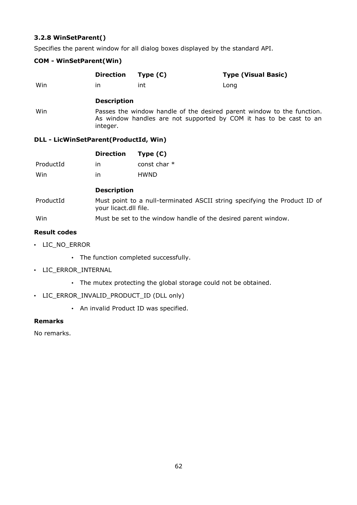# **3.2.8 WinSetParent()**

Specifies the parent window for all dialog boxes displayed by the standard API.

### **COM - WinSetParent(Win)**

|           | <b>Direction</b>                      | Type $(C)$     | <b>Type (Visual Basic)</b>                                                                                                                   |
|-----------|---------------------------------------|----------------|----------------------------------------------------------------------------------------------------------------------------------------------|
| Win       | in                                    | int            | Long                                                                                                                                         |
|           | <b>Description</b>                    |                |                                                                                                                                              |
| Win       | integer.                              |                | Passes the window handle of the desired parent window to the function.<br>As window handles are not supported by COM it has to be cast to an |
|           | DLL - LicWinSetParent(ProductId, Win) |                |                                                                                                                                              |
|           | <b>Direction</b>                      | Type $(C)$     |                                                                                                                                              |
| ProductId | in                                    | const char $*$ |                                                                                                                                              |
| Win       | ın                                    | <b>HWND</b>    |                                                                                                                                              |

#### **Description**

- ProductId Must point to a null-terminated ASCII string specifying the Product ID of your licact.dll file.
- Win Win Must be set to the window handle of the desired parent window.

#### **Result codes**

- LIC\_NO\_ERROR
	- The function completed successfully.
- LIC\_ERROR\_INTERNAL
	- The mutex protecting the global storage could not be obtained.
- LIC\_ERROR\_INVALID\_PRODUCT\_ID (DLL only)
	- An invalid Product ID was specified.

### **Remarks**

No remarks.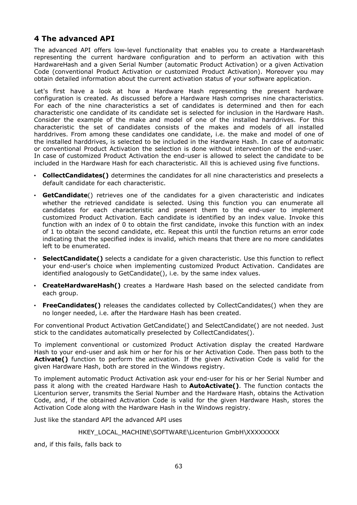# **4 The advanced API**

The advanced API offers low-level functionality that enables you to create a HardwareHash representing the current hardware configuration and to perform an activation with this HardwareHash and a given Serial Number (automatic Product Activation) or a given Activation Code (conventional Product Activation or customized Product Activation). Moreover you may obtain detailed information about the current activation status of your software application.

Let's first have a look at how a Hardware Hash representing the present hardware configuration is created. As discussed before a Hardware Hash comprises nine characteristics. For each of the nine characteristics a set of candidates is determined and then for each characteristic one candidate of its candidate set is selected for inclusion in the Hardware Hash. Consider the example of the make and model of one of the installed harddrives. For this characteristic the set of candidates consists of the makes and models of all installed harddrives. From among these candidates one candidate, i.e. the make and model of one of the installed harddrives, is selected to be included in the Hardware Hash. In case of automatic or conventional Product Activation the selection is done without intervention of the end-user. In case of customized Product Activation the end-user is allowed to select the candidate to be included in the Hardware Hash for each characteristic. All this is achieved using five functions.

- **CollectCandidates()** determines the candidates for all nine characteristics and preselects a default candidate for each characteristic.
- **GetCandidate**() retrieves one of the candidates for a given characteristic and indicates whether the retrieved candidate is selected. Using this function you can enumerate all candidates for each characteristic and present them to the end-user to implement customized Product Activation. Each candidate is identified by an index value. Invoke this function with an index of 0 to obtain the first candidate, invoke this function with an index of 1 to obtain the second candidate, etc. Repeat this until the function returns an error code indicating that the specified index is invalid, which means that there are no more candidates left to be enumerated.
- **SelectCandidate()** selects a candidate for a given characteristic. Use this function to reflect your end-user's choice when implementing customized Product Activation. Candidates are identified analogously to GetCandidate(), i.e. by the same index values.
- **CreateHardwareHash()** creates a Hardware Hash based on the selected candidate from each group.
- **FreeCandidates()** releases the candidates collected by CollectCandidates() when they are no longer needed, i.e. after the Hardware Hash has been created.

For conventional Product Activation GetCandidate() and SelectCandidate() are not needed. Just stick to the candidates automatically preselected by CollectCandidates().

To implement conventional or customized Product Activation display the created Hardware Hash to your end-user and ask him or her for his or her Activation Code. Then pass both to the Activate() function to perform the activation. If the given Activation Code is valid for the given Hardware Hash, both are stored in the Windows registry.

To implement automatic Product Activation ask your end-user for his or her Serial Number and pass it along with the created Hardware Hash to **AutoActivate()**. The function contacts the Licenturion server, transmits the Serial Number and the Hardware Hash, obtains the Activation Code, and, if the obtained Activation Code is valid for the given Hardware Hash, stores the Activation Code along with the Hardware Hash in the Windows registry.

Just like the standard API the advanced API uses

#### HKEY\_LOCAL\_MACHINE\SOFTWARE\Licenturion GmbH\XXXXXXXX

and, if this fails, falls back to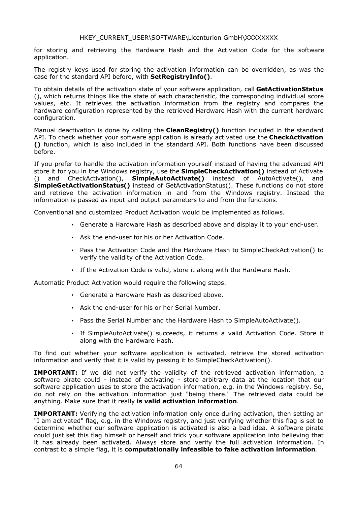#### HKEY\_CURRENT\_USER\SOFTWARE\Licenturion GmbH\XXXXXXXX

for storing and retrieving the Hardware Hash and the Activation Code for the software application.

The registry keys used for storing the activation information can be overridden, as was the case for the standard API before, with **SetRegistryInfo()**.

To obtain details of the activation state of your software application, call **GetActivationStatus** (), which returns things like the state of each characteristic, the corresponding individual score values, etc. It retrieves the activation information from the registry and compares the hardware configuration represented by the retrieved Hardware Hash with the current hardware configuration.

Manual deactivation is done by calling the **CleanRegistry()** function included in the standard API. To check whether your software application is already activated use the **CheckActivation ()** function, which is also included in the standard API. Both functions have been discussed before.

If you prefer to handle the activation information yourself instead of having the advanced API store it for you in the Windows registry, use the **SimpleCheckActivation()** instead of Activate () and CheckActivation(), **SimpleAutoActivate()** instead of AutoActivate(), and **SimpleGetActivationStatus()** instead of GetActivationStatus(). These functions do not store and retrieve the activation information in and from the Windows registry. Instead the information is passed as input and output parameters to and from the functions.

Conventional and customized Product Activation would be implemented as follows.

- Generate a Hardware Hash as described above and display it to your end-user.
- Ask the end-user for his or her Activation Code.
- Pass the Activation Code and the Hardware Hash to SimpleCheckActivation() to verify the validity of the Activation Code.
- If the Activation Code is valid, store it along with the Hardware Hash.

Automatic Product Activation would require the following steps.

- Generate a Hardware Hash as described above.
- Ask the end-user for his or her Serial Number.
- Pass the Serial Number and the Hardware Hash to SimpleAutoActivate().
- If SimpleAutoActivate() succeeds, it returns a valid Activation Code. Store it along with the Hardware Hash.

To find out whether your software application is activated, retrieve the stored activation information and verify that it is valid by passing it to SimpleCheckActivation().

**IMPORTANT:** If we did not verify the validity of the retrieved activation information, a software pirate could - instead of activating - store arbitrary data at the location that our software application uses to store the activation information, e.g. in the Windows registry, So, do not rely on the activation information just "being there." The retrieved data could be anything. Make sure that it really **is valid activation information**.

**IMPORTANT:** Verifying the activation information only once during activation, then setting an "I am activated" flag, e.g. in the Windows registry, and just verifying whether this flag is set to determine whether our software application is activated is also a bad idea. A software pirate could just set this flag himself or herself and trick your software application into believing that it has already been activated. Always store and verify the full activation information. In contrast to a simple flag, it is **computationally infeasible to fake activation information**.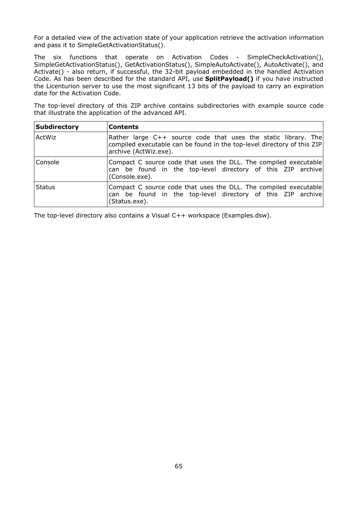For a detailed view of the activation state of your application retrieve the activation information and pass it to SimpleGetActivationStatus().

The six functions that operate on Activation Codes - SimpleCheckActivation(), SimpleGetActivationStatus(), GetActivationStatus(), SimpleAutoActivate(), AutoActivate(), and Activate() - also return, if successful, the 32-bit payload embedded in the handled Activation Code. As has been described for the standard API, use **SplitPayload()** if you have instructed the Licenturion server to use the most significant 13 bits of the payload to carry an expiration date for the Activation Code.

The top-level directory of this ZIP archive contains subdirectories with example source code that illustrate the application of the advanced API.

| Subdirectory  | <b>Contents</b>                                                                                                                                                    |
|---------------|--------------------------------------------------------------------------------------------------------------------------------------------------------------------|
| ActWiz        | Rather large C++ source code that uses the static library. The<br>compiled executable can be found in the top-level directory of this ZIP<br>archive (ActWiz.exe). |
| Console       | Compact C source code that uses the DLL. The compiled executable<br>can be found in the top-level directory of this ZIP archive<br>(Console.exe).                  |
| <b>Status</b> | Compact C source code that uses the DLL. The compiled executable<br>can be found in the top-level directory of this ZIP archive<br>(Status.exe).                   |

The top-level directory also contains a Visual C++ workspace (Examples.dsw).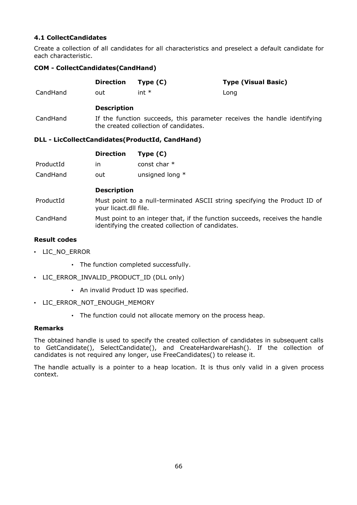# **4.1 CollectCandidates**

Create a collection of all candidates for all characteristics and preselect a default candidate for each characteristic.

### **COM - CollectCandidates(CandHand)**

|                     | <b>Direction</b>                                                                                                                  | Type $(C)$                                             | <b>Type (Visual Basic)</b>                                               |
|---------------------|-----------------------------------------------------------------------------------------------------------------------------------|--------------------------------------------------------|--------------------------------------------------------------------------|
| CandHand            | out                                                                                                                               | int $*$                                                | Long                                                                     |
|                     | <b>Description</b>                                                                                                                |                                                        |                                                                          |
| CandHand            |                                                                                                                                   | the created collection of candidates.                  | If the function succeeds, this parameter receives the handle identifying |
|                     |                                                                                                                                   | <b>DLL - LicCollectCandidates(ProductId, CandHand)</b> |                                                                          |
|                     | <b>Direction</b>                                                                                                                  | Type $(C)$                                             |                                                                          |
| ProductId           | in.                                                                                                                               | const char *                                           |                                                                          |
| CandHand            | out                                                                                                                               | unsigned long *                                        |                                                                          |
|                     | <b>Description</b>                                                                                                                |                                                        |                                                                          |
| ProductId           | Must point to a null-terminated ASCII string specifying the Product ID of<br>your licact.dll file.                                |                                                        |                                                                          |
| CandHand            | Must point to an integer that, if the function succeeds, receives the handle<br>identifying the created collection of candidates. |                                                        |                                                                          |
| <b>Result codes</b> |                                                                                                                                   |                                                        |                                                                          |

- LIC\_NO\_ERROR
	- The function completed successfully.
- LIC\_ERROR\_INVALID\_PRODUCT\_ID (DLL only)
	- An invalid Product ID was specified.
- LIC\_ERROR\_NOT\_ENOUGH\_MEMORY
	- The function could not allocate memory on the process heap.

#### **Remarks**

The obtained handle is used to specify the created collection of candidates in subsequent calls to GetCandidate(), SelectCandidate(), and CreateHardwareHash(). If the collection of candidates is not required any longer, use FreeCandidates() to release it.

The handle actually is a pointer to a heap location. It is thus only valid in a given process context.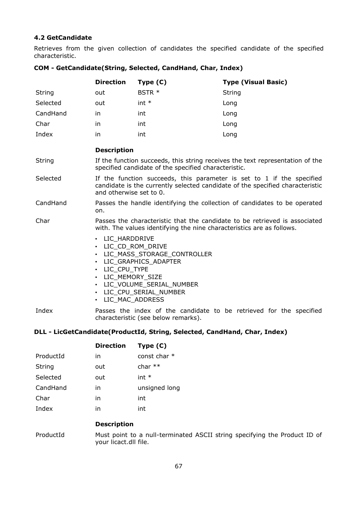# **4.2 GetCandidate**

Retrieves from the given collection of candidates the specified candidate of the specified characteristic.

|          | <b>Direction</b>                                                                                                                                                                  | Type $(C)$                                                                                                       | <b>Type (Visual Basic)</b>                                          |
|----------|-----------------------------------------------------------------------------------------------------------------------------------------------------------------------------------|------------------------------------------------------------------------------------------------------------------|---------------------------------------------------------------------|
| String   | out                                                                                                                                                                               | BSTR *                                                                                                           | String                                                              |
| Selected | out                                                                                                                                                                               | $int *$                                                                                                          | Long                                                                |
| CandHand | in.                                                                                                                                                                               | int                                                                                                              | Long                                                                |
| Char     | in                                                                                                                                                                                | int                                                                                                              | Long                                                                |
| Index    | in.                                                                                                                                                                               | int                                                                                                              | Long                                                                |
|          | <b>Description</b>                                                                                                                                                                |                                                                                                                  |                                                                     |
| String   | If the function succeeds, this string receives the text representation of the<br>specified candidate of the specified characteristic.                                             |                                                                                                                  |                                                                     |
| Selected | If the function succeeds, this parameter is set to 1 if the specified<br>candidate is the currently selected candidate of the specified characteristic<br>and otherwise set to 0. |                                                                                                                  |                                                                     |
| CandHand | Passes the handle identifying the collection of candidates to be operated<br>on.                                                                                                  |                                                                                                                  |                                                                     |
| Char     | Passes the characteristic that the candidate to be retrieved is associated<br>with. The values identifying the nine characteristics are as follows.                               |                                                                                                                  |                                                                     |
|          | · LIC_HARDDRIVE<br>• LIC CD ROM DRIVE<br>• LIC CPU TYPE<br>• LIC MEMORY SIZE<br>• LIC MAC ADDRESS                                                                                 | • LIC MASS STORAGE CONTROLLER<br>• LIC GRAPHICS ADAPTER<br>· LIC VOLUME SERIAL NUMBER<br>· LIC CPU SERIAL NUMBER |                                                                     |
| Index    |                                                                                                                                                                                   | characteristic (see below remarks).                                                                              | Passes the index of the candidate to be retrieved for the specified |

### **COM - GetCandidate(String, Selected, CandHand, Char, Index)**

# **DLL - LicGetCandidate(ProductId, String, Selected, CandHand, Char, Index)**

|               | <b>Direction</b> | Type $(C)$     |
|---------------|------------------|----------------|
| ProductId     | in               | const char $*$ |
| <b>String</b> | out              | char $**$      |
| Selected      | out              | int $*$        |
| CandHand      | in               | unsigned long  |
| Char          | in               | int            |
| Index         | in               | int            |

# **Description**

ProductId Must point to a null-terminated ASCII string specifying the Product ID of your licact.dll file.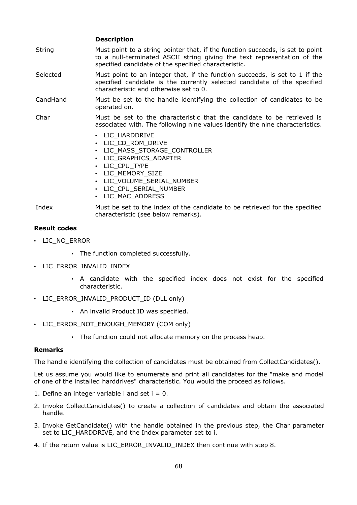|          | <b>Description</b>                                                                                                                                                                                                    |
|----------|-----------------------------------------------------------------------------------------------------------------------------------------------------------------------------------------------------------------------|
| String   | Must point to a string pointer that, if the function succeeds, is set to point<br>to a null-terminated ASCII string giving the text representation of the<br>specified candidate of the specified characteristic.     |
| Selected | Must point to an integer that, if the function succeeds, is set to 1 if the<br>specified candidate is the currently selected candidate of the specified<br>characteristic and otherwise set to 0.                     |
| CandHand | Must be set to the handle identifying the collection of candidates to be<br>operated on.                                                                                                                              |
| Char     | Must be set to the characteristic that the candidate to be retrieved is<br>associated with. The following nine values identify the nine characteristics.                                                              |
|          | • LIC HARDDRIVE<br>• LIC_CD_ROM_DRIVE<br>• LIC_MASS_STORAGE_CONTROLLER<br>• LIC GRAPHICS ADAPTER<br>• LIC CPU TYPE<br>· LIC_MEMORY_SIZE<br>· LIC_VOLUME_SERIAL_NUMBER<br>· LIC_CPU_SERIAL_NUMBER<br>• LIC MAC ADDRESS |
| Index    | Must be set to the index of the candidate to be retrieved for the specified<br>characteristic (see below remarks).                                                                                                    |

### **Result codes**

- LIC\_NO\_ERROR
	- The function completed successfully.
- LIC\_ERROR\_INVALID\_INDEX
	- A candidate with the specified index does not exist for the specified characteristic.
- LIC ERROR INVALID PRODUCT ID (DLL only)
	- An invalid Product ID was specified.
- LIC\_ERROR\_NOT\_ENOUGH\_MEMORY (COM only)
	- The function could not allocate memory on the process heap.

#### **Remarks**

The handle identifying the collection of candidates must be obtained from CollectCandidates().

Let us assume you would like to enumerate and print all candidates for the "make and model of one of the installed harddrives" characteristic. You would the proceed as follows.

- 1. Define an integer variable i and set  $i = 0$ .
- 2. Invoke CollectCandidates() to create a collection of candidates and obtain the associated handle.
- 3. Invoke GetCandidate() with the handle obtained in the previous step, the Char parameter set to LIC\_HARDDRIVE, and the Index parameter set to i.
- 4. If the return value is LIC\_ERROR\_INVALID\_INDEX then continue with step 8.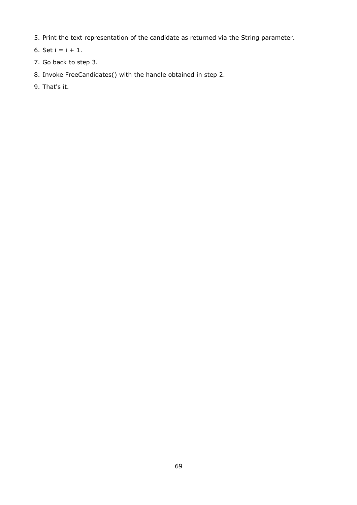- 5. Print the text representation of the candidate as returned via the String parameter.
- 6. Set  $i = i + 1$ .
- 7. Go back to step 3.

# 8. Invoke FreeCandidates() with the handle obtained in step 2.

9. That's it.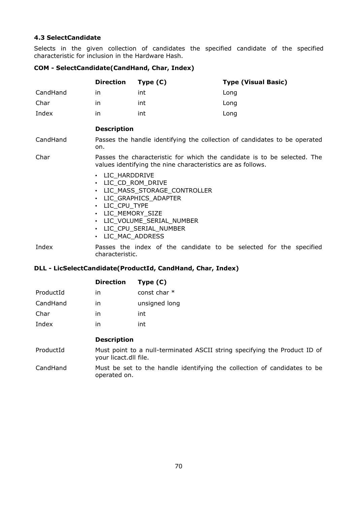# **4.3 SelectCandidate**

Selects in the given collection of candidates the specified candidate of the specified characteristic for inclusion in the Hardware Hash.

### **COM - SelectCandidate(CandHand, Char, Index)**

|          | <b>Direction</b>                                                                                                                        | Type $(C)$                                                                                                       | <b>Type (Visual Basic)</b>                                         |
|----------|-----------------------------------------------------------------------------------------------------------------------------------------|------------------------------------------------------------------------------------------------------------------|--------------------------------------------------------------------|
| CandHand | in.                                                                                                                                     | int                                                                                                              | Long                                                               |
| Char     | in.                                                                                                                                     | int                                                                                                              | Long                                                               |
| Index    | in                                                                                                                                      | int                                                                                                              | Long                                                               |
|          | <b>Description</b>                                                                                                                      |                                                                                                                  |                                                                    |
| CandHand | Passes the handle identifying the collection of candidates to be operated<br>on.                                                        |                                                                                                                  |                                                                    |
| Char     | Passes the characteristic for which the candidate is to be selected. The<br>values identifying the nine characteristics are as follows. |                                                                                                                  |                                                                    |
|          | • LIC_HARDDRIVE<br>· LIC_CD_ROM_DRIVE<br>• LIC CPU TYPE<br>· LIC_MEMORY_SIZE<br>LIC MAC ADDRESS<br>$\bullet$                            | • LIC_MASS_STORAGE_CONTROLLER<br>• LIC GRAPHICS ADAPTER<br>· LIC_VOLUME_SERIAL_NUMBER<br>• LIC_CPU_SERIAL_NUMBER |                                                                    |
| Index    | characteristic.                                                                                                                         |                                                                                                                  | Passes the index of the candidate to be selected for the specified |

### **DLL - LicSelectCandidate(ProductId, CandHand, Char, Index)**

|           | <b>Direction</b> | Type $(C)$     |
|-----------|------------------|----------------|
| ProductId | ın               | const char $*$ |
| CandHand  | in               | unsigned long  |
| Char      | in               | int            |
| Index     | in               | int            |
|           |                  |                |

## **Description**

ProductId Must point to a null-terminated ASCII string specifying the Product ID of your licact.dll file.

CandHand Must be set to the handle identifying the collection of candidates to be operated on.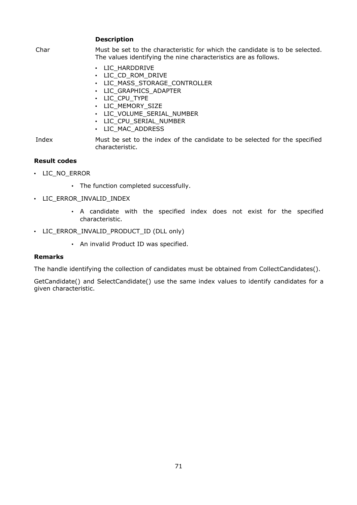**Description**

Char Must be set to the characteristic for which the candidate is to be selected. The values identifying the nine characteristics are as follows. • LIC\_HARDDRIVE • LIC\_CD\_ROM\_DRIVE

- LIC\_MASS\_STORAGE\_CONTROLLER
- LIC\_GRAPHICS\_ADAPTER
- LIC\_CPU\_TYPE
- LIC\_MEMORY\_SIZE
- LIC\_VOLUME\_SERIAL\_NUMBER
- LIC\_CPU\_SERIAL\_NUMBER
- LIC MAC ADDRESS

Index Must be set to the index of the candidate to be selected for the specified characteristic.

### **Result codes**

- LIC\_NO\_ERROR
	- The function completed successfully.
- LIC\_ERROR\_INVALID\_INDEX
	- A candidate with the specified index does not exist for the specified characteristic.
- LIC\_ERROR\_INVALID\_PRODUCT\_ID (DLL only)
	- An invalid Product ID was specified.

#### **Remarks**

The handle identifying the collection of candidates must be obtained from CollectCandidates().

GetCandidate() and SelectCandidate() use the same index values to identify candidates for a given characteristic.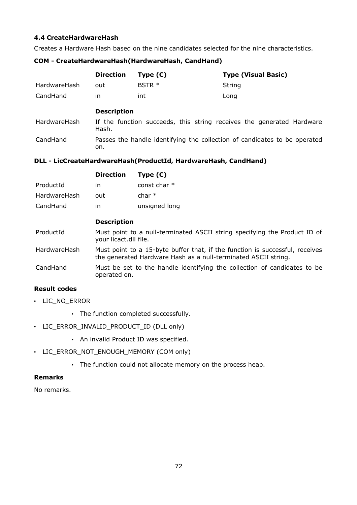# **4.4 CreateHardwareHash**

Creates a Hardware Hash based on the nine candidates selected for the nine characteristics.

### **COM - CreateHardwareHash(HardwareHash, CandHand)**

|              | <b>Direction</b> | Type (C) | <b>Type (Visual Basic)</b> |
|--------------|------------------|----------|----------------------------|
| HardwareHash | out              | $BSTR *$ | String                     |
| CandHand     | ın               | int      | Long                       |

# **Description**

on.

| HardwareHash | If the function succeeds, this string receives the generated Hardware<br>Hash. |  |  |  |
|--------------|--------------------------------------------------------------------------------|--|--|--|
| CandHand     | Passes the handle identifying the collection of candidates to be operated      |  |  |  |

**DLL - LicCreateHardwareHash(ProductId, HardwareHash, CandHand)**

|              | <b>Direction</b>                                                                                                                               | Type $(C)$     |  |
|--------------|------------------------------------------------------------------------------------------------------------------------------------------------|----------------|--|
| ProductId    | in                                                                                                                                             | const char $*$ |  |
| HardwareHash | out                                                                                                                                            | char $*$       |  |
| CandHand     | in                                                                                                                                             | unsigned long  |  |
|              | <b>Description</b>                                                                                                                             |                |  |
| ProductId    | Must point to a null-terminated ASCII string specifying the Product ID of<br>your licact.dll file.                                             |                |  |
| HardwareHash | Must point to a 15-byte buffer that, if the function is successful, receives<br>the generated Hardware Hash as a null-terminated ASCII string. |                |  |
| CandHand     | Must be set to the handle identifying the collection of candidates to be<br>operated on.                                                       |                |  |

# **Result codes**

- LIC\_NO\_ERROR
	- The function completed successfully.
- LIC\_ERROR\_INVALID\_PRODUCT\_ID (DLL only)
	- An invalid Product ID was specified.
- LIC\_ERROR\_NOT\_ENOUGH\_MEMORY (COM only)
	- The function could not allocate memory on the process heap.

# **Remarks**

No remarks.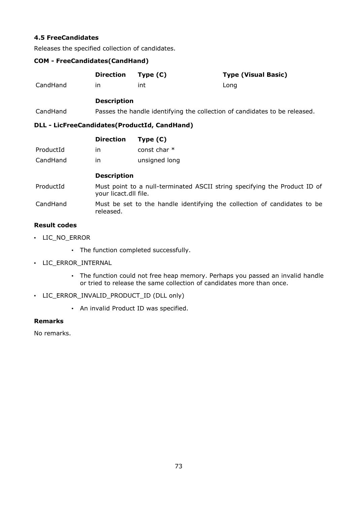## **4.5 FreeCandidates**

Releases the specified collection of candidates.

## **COM - FreeCandidates(CandHand)**

|          | <b>Direction</b>                                                           | Type (C) | <b>Type (Visual Basic)</b> |
|----------|----------------------------------------------------------------------------|----------|----------------------------|
| CandHand | ın                                                                         | int      | Long                       |
|          | <b>Description</b>                                                         |          |                            |
| CandHand | Passes the handle identifying the collection of candidates to be released. |          |                            |
| .        |                                                                            |          |                            |

## **DLL - LicFreeCandidates(ProductId, CandHand)**

|           | <b>Direction</b> | Type $(C)$     |
|-----------|------------------|----------------|
| ProductId | ın               | const char $*$ |
| CandHand  | in               | unsigned long  |

## **Description**

- ProductId Must point to a null-terminated ASCII string specifying the Product ID of your licact.dll file.
- CandHand Must be set to the handle identifying the collection of candidates to be released.

## **Result codes**

- LIC\_NO\_ERROR
	- The function completed successfully.
- LIC\_ERROR\_INTERNAL
	- The function could not free heap memory. Perhaps you passed an invalid handle or tried to release the same collection of candidates more than once.
- LIC\_ERROR\_INVALID\_PRODUCT\_ID (DLL only)
	- An invalid Product ID was specified.

## **Remarks**

No remarks.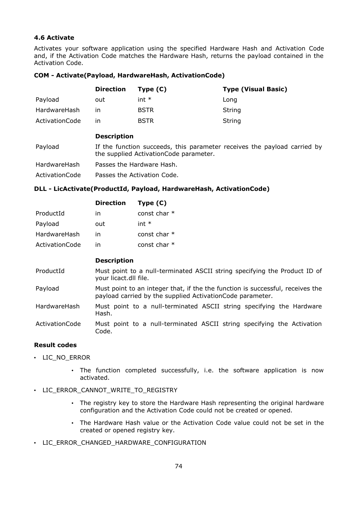## **4.6 Activate**

Activates your software application using the specified Hardware Hash and Activation Code and, if the Activation Code matches the Hardware Hash, returns the payload contained in the Activation Code.

#### **COM - Activate(Payload, HardwareHash, ActivationCode)**

|                | <b>Direction</b>                                                                                                    | Type $(C)$  | <b>Type (Visual Basic)</b> |
|----------------|---------------------------------------------------------------------------------------------------------------------|-------------|----------------------------|
| Payload        | out                                                                                                                 | $int *$     | Long                       |
| HardwareHash   | in                                                                                                                  | <b>BSTR</b> | String                     |
| ActivationCode | in                                                                                                                  | <b>BSTR</b> | String                     |
|                | <b>Description</b>                                                                                                  |             |                            |
| Payload        | If the function succeeds, this parameter receives the payload carried by<br>the supplied Activation Code parameter. |             |                            |
| HardwareHash   | Passes the Hardware Hash.                                                                                           |             |                            |
| ActivationCode | Passes the Activation Code.                                                                                         |             |                            |

## **DLL - LicActivate(ProductId, Payload, HardwareHash, ActivationCode)**

|                | <b>Direction</b> | Type $(C)$     |
|----------------|------------------|----------------|
| ProductId      | in               | const char $*$ |
| Payload        | out              | int $*$        |
| HardwareHash   | in               | const char $*$ |
| ActivationCode | ın               | const char $*$ |

### **Description**

ProductId Must point to a null-terminated ASCII string specifying the Product ID of your licact.dll file.

Payload Must point to an integer that, if the the function is successful, receives the payload carried by the supplied ActivationCode parameter.

HardwareHash Must point to a null-terminated ASCII string specifying the Hardware Hash.

ActivationCode Must point to a null-terminated ASCII string specifying the Activation Code.

## **Result codes**

- LIC\_NO\_ERROR
	- The function completed successfully, i.e. the software application is now activated.
- LIC ERROR CANNOT WRITE TO REGISTRY
	- The registry key to store the Hardware Hash representing the original hardware configuration and the Activation Code could not be created or opened.
	- The Hardware Hash value or the Activation Code value could not be set in the created or opened registry key.
- LIC\_ERROR\_CHANGED\_HARDWARE\_CONFIGURATION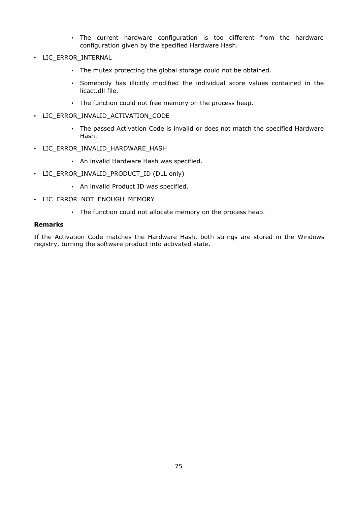- The current hardware configuration is too different from the hardware configuration given by the specified Hardware Hash.
- LIC\_ERROR\_INTERNAL
	- The mutex protecting the global storage could not be obtained.
	- Somebody has illicitly modified the individual score values contained in the licact.dll file.
	- The function could not free memory on the process heap.
- LIC ERROR INVALID ACTIVATION CODE
	- The passed Activation Code is invalid or does not match the specified Hardware Hash.
- LIC ERROR INVALID HARDWARE HASH
	- An invalid Hardware Hash was specified.
- LIC ERROR INVALID PRODUCT ID (DLL only)
	- An invalid Product ID was specified.
- LIC\_ERROR\_NOT\_ENOUGH\_MEMORY
	- The function could not allocate memory on the process heap.

#### **Remarks**

If the Activation Code matches the Hardware Hash, both strings are stored in the Windows registry, turning the software product into activated state.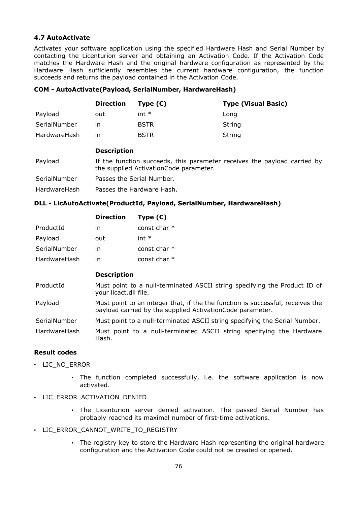## **4.7 AutoActivate**

Activates your software application using the specified Hardware Hash and Serial Number by contacting the Licenturion server and obtaining an Activation Code. If the Activation Code matches the Hardware Hash and the original hardware configuration as represented by the Hardware Hash sufficiently resembles the current hardware configuration, the function succeeds and returns the payload contained in the Activation Code.

#### **COM - AutoActivate(Payload, SerialNumber, HardwareHash)**

|              | <b>Direction</b> | Type $(C)$  | <b>Type (Visual Basic)</b> |
|--------------|------------------|-------------|----------------------------|
| Payload      | out              | $int *$     | Long                       |
| SerialNumber | ın               | <b>BSTR</b> | String                     |
| HardwareHash | ın               | <b>BSTR</b> | String                     |

### **Description**

| Payload | If the function succeeds, this parameter receives the payload carried by |
|---------|--------------------------------------------------------------------------|
|         | the supplied Activation Code parameter.                                  |

SerialNumber Passes the Serial Number.

HardwareHash Passes the Hardware Hash.

## **DLL - LicAutoActivate(ProductId, Payload, SerialNumber, HardwareHash)**

|              | <b>Direction</b> | Type $(C)$   |
|--------------|------------------|--------------|
| ProductId    | ın               | const char * |
| Payload      | out              | int $*$      |
| SerialNumber | ın               | const char * |
| HardwareHash | ın               | const char * |

#### **Description**

- ProductId Must point to a null-terminated ASCII string specifying the Product ID of your licact.dll file.
- Payload Must point to an integer that, if the the function is successful, receives the payload carried by the supplied ActivationCode parameter.
- SerialNumber Must point to a null-terminated ASCII string specifying the Serial Number.
- HardwareHash Must point to a null-terminated ASCII string specifying the Hardware Hash.

## **Result codes**

- LIC\_NO\_ERROR
	- The function completed successfully, i.e. the software application is now activated.
- LIC ERROR ACTIVATION DENIED
	- The Licenturion server denied activation. The passed Serial Number has probably reached its maximal number of first-time activations.
- LIC ERROR CANNOT WRITE TO REGISTRY
	- The registry key to store the Hardware Hash representing the original hardware configuration and the Activation Code could not be created or opened.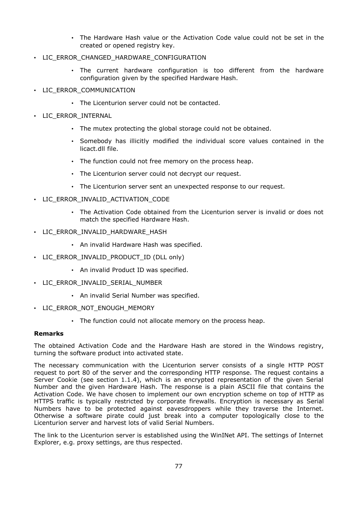- The Hardware Hash value or the Activation Code value could not be set in the created or opened registry key.
- LIC ERROR CHANGED HARDWARE CONFIGURATION
	- The current hardware configuration is too different from the hardware configuration given by the specified Hardware Hash.
- LIC ERROR COMMUNICATION
	- The Licenturion server could not be contacted.
- LIC\_ERROR\_INTERNAL
	- The mutex protecting the global storage could not be obtained.
	- Somebody has illicitly modified the individual score values contained in the licact.dll file.
	- The function could not free memory on the process heap.
	- The Licenturion server could not decrypt our request.
	- The Licenturion server sent an unexpected response to our request.
- LIC\_ERROR\_INVALID\_ACTIVATION\_CODE
	- The Activation Code obtained from the Licenturion server is invalid or does not match the specified Hardware Hash.
- LIC\_ERROR\_INVALID\_HARDWARE\_HASH
	- An invalid Hardware Hash was specified.
- LIC\_ERROR\_INVALID\_PRODUCT\_ID (DLL only)
	- An invalid Product ID was specified.
- LIC\_ERROR\_INVALID\_SERIAL\_NUMBER
	- An invalid Serial Number was specified.
- LIC\_ERROR\_NOT\_ENOUGH\_MEMORY
	- The function could not allocate memory on the process heap.

#### **Remarks**

The obtained Activation Code and the Hardware Hash are stored in the Windows registry, turning the software product into activated state.

The necessary communication with the Licenturion server consists of a single HTTP POST request to port 80 of the server and the corresponding HTTP response. The request contains a Server Cookie (see section 1.1.4), which is an encrypted representation of the given Serial Number and the given Hardware Hash. The response is a plain ASCII file that contains the Activation Code. We have chosen to implement our own encryption scheme on top of HTTP as HTTPS traffic is typically restricted by corporate firewalls. Encryption is necessary as Serial Numbers have to be protected against eavesdroppers while they traverse the Internet. Otherwise a software pirate could just break into a computer topologically close to the Licenturion server and harvest lots of valid Serial Numbers.

The link to the Licenturion server is established using the WinINet API. The settings of Internet Explorer, e.g. proxy settings, are thus respected.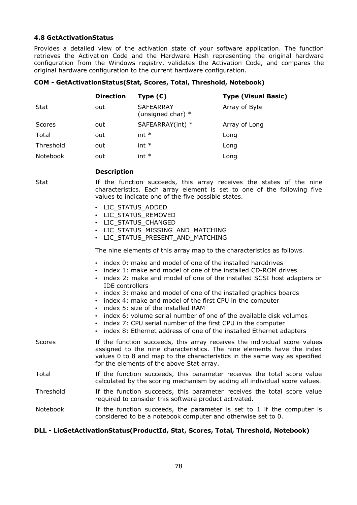#### **4.8 GetActivationStatus**

Provides a detailed view of the activation state of your software application. The function retrieves the Activation Code and the Hardware Hash representing the original hardware configuration from the Windows registry, validates the Activation Code, and compares the original hardware configuration to the current hardware configuration.

#### **COM - GetActivationStatus(Stat, Scores, Total, Threshold, Notebook)**

|           | <b>Direction</b> | Type $(C)$                              | <b>Type (Visual Basic)</b> |
|-----------|------------------|-----------------------------------------|----------------------------|
| Stat      | out              | <b>SAFEARRAY</b><br>(unsigned char) $*$ | Array of Byte              |
| Scores    | out              | SAFEARRAY(int) *                        | Array of Long              |
| Total     | out              | $int *$                                 | Long                       |
| Threshold | out              | $int *$                                 | Long                       |
| Notebook  | out              | int $*$                                 | Long                       |

### **Description**

Stat If the function succeeds, this array receives the states of the nine characteristics. Each array element is set to one of the following five values to indicate one of the five possible states.

- LIC\_STATUS\_ADDED
- LIC\_STATUS\_REMOVED
- LIC\_STATUS\_CHANGED
- LIC STATUS MISSING AND MATCHING
- LIC\_STATUS\_PRESENT\_AND\_MATCHING

The nine elements of this array map to the characteristics as follows.

- index 0: make and model of one of the installed harddrives
- index 1: make and model of one of the installed CD-ROM drives
- index 2: make and model of one of the installed SCSI host adapters or IDE controllers
- index 3: make and model of one of the installed graphics boards
- index 4: make and model of the first CPU in the computer
- index 5: size of the installed RAM
- index 6: volume serial number of one of the available disk volumes
- index 7: CPU serial number of the first CPU in the computer
- index 8: Ethernet address of one of the installed Ethernet adapters
- Scores **If the function succeeds, this array receives the individual score values** assigned to the nine characteristics. The nine elements have the index values 0 to 8 and map to the characteristics in the same way as specified for the elements of the above Stat array.

#### Total If the function succeeds, this parameter receives the total score value calculated by the scoring mechanism by adding all individual score values.

Threshold If the function succeeds, this parameter receives the total score value required to consider this software product activated.

#### Notebook If the function succeeds, the parameter is set to  $1$  if the computer is considered to be a notebook computer and otherwise set to 0.

#### **DLL - LicGetActivationStatus(ProductId, Stat, Scores, Total, Threshold, Notebook)**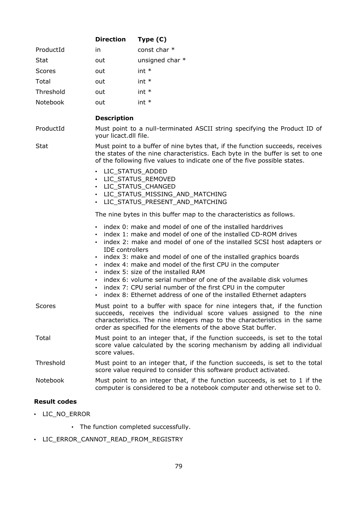|               | <b>Direction</b>                                                                                                                                                          | Type $(C)$                                                                                                                                                                                                                                                                                                                          |  |
|---------------|---------------------------------------------------------------------------------------------------------------------------------------------------------------------------|-------------------------------------------------------------------------------------------------------------------------------------------------------------------------------------------------------------------------------------------------------------------------------------------------------------------------------------|--|
| ProductId     | in.                                                                                                                                                                       | const char *                                                                                                                                                                                                                                                                                                                        |  |
| Stat          | out                                                                                                                                                                       | unsigned char *                                                                                                                                                                                                                                                                                                                     |  |
| <b>Scores</b> | out                                                                                                                                                                       | $int *$                                                                                                                                                                                                                                                                                                                             |  |
| Total         | out                                                                                                                                                                       | $int *$                                                                                                                                                                                                                                                                                                                             |  |
| Threshold     | out                                                                                                                                                                       | $int *$                                                                                                                                                                                                                                                                                                                             |  |
| Notebook      | out                                                                                                                                                                       | $int *$                                                                                                                                                                                                                                                                                                                             |  |
|               | <b>Description</b>                                                                                                                                                        |                                                                                                                                                                                                                                                                                                                                     |  |
| ProductId     | your licact.dll file.                                                                                                                                                     | Must point to a null-terminated ASCII string specifying the Product ID of                                                                                                                                                                                                                                                           |  |
| <b>Stat</b>   |                                                                                                                                                                           | Must point to a buffer of nine bytes that, if the function succeeds, receives<br>the states of the nine characteristics. Each byte in the buffer is set to one<br>of the following five values to indicate one of the five possible states.                                                                                         |  |
|               | • LIC_STATUS_ADDED<br>• LIC_STATUS_REMOVED<br>· LIC_STATUS_CHANGED                                                                                                        | · LIC_STATUS_MISSING_AND_MATCHING<br>• LIC_STATUS_PRESENT_AND_MATCHING                                                                                                                                                                                                                                                              |  |
|               |                                                                                                                                                                           | The nine bytes in this buffer map to the characteristics as follows.                                                                                                                                                                                                                                                                |  |
|               | <b>IDE</b> controllers                                                                                                                                                    | index 0: make and model of one of the installed harddrives<br>index 1: make and model of one of the installed CD-ROM drives<br>index 2: make and model of one of the installed SCSI host adapters or<br>index 3: make and model of one of the installed graphics boards<br>index 4: make and model of the first CPU in the computer |  |
|               |                                                                                                                                                                           | index 5: size of the installed RAM<br>index 6: volume serial number of one of the available disk volumes<br>index 7: CPU serial number of the first CPU in the computer<br>index 8: Ethernet address of one of the installed Ethernet adapters                                                                                      |  |
| Scores        |                                                                                                                                                                           | Must point to a buffer with space for nine integers that, if the function<br>succeeds, receives the individual score values assigned to the nine<br>characteristics. The nine integers map to the characteristics in the same<br>order as specified for the elements of the above Stat buffer.                                      |  |
| Total         | Must point to an integer that, if the function succeeds, is set to the total<br>score value calculated by the scoring mechanism by adding all individual<br>score values. |                                                                                                                                                                                                                                                                                                                                     |  |
| Threshold     |                                                                                                                                                                           | Must point to an integer that, if the function succeeds, is set to the total<br>score value required to consider this software product activated.                                                                                                                                                                                   |  |
| Notebook      |                                                                                                                                                                           | Must point to an integer that, if the function succeeds, is set to 1 if the<br>computer is considered to be a notebook computer and otherwise set to 0.                                                                                                                                                                             |  |
|               |                                                                                                                                                                           |                                                                                                                                                                                                                                                                                                                                     |  |

## **Result codes**

- LIC\_NO\_ERROR
	- The function completed successfully.
- LIC\_ERROR\_CANNOT\_READ\_FROM\_REGISTRY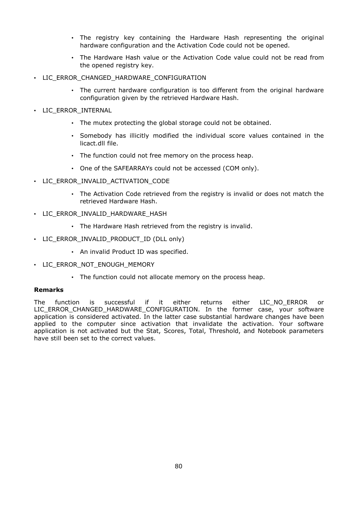- The registry key containing the Hardware Hash representing the original hardware configuration and the Activation Code could not be opened.
- The Hardware Hash value or the Activation Code value could not be read from the opened registry key.
- LIC ERROR CHANGED HARDWARE CONFIGURATION
	- The current hardware configuration is too different from the original hardware configuration given by the retrieved Hardware Hash.
- LIC\_ERROR\_INTERNAL
	- The mutex protecting the global storage could not be obtained.
	- Somebody has illicitly modified the individual score values contained in the licact.dll file.
	- The function could not free memory on the process heap.
	- One of the SAFEARRAYs could not be accessed (COM only).
- LIC ERROR INVALID ACTIVATION CODE
	- The Activation Code retrieved from the registry is invalid or does not match the retrieved Hardware Hash.
- LIC ERROR INVALID HARDWARE HASH
	- The Hardware Hash retrieved from the registry is invalid.
- LIC\_ERROR\_INVALID\_PRODUCT\_ID (DLL only)
	- An invalid Product ID was specified.
- LIC\_ERROR\_NOT\_ENOUGH\_MEMORY
	- The function could not allocate memory on the process heap.

#### **Remarks**

The function is successful if it either returns either LIC\_NO\_ERROR or LIC\_ERROR\_CHANGED\_HARDWARE\_CONFIGURATION. In the former case, your software application is considered activated. In the latter case substantial hardware changes have been applied to the computer since activation that invalidate the activation. Your software application is not activated but the Stat, Scores, Total, Threshold, and Notebook parameters have still been set to the correct values.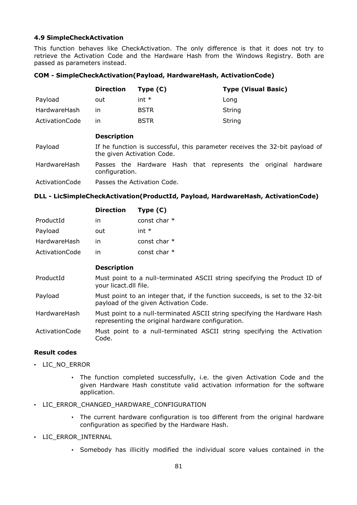#### **4.9 SimpleCheckActivation**

This function behaves like CheckActivation. The only difference is that it does not try to retrieve the Activation Code and the Hardware Hash from the Windows Registry. Both are passed as parameters instead.

#### **COM - SimpleCheckActivation(Payload, HardwareHash, ActivationCode)**

|                | <b>Direction</b>                                                                                          | Type $(C)$                                                     | <b>Type (Visual Basic)</b> |  |
|----------------|-----------------------------------------------------------------------------------------------------------|----------------------------------------------------------------|----------------------------|--|
| Payload        | out                                                                                                       | $int *$                                                        | Long                       |  |
| HardwareHash   | in                                                                                                        | <b>BSTR</b>                                                    | String                     |  |
| ActivationCode | in                                                                                                        | <b>BSTR</b>                                                    | String                     |  |
|                | <b>Description</b>                                                                                        |                                                                |                            |  |
| Payload        | If he function is successful, this parameter receives the 32-bit payload of<br>the given Activation Code. |                                                                |                            |  |
| HardwareHash   | configuration.                                                                                            | Passes the Hardware Hash that represents the original hardware |                            |  |
| ActivationCode | Passes the Activation Code.                                                                               |                                                                |                            |  |

## **DLL - LicSimpleCheckActivation(ProductId, Payload, HardwareHash, ActivationCode)**

|                | <b>Direction</b> | Type (C)       |
|----------------|------------------|----------------|
| ProductId      | in               | const char $*$ |
| Payload        | out              | int $*$        |
| HardwareHash   | in               | const char *   |
| ActivationCode | ın               | const char *   |

#### **Description**

- ProductId Must point to a null-terminated ASCII string specifying the Product ID of your licact.dll file.
- Payload Must point to an integer that, if the function succeeds, is set to the 32-bit payload of the given Activation Code.

HardwareHash Must point to a null-terminated ASCII string specifying the Hardware Hash representing the original hardware configuration.

ActivationCode Must point to a null-terminated ASCII string specifying the Activation Code.

## **Result codes**

- LIC\_NO\_ERROR
	- The function completed successfully, i.e. the given Activation Code and the given Hardware Hash constitute valid activation information for the software application.
- LIC ERROR CHANGED HARDWARE CONFIGURATION
	- The current hardware configuration is too different from the original hardware configuration as specified by the Hardware Hash.
- LIC\_ERROR\_INTERNAL
	- Somebody has illicitly modified the individual score values contained in the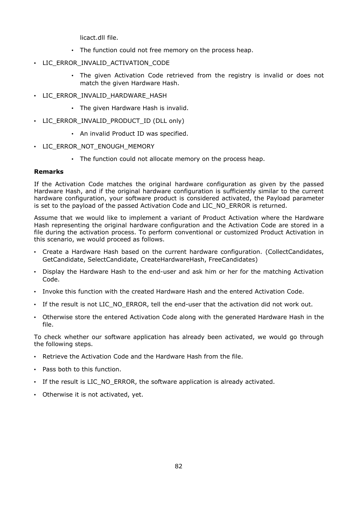licact.dll file.

- The function could not free memory on the process heap.
- LIC ERROR INVALID ACTIVATION CODE
	- The given Activation Code retrieved from the registry is invalid or does not match the given Hardware Hash.
- LIC ERROR INVALID HARDWARE HASH
	- The given Hardware Hash is invalid.
- LIC\_ERROR\_INVALID\_PRODUCT\_ID (DLL only)
	- An invalid Product ID was specified.
- LIC\_ERROR\_NOT\_ENOUGH\_MEMORY
	- The function could not allocate memory on the process heap.

#### **Remarks**

If the Activation Code matches the original hardware configuration as given by the passed Hardware Hash, and if the original hardware configuration is sufficiently similar to the current hardware configuration, your software product is considered activated, the Payload parameter is set to the payload of the passed Activation Code and LIC\_NO\_ERROR is returned.

Assume that we would like to implement a variant of Product Activation where the Hardware Hash representing the original hardware configuration and the Activation Code are stored in a file during the activation process. To perform conventional or customized Product Activation in this scenario, we would proceed as follows.

- Create a Hardware Hash based on the current hardware configuration. (CollectCandidates, GetCandidate, SelectCandidate, CreateHardwareHash, FreeCandidates)
- Display the Hardware Hash to the end-user and ask him or her for the matching Activation Code.
- Invoke this function with the created Hardware Hash and the entered Activation Code.
- If the result is not LIC\_NO\_ERROR, tell the end-user that the activation did not work out.
- Otherwise store the entered Activation Code along with the generated Hardware Hash in the file.

To check whether our software application has already been activated, we would go through the following steps.

- Retrieve the Activation Code and the Hardware Hash from the file.
- Pass both to this function.
- If the result is LIC NO ERROR, the software application is already activated.
- Otherwise it is not activated, yet.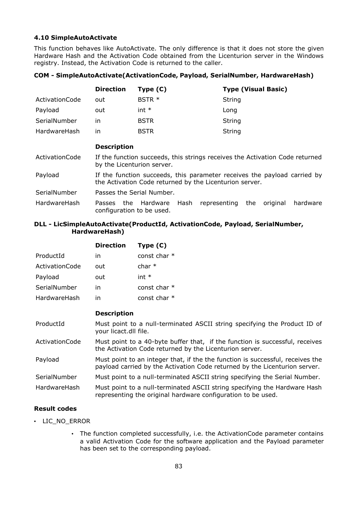## **4.10 SimpleAutoActivate**

This function behaves like AutoActivate. The only difference is that it does not store the given Hardware Hash and the Activation Code obtained from the Licenturion server in the Windows registry. Instead, the Activation Code is returned to the caller.

#### **COM - SimpleAutoActivate(ActivationCode, Payload, SerialNumber, HardwareHash)**

|                | <b>Direction</b> | Type $(C)$        | <b>Type (Visual Basic)</b> |
|----------------|------------------|-------------------|----------------------------|
| ActivationCode | out              | BSTR <sup>*</sup> | String                     |
| Payload        | out              | int $*$           | Long                       |
| SerialNumber   | ın               | <b>BSTR</b>       | String                     |
| HardwareHash   | ın               | <b>BSTR</b>       | <b>String</b>              |

#### **Description**

- ActivationCode If the function succeeds, this strings receives the Activation Code returned by the Licenturion server.
- Payload If the function succeeds, this parameter receives the payload carried by the Activation Code returned by the Licenturion server.
- SerialNumber Passes the Serial Number.
- HardwareHash Passes the Hardware Hash representing the original hardware configuration to be used.

### **DLL - LicSimpleAutoActivate(ProductId, ActivationCode, Payload, SerialNumber, HardwareHash)**

|                | <b>Direction</b> | Type (C)       |
|----------------|------------------|----------------|
| ProductId      | in               | const char $*$ |
| ActivationCode | out              | char $*$       |
| Payload        | out              | int $*$        |
| SerialNumber   | in               | const char $*$ |
| HardwareHash   | ın               | const char $*$ |

#### **Description**

| ProductId      | Must point to a null-terminated ASCII string specifying the Product ID of<br>your licact.dll file.                                      |
|----------------|-----------------------------------------------------------------------------------------------------------------------------------------|
| ActivationCode | Must point to a 40-byte buffer that, if the function is successful, receives<br>the Activation Code returned by the Licenturion server. |

- Payload Must point to an integer that, if the the function is successful, receives the payload carried by the Activation Code returned by the Licenturion server.
- SerialNumber Must point to a null-terminated ASCII string specifying the Serial Number.

HardwareHash Must point to a null-terminated ASCII string specifying the Hardware Hash representing the original hardware configuration to be used.

## **Result codes**

- LIC\_NO\_ERROR
	- The function completed successfully, i.e. the ActivationCode parameter contains a valid Activation Code for the software application and the Payload parameter has been set to the corresponding payload.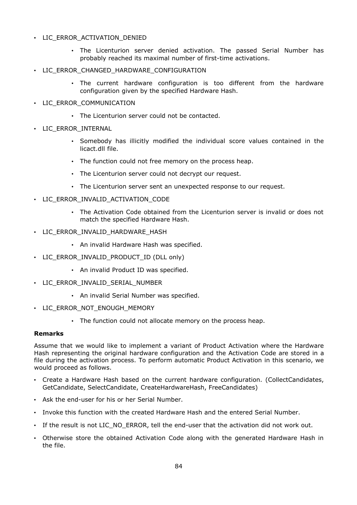## • LIC ERROR ACTIVATION DENIED

- The Licenturion server denied activation. The passed Serial Number has probably reached its maximal number of first-time activations.
- LIC ERROR CHANGED HARDWARE CONFIGURATION
	- The current hardware configuration is too different from the hardware configuration given by the specified Hardware Hash.
- LIC\_ERROR\_COMMUNICATION
	- The Licenturion server could not be contacted.
- LIC\_ERROR\_INTERNAL
	- Somebody has illicitly modified the individual score values contained in the licact.dll file.
	- The function could not free memory on the process heap.
	- The Licenturion server could not decrypt our request.
	- The Licenturion server sent an unexpected response to our request.
- LIC\_ERROR\_INVALID\_ACTIVATION\_CODE
	- The Activation Code obtained from the Licenturion server is invalid or does not match the specified Hardware Hash.
- LIC\_ERROR\_INVALID\_HARDWARE\_HASH
	- An invalid Hardware Hash was specified.
- LIC\_ERROR\_INVALID\_PRODUCT\_ID (DLL only)
	- An invalid Product ID was specified.
- LIC\_ERROR\_INVALID\_SERIAL\_NUMBER
	- An invalid Serial Number was specified.
- LIC\_ERROR\_NOT\_ENOUGH\_MEMORY
	- The function could not allocate memory on the process heap.

#### **Remarks**

Assume that we would like to implement a variant of Product Activation where the Hardware Hash representing the original hardware configuration and the Activation Code are stored in a file during the activation process. To perform automatic Product Activation in this scenario, we would proceed as follows.

- Create a Hardware Hash based on the current hardware configuration. (CollectCandidates, GetCandidate, SelectCandidate, CreateHardwareHash, FreeCandidates)
- Ask the end-user for his or her Serial Number.
- Invoke this function with the created Hardware Hash and the entered Serial Number.
- If the result is not LIC NO ERROR, tell the end-user that the activation did not work out.
- Otherwise store the obtained Activation Code along with the generated Hardware Hash in the file.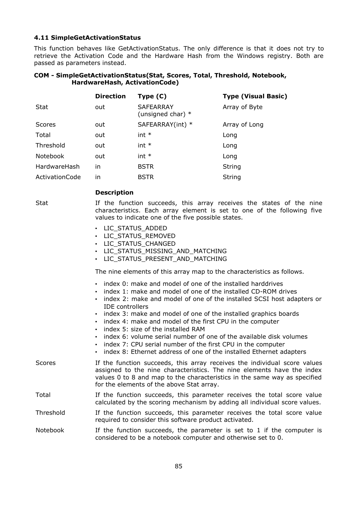#### **4.11 SimpleGetActivationStatus**

This function behaves like GetActivationStatus. The only difference is that it does not try to retrieve the Activation Code and the Hardware Hash from the Windows registry. Both are passed as parameters instead.

#### **COM - SimpleGetActivationStatus(Stat, Scores, Total, Threshold, Notebook, HardwareHash, ActivationCode)**

|                | <b>Direction</b> | Type $(C)$                              | <b>Type (Visual Basic)</b> |
|----------------|------------------|-----------------------------------------|----------------------------|
| <b>Stat</b>    | out              | <b>SAFEARRAY</b><br>(unsigned char) $*$ | Array of Byte              |
| <b>Scores</b>  | out              | SAFEARRAY(int) *                        | Array of Long              |
| Total          | out              | $int *$                                 | Long                       |
| Threshold      | out              | $int *$                                 | Long                       |
| Notebook       | out              | $int *$                                 | Long                       |
| HardwareHash   | in               | <b>BSTR</b>                             | <b>String</b>              |
| ActivationCode | in               | <b>BSTR</b>                             | String                     |

#### **Description**

Stat If the function succeeds, this array receives the states of the nine characteristics. Each array element is set to one of the following five values to indicate one of the five possible states.

- LIC\_STATUS\_ADDED
- LIC\_STATUS\_REMOVED
- LIC STATUS CHANGED
- LIC\_STATUS\_MISSING\_AND\_MATCHING
- LIC STATUS PRESENT AND MATCHING

The nine elements of this array map to the characteristics as follows.

- index 0: make and model of one of the installed harddrives
- index 1: make and model of one of the installed CD-ROM drives
- index 2: make and model of one of the installed SCSI host adapters or IDE controllers
- index 3: make and model of one of the installed graphics boards
- index 4: make and model of the first CPU in the computer
- index 5: size of the installed RAM
- index 6: volume serial number of one of the available disk volumes
- index 7: CPU serial number of the first CPU in the computer
- index 8: Ethernet address of one of the installed Ethernet adapters
- Scores **If the function succeeds, this array receives the individual score values** assigned to the nine characteristics. The nine elements have the index values 0 to 8 and map to the characteristics in the same way as specified for the elements of the above Stat array.
- Total If the function succeeds, this parameter receives the total score value calculated by the scoring mechanism by adding all individual score values.
- Threshold If the function succeeds, this parameter receives the total score value required to consider this software product activated.

Notebook  $\blacksquare$  If the function succeeds, the parameter is set to 1 if the computer is considered to be a notebook computer and otherwise set to 0.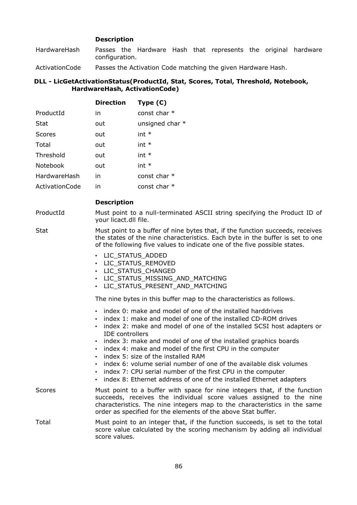## **Description**

HardwareHash Passes the Hardware Hash that represents the original hardware configuration.

ActivationCode Passes the Activation Code matching the given Hardware Hash.

#### **DLL - LicGetActivationStatus(ProductId, Stat, Scores, Total, Threshold, Notebook, HardwareHash, ActivationCode)**

|                       | <b>Direction</b>                                                   | Type $(C)$                                                                                                                                                                                                                                                                                                                                                                                                                                                                                                                                                                                |
|-----------------------|--------------------------------------------------------------------|-------------------------------------------------------------------------------------------------------------------------------------------------------------------------------------------------------------------------------------------------------------------------------------------------------------------------------------------------------------------------------------------------------------------------------------------------------------------------------------------------------------------------------------------------------------------------------------------|
| ProductId             | in                                                                 | const char *                                                                                                                                                                                                                                                                                                                                                                                                                                                                                                                                                                              |
| Stat                  | out                                                                | unsigned char *                                                                                                                                                                                                                                                                                                                                                                                                                                                                                                                                                                           |
| <b>Scores</b>         | out                                                                | $int *$                                                                                                                                                                                                                                                                                                                                                                                                                                                                                                                                                                                   |
| Total                 | out                                                                | $int *$                                                                                                                                                                                                                                                                                                                                                                                                                                                                                                                                                                                   |
| Threshold             | out                                                                | $int *$                                                                                                                                                                                                                                                                                                                                                                                                                                                                                                                                                                                   |
| Notebook              | out                                                                | $int *$                                                                                                                                                                                                                                                                                                                                                                                                                                                                                                                                                                                   |
| HardwareHash          | in                                                                 | const char *                                                                                                                                                                                                                                                                                                                                                                                                                                                                                                                                                                              |
| <b>ActivationCode</b> | in.                                                                | const char *                                                                                                                                                                                                                                                                                                                                                                                                                                                                                                                                                                              |
|                       | <b>Description</b>                                                 |                                                                                                                                                                                                                                                                                                                                                                                                                                                                                                                                                                                           |
| ProductId             | your licact.dll file.                                              | Must point to a null-terminated ASCII string specifying the Product ID of                                                                                                                                                                                                                                                                                                                                                                                                                                                                                                                 |
| <b>Stat</b>           |                                                                    | Must point to a buffer of nine bytes that, if the function succeeds, receives<br>the states of the nine characteristics. Each byte in the buffer is set to one<br>of the following five values to indicate one of the five possible states.                                                                                                                                                                                                                                                                                                                                               |
|                       | • LIC_STATUS_ADDED<br>• LIC STATUS REMOVED<br>• LIC STATUS CHANGED | • LIC_STATUS_MISSING_AND_MATCHING<br>· LIC_STATUS_PRESENT_AND_MATCHING                                                                                                                                                                                                                                                                                                                                                                                                                                                                                                                    |
|                       |                                                                    | The nine bytes in this buffer map to the characteristics as follows.                                                                                                                                                                                                                                                                                                                                                                                                                                                                                                                      |
|                       | <b>IDE</b> controllers<br>$\bullet$<br>$\bullet$                   | . index 0: make and model of one of the installed harddrives<br>. index 1: make and model of one of the installed CD-ROM drives<br>index 2: make and model of one of the installed SCSI host adapters or<br>index 3: make and model of one of the installed graphics boards<br>index 4: make and model of the first CPU in the computer<br>index 5: size of the installed RAM<br>index 6: volume serial number of one of the available disk volumes<br>index 7: CPU serial number of the first CPU in the computer<br>index 8: Ethernet address of one of the installed Ethernet adapters |
| <b>Scores</b>         |                                                                    | Must point to a buffer with space for nine integers that, if the function<br>succeeds, receives the individual score values assigned to the nine<br>characteristics. The nine integers map to the characteristics in the same<br>order as specified for the elements of the above Stat buffer.                                                                                                                                                                                                                                                                                            |
| Total                 | score values.                                                      | Must point to an integer that, if the function succeeds, is set to the total<br>score value calculated by the scoring mechanism by adding all individual                                                                                                                                                                                                                                                                                                                                                                                                                                  |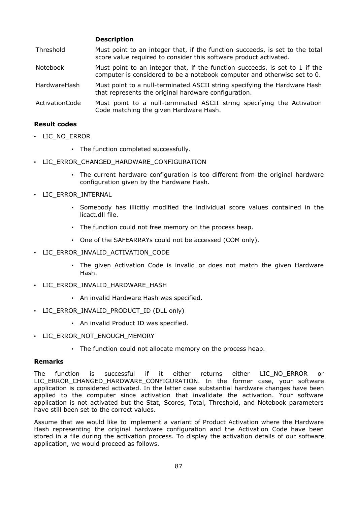#### **Description**

- Threshold Must point to an integer that, if the function succeeds, is set to the total score value required to consider this software product activated.
- Notebook Must point to an integer that, if the function succeeds, is set to 1 if the computer is considered to be a notebook computer and otherwise set to 0.
- HardwareHash Must point to a null-terminated ASCII string specifying the Hardware Hash that represents the original hardware configuration.
- ActivationCode Must point to a null-terminated ASCII string specifying the Activation Code matching the given Hardware Hash.

#### **Result codes**

- LIC NO ERROR
	- The function completed successfully.
- LIC ERROR CHANGED HARDWARE CONFIGURATION
	- The current hardware configuration is too different from the original hardware configuration given by the Hardware Hash.
- LIC\_ERROR\_INTERNAL
	- Somebody has illicitly modified the individual score values contained in the licact.dll file.
	- The function could not free memory on the process heap.
	- One of the SAFEARRAYs could not be accessed (COM only).
- LIC\_ERROR\_INVALID\_ACTIVATION\_CODE
	- The given Activation Code is invalid or does not match the given Hardware Hash.
- LIC\_ERROR\_INVALID\_HARDWARE\_HASH
	- An invalid Hardware Hash was specified.
- LIC\_ERROR\_INVALID\_PRODUCT\_ID (DLL only)
	- An invalid Product ID was specified.
- LIC\_ERROR\_NOT\_ENOUGH\_MEMORY
	- The function could not allocate memory on the process heap.

#### **Remarks**

The function is successful if it either returns either LIC\_NO\_ERROR or LIC\_ERROR\_CHANGED\_HARDWARE\_CONFIGURATION. In the former case, your software application is considered activated. In the latter case substantial hardware changes have been applied to the computer since activation that invalidate the activation. Your software application is not activated but the Stat, Scores, Total, Threshold, and Notebook parameters have still been set to the correct values.

Assume that we would like to implement a variant of Product Activation where the Hardware Hash representing the original hardware configuration and the Activation Code have been stored in a file during the activation process. To display the activation details of our software application, we would proceed as follows.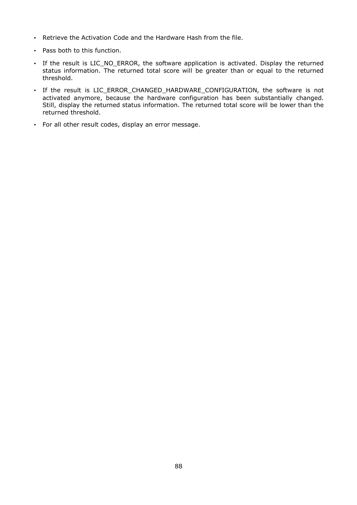- Retrieve the Activation Code and the Hardware Hash from the file.
- Pass both to this function.
- If the result is LIC\_NO\_ERROR, the software application is activated. Display the returned status information. The returned total score will be greater than or equal to the returned threshold.
- If the result is LIC\_ERROR\_CHANGED\_HARDWARE\_CONFIGURATION, the software is not activated anymore, because the hardware configuration has been substantially changed. Still, display the returned status information. The returned total score will be lower than the returned threshold.
- For all other result codes, display an error message.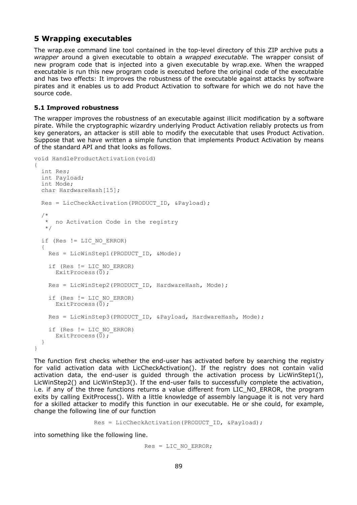## **5 Wrapping executables**

The wrap.exe command line tool contained in the top-level directory of this ZIP archive puts a *wrapper* around a given executable to obtain a *wrapped executable*. The wrapper consist of new program code that is injected into a given executable by wrap.exe. When the wrapped executable is run this new program code is executed before the original code of the executable and has two effects: It improves the robustness of the executable against attacks by software pirates and it enables us to add Product Activation to software for which we do not have the source code.

## **5.1 Improved robustness**

The wrapper improves the robustness of an executable against illicit modification by a software pirate. While the cryptographic wizardry underlying Product Activation reliably protects us from key generators, an attacker is still able to modify the executable that uses Product Activation. Suppose that we have written a simple function that implements Product Activation by means of the standard API and that looks as follows.

```
void HandleProductActivation(void)
{
   int Res;
   int Payload;
  int Mode;
 char HardwareHash[15];
 Res = LicCheckActivation(PRODUCT ID, &Payload);
/ *
     no Activation Code in the registry
 */
   if (Res != LIC_NO_ERROR)
\{\}Res = LicWinStep1(PRODUCT ID, &Mode);
     if (Res != LIC_NO_ERROR)
      ExitProcess(0);
    Res = LicWinStep2(PRODUCT ID, HardwareHash, Mode);
     if (Res != LIC_NO_ERROR)
      ExitProcess(0);
    Res = LicWinStep3(PRODUCT ID, &Payload, HardwareHash, Mode);
     if (Res != LIC_NO_ERROR)
      ExitProcess(0);
   }
}
```
The function first checks whether the end-user has activated before by searching the registry for valid activation data with LicCheckActivation(). If the registry does not contain valid activation data, the end-user is guided through the activation process by LicWinStep1(), LicWinStep2() and LicWinStep3(). If the end-user fails to successfully complete the activation, i.e. if any of the three functions returns a value different from LIC\_NO\_ERROR, the program exits by calling ExitProcess(). With a little knowledge of assembly language it is not very hard for a skilled attacker to modify this function in our executable. He or she could, for example, change the following line of our function

```
Res = LicCheckActivation(PRODUCT ID, &Payload);
```
into something like the following line.

```
Res = LIC NO ERROR;
```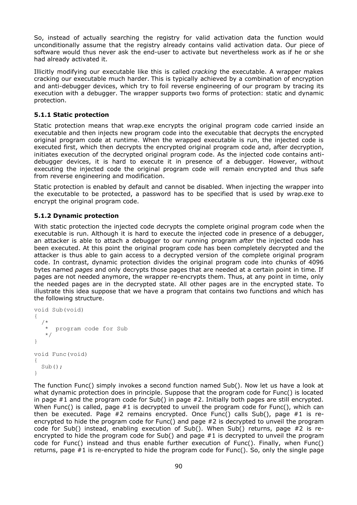So, instead of actually searching the registry for valid activation data the function would unconditionally assume that the registry already contains valid activation data. Our piece of software would thus never ask the end-user to activate but nevertheless work as if he or she had already activated it.

Illicitly modifying our executable like this is called *cracking* the executable. A wrapper makes cracking our executable much harder. This is typically achieved by a combination of encryption and anti-debugger devices, which try to foil reverse engineering of our program by tracing its execution with a debugger. The wrapper supports two forms of protection: static and dynamic protection.

## **5.1.1 Static protection**

Static protection means that wrap.exe encrypts the original program code carried inside an executable and then injects new program code into the executable that decrypts the encrypted original program code at runtime. When the wrapped executable is run, the injected code is executed first, which then decrypts the encrypted original program code and, after decryption, initiates execution of the decrypted original program code. As the injected code contains antidebugger devices, it is hard to execute it in presence of a debugger. However, without executing the injected code the original program code will remain encrypted and thus safe from reverse engineering and modification.

Static protection is enabled by default and cannot be disabled. When injecting the wrapper into the executable to be protected, a password has to be specified that is used by wrap.exe to encrypt the original program code.

## **5.1.2 Dynamic protection**

With static protection the injected code decrypts the complete original program code when the executable is run. Although it is hard to execute the injected code in presence of a debugger, an attacker is able to attach a debugger to our running program *after* the injected code has been executed. At this point the original program code has been completely decrypted and the attacker is thus able to gain access to a decrypted version of the complete original program code. In contrast, dynamic protection divides the original program code into chunks of 4096 bytes named *pages* and only decrypts those pages that are needed at a certain point in time. If pages are not needed anymore, the wrapper re-encrypts them. Thus, at any point in time, only the needed pages are in the decrypted state. All other pages are in the encrypted state. To illustrate this idea suppose that we have a program that contains two functions and which has the following structure.

```
void Sub(void)
{
/ *
    * program code for Sub
 */
}
void Func(void)
{
  Sub();
}
```
The function Func() simply invokes a second function named Sub(). Now let us have a look at what dynamic protection does in principle. Suppose that the program code for Func() is located in page #1 and the program code for Sub() in page #2. Initially both pages are still encrypted. When Func() is called, page #1 is decrypted to unveil the program code for Func(), which can then be executed. Page #2 remains encrypted. Once Func() calls Sub(), page #1 is reencrypted to hide the program code for Func() and page #2 is decrypted to unveil the program code for Sub() instead, enabling execution of Sub(). When Sub() returns, page #2 is reencrypted to hide the program code for Sub() and page #1 is decrypted to unveil the program code for Func() instead and thus enable further execution of Func(). Finally, when Func() returns, page #1 is re-encrypted to hide the program code for Func(). So, only the single page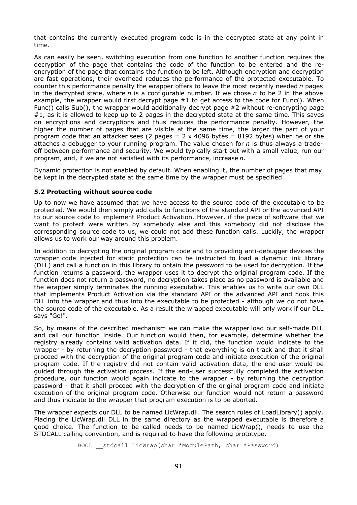that contains the currently executed program code is in the decrypted state at any point in time.

As can easily be seen, switching execution from one function to another function requires the decryption of the page that contains the code of the function to be entered and the reencryption of the page that contains the function to be left. Although encryption and decryption are fast operations, their overhead reduces the performance of the protected executable. To counter this performance penalty the wrapper offers to leave the most recently needed *n* pages in the decrypted state, where *n* is a configurable number. If we chose *n* to be 2 in the above example, the wrapper would first decrypt page  $#1$  to get access to the code for Func(). When Func() calls Sub(), the wrapper would additionally decrypt page  $#2$  without re-encrypting page #1, as it is allowed to keep up to 2 pages in the decrypted state at the same time. This saves on encryptions and decryptions and thus reduces the performance penalty. However, the higher the number of pages that are visible at the same time, the larger the part of your program code that an attacker sees (2 pages =  $2 \times 4096$  bytes = 8192 bytes) when he or she attaches a debugger to your running program. The value chosen for *n* is thus always a tradeoff between performance and security. We would typically start out with a small value, run our program, and, if we are not satisfied with its performance, increase *n*.

Dynamic protection is not enabled by default. When enabling it, the number of pages that may be kept in the decrypted state at the same time by the wrapper must be specified.

## **5.2 Protecting without source code**

Up to now we have assumed that we have access to the source code of the executable to be protected. We would then simply add calls to functions of the standard API or the advanced API to our source code to implement Product Activation. However, if the piece of software that we want to protect were written by somebody else and this somebody did not disclose the corresponding source code to us, we could not add these function calls. Luckily, the wrapper allows us to work our way around this problem.

In addition to decrypting the original program code and to providing anti-debugger devices the wrapper code injected for static protection can be instructed to load a dynamic link library (DLL) and call a function in this library to obtain the password to be used for decryption. If the function returns a password, the wrapper uses it to decrypt the original program code. If the function does not return a password, no decryption takes place as no password is available and the wrapper simply terminates the running executable. This enables us to write our own DLL that implements Product Activation via the standard API or the advanced API and hook this DLL into the wrapper and thus into the executable to be protected - although we do not have the source code of the executable. As a result the wrapped executable will only work if our DLL says "Go!".

So, by means of the described mechanism we can make the wrapper load our self-made DLL and call our function inside. Our function would then, for example, determine whether the registry already contains valid activation data. If it did, the function would indicate to the wrapper - by returning the decryption password - that everything is on track and that it shall proceed with the decryption of the original program code and initiate execution of the original program code. If the registry did not contain valid activation data, the end-user would be guided through the activation process. If the end-user successfully completed the activation procedure, our function would again indicate to the wrapper - by returning the decryption password - that it shall proceed with the decryption of the original program code and initiate execution of the original program code. Otherwise our function would not return a password and thus indicate to the wrapper that program execution is to be aborted.

The wrapper expects our DLL to be named LicWrap.dll. The search rules of LoadLibrary() apply. Placing the LicWrap.dll DLL in the same directory as the wrapped executable is therefore a good choice. The function to be called needs to be named LicWrap(), needs to use the STDCALL calling convention, and is required to have the following prototype.

BOOL \_\_stdcall LicWrap(char \*ModulePath, char \*Password)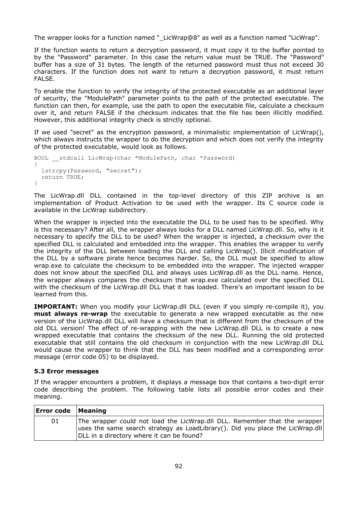The wrapper looks for a function named " LicWrap@8" as well as a function named "LicWrap".

If the function wants to return a decryption password, it must copy it to the buffer pointed to by the "Password" parameter. In this case the return value must be TRUE. The "Password" buffer has a size of 31 bytes. The length of the returned password must thus not exceed 30 characters. If the function does not want to return a decryption password, it must return FALSE.

To enable the function to verify the integrity of the protected executable as an additional layer of security, the "ModulePath" parameter points to the path of the protected executable. The function can then, for example, use the path to open the executable file, calculate a checksum over it, and return FALSE if the checksum indicates that the file has been illicitly modified. However, this additional integrity check is strictly optional.

If we used "secret" as the encryption password, a minimalistic implementation of LicWrap(), which always instructs the wrapper to do the decryption and which does not verify the integrity of the protected executable, would look as follows.

```
BOOL __stdcall LicWrap(char *ModulePath, char *Password)
{
  lstrcpy(Password, "secret");
  return TRUE;
}
```
The LicWrap.dll DLL contained in the top-level directory of this ZIP archive is an implementation of Product Activation to be used with the wrapper. Its C source code is available in the LicWrap subdirectory.

When the wrapper is injected into the executable the DLL to be used has to be specified. Why is this necessary? After all, the wrapper always looks for a DLL named LicWrap.dll. So, why is it necessary to specify the DLL to be used? When the wrapper is injected, a checksum over the specified DLL is calculated and embedded into the wrapper. This enables the wrapper to verify the integrity of the DLL between loading the DLL and calling LicWrap(). Illicit modification of the DLL by a software pirate hence becomes harder. So, the DLL must be specified to allow wrap.exe to calculate the checksum to be embedded into the wrapper. The injected wrapper does not know about the specified DLL and always uses LicWrap.dll as the DLL name. Hence, the wrapper always compares the checksum that wrap.exe calculated over the specified DLL with the checksum of the LicWrap.dll DLL that it has loaded. There's an important lesson to be learned from this.

**IMPORTANT:** When you modify your LicWrap.dll DLL (even if you simply re-compile it), you **must always re-wrap** the executable to generate a new wrapped executable as the new version of the LicWrap.dll DLL will have a checksum that is different from the checksum of the old DLL version! The effect of re-wrapping with the new LicWrap.dll DLL is to create a new wrapped executable that contains the checksum of the new DLL. Running the old protected executable that still contains the old checksum in conjunction with the new LicWrap.dll DLL would cause the wrapper to think that the DLL has been modified and a corresponding error message (error code 05) to be displayed.

#### **5.3 Error messages**

If the wrapper encounters a problem, it displays a message box that contains a two-digit error code describing the problem. The following table lists all possible error codes and their meaning.

| <b>Error code   Meaning</b> |                                                                                                                                                                                                         |
|-----------------------------|---------------------------------------------------------------------------------------------------------------------------------------------------------------------------------------------------------|
| 01                          | The wrapper could not load the LicWrap.dll DLL. Remember that the wrapper<br>uses the same search strategy as LoadLibrary(). Did you place the LicWrap.dll<br>DLL in a directory where it can be found? |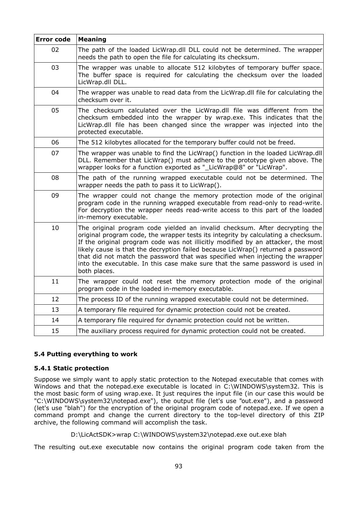| <b>Error code</b> | <b>Meaning</b>                                                                                                                                                                                                                                                                                                                                                                                                                                                                                                             |
|-------------------|----------------------------------------------------------------------------------------------------------------------------------------------------------------------------------------------------------------------------------------------------------------------------------------------------------------------------------------------------------------------------------------------------------------------------------------------------------------------------------------------------------------------------|
| 02                | The path of the loaded LicWrap.dll DLL could not be determined. The wrapper<br>needs the path to open the file for calculating its checksum.                                                                                                                                                                                                                                                                                                                                                                               |
| 03                | The wrapper was unable to allocate 512 kilobytes of temporary buffer space.<br>The buffer space is required for calculating the checksum over the loaded<br>LicWrap.dll DLL.                                                                                                                                                                                                                                                                                                                                               |
| 04                | The wrapper was unable to read data from the LicWrap.dll file for calculating the<br>checksum over it.                                                                                                                                                                                                                                                                                                                                                                                                                     |
| 05                | The checksum calculated over the LicWrap.dll file was different from the<br>checksum embedded into the wrapper by wrap.exe. This indicates that the<br>LicWrap.dll file has been changed since the wrapper was injected into the<br>protected executable.                                                                                                                                                                                                                                                                  |
| 06                | The 512 kilobytes allocated for the temporary buffer could not be freed.                                                                                                                                                                                                                                                                                                                                                                                                                                                   |
| 07                | The wrapper was unable to find the LicWrap() function in the loaded LicWrap.dll<br>DLL. Remember that LicWrap() must adhere to the prototype given above. The<br>wrapper looks for a function exported as "_LicWrap@8" or "LicWrap".                                                                                                                                                                                                                                                                                       |
| 08                | The path of the running wrapped executable could not be determined. The<br>wrapper needs the path to pass it to LicWrap().                                                                                                                                                                                                                                                                                                                                                                                                 |
| 09                | The wrapper could not change the memory protection mode of the original<br>program code in the running wrapped executable from read-only to read-write.<br>For decryption the wrapper needs read-write access to this part of the loaded<br>in-memory executable.                                                                                                                                                                                                                                                          |
| 10                | The original program code yielded an invalid checksum. After decrypting the<br>original program code, the wrapper tests its integrity by calculating a checksum.<br>If the original program code was not illicitly modified by an attacker, the most<br>likely cause is that the decryption failed because LicWrap() returned a password<br>that did not match the password that was specified when injecting the wrapper<br>into the executable. In this case make sure that the same password is used in<br>both places. |
| 11                | The wrapper could not reset the memory protection mode of the original<br>program code in the loaded in-memory executable.                                                                                                                                                                                                                                                                                                                                                                                                 |
| 12                | The process ID of the running wrapped executable could not be determined.                                                                                                                                                                                                                                                                                                                                                                                                                                                  |
| 13                | A temporary file required for dynamic protection could not be created.                                                                                                                                                                                                                                                                                                                                                                                                                                                     |
| 14                | A temporary file required for dynamic protection could not be written.                                                                                                                                                                                                                                                                                                                                                                                                                                                     |
| 15                | The auxiliary process required for dynamic protection could not be created.                                                                                                                                                                                                                                                                                                                                                                                                                                                |

## **5.4 Putting everything to work**

#### **5.4.1 Static protection**

Suppose we simply want to apply static protection to the Notepad executable that comes with Windows and that the notepad.exe executable is located in C:\WINDOWS\system32. This is the most basic form of using wrap.exe. It just requires the input file (in our case this would be "C:\WINDOWS\system32\notepad.exe"), the output file (let's use "out.exe"), and a password (let's use "blah") for the encryption of the original program code of notepad.exe. If we open a command prompt and change the current directory to the top-level directory of this ZIP archive, the following command will accomplish the task.

D:\LicActSDK>wrap C:\WINDOWS\system32\notepad.exe out.exe blah

The resulting out.exe executable now contains the original program code taken from the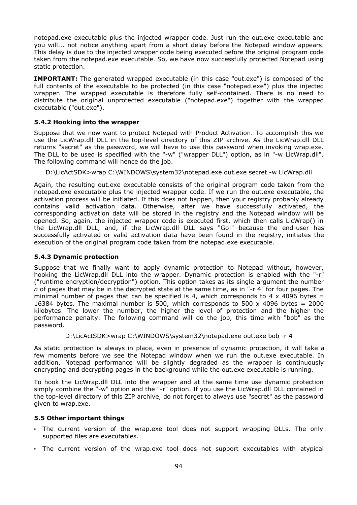notepad.exe executable plus the injected wrapper code. Just run the out.exe executable and you will... not notice anything apart from a short delay before the Notepad window appears. This delay is due to the injected wrapper code being executed before the original program code taken from the notepad.exe executable. So, we have now successfully protected Notepad using static protection.

**IMPORTANT:** The generated wrapped executable (in this case "out.exe") is composed of the full contents of the executable to be protected (in this case "notepad.exe") plus the injected wrapper. The wrapped executable is therefore fully self-contained. There is no need to distribute the original unprotected executable ("notepad.exe") together with the wrapped executable ("out.exe").

## **5.4.2 Hooking into the wrapper**

Suppose that we now want to protect Notepad with Product Activation. To accomplish this we use the LicWrap.dll DLL in the top-level directory of this ZIP archive. As the LicWrap.dll DLL returns "secret" as the password, we will have to use this password when invoking wrap.exe. The DLL to be used is specified with the "-w" ("wrapper DLL") option, as in "-w LicWrap.dll". The following command will hence do the job.

D:\LicActSDK>wrap C:\WINDOWS\system32\notepad.exe out.exe secret -w LicWrap.dll

Again, the resulting out.exe executable consists of the original program code taken from the notepad.exe executable plus the injected wrapper code. If we run the out.exe executable, the activation process will be initiated. If this does not happen, then your registry probably already contains valid activation data. Otherwise, after we have successfully activated, the corresponding activation data will be stored in the registry and the Notepad window will be opened. So, again, the injected wrapper code is executed first, which then calls LicWrap() in the LicWrap.dll DLL, and, if the LicWrap.dll DLL says "Go!" because the end-user has successfully activated or valid activation data have been found in the registry, initiates the execution of the original program code taken from the notepad.exe executable.

#### **5.4.3 Dynamic protection**

Suppose that we finally want to apply dynamic protection to Notepad without, however, hooking the LicWrap.dll DLL into the wrapper. Dynamic protection is enabled with the "-r" ("runtime encryption/decryption") option. This option takes as its single argument the number *n* of pages that may be in the decrypted state at the same time, as in "-r 4" for four pages. The minimal number of pages that can be specified is 4, which corresponds to 4  $\times$  4096 bytes = 16384 bytes. The maximal number is 500, which corresponds to 500  $\times$  4096 bytes = 2000 kilobytes. The lower the number, the higher the level of protection and the higher the performance penalty. The following command will do the job, this time with "bob" as the password.

D:\LicActSDK>wrap C:\WINDOWS\system32\notepad.exe out.exe bob -r 4

As static protection is always in place, even in presence of dynamic protection, it will take a few moments before we see the Notepad window when we run the out.exe executable. In addition, Notepad performance will be slightly degraded as the wrapper is continuously encrypting and decrypting pages in the background while the out.exe executable is running.

To hook the LicWrap.dll DLL into the wrapper and at the same time use dynamic protection simply combine the "-w" option and the "-r" option. If you use the LicWrap.dll DLL contained in the top-level directory of this ZIP archive, do not forget to always use "secret" as the password given to wrap.exe.

#### **5.5 Other important things**

- The current version of the wrap.exe tool does not support wrapping DLLs. The only supported files are executables.
- The current version of the wrap.exe tool does not support executables with atypical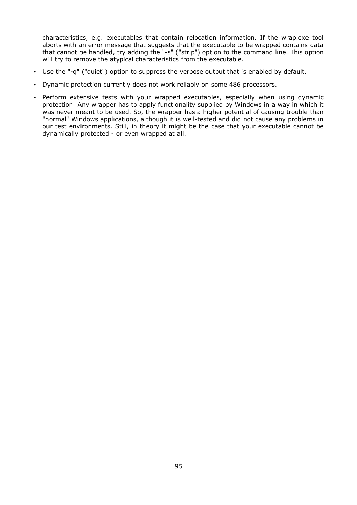characteristics, e.g. executables that contain relocation information. If the wrap.exe tool aborts with an error message that suggests that the executable to be wrapped contains data that cannot be handled, try adding the "-s" ("strip") option to the command line. This option will try to remove the atypical characteristics from the executable.

- Use the "-q" ("quiet") option to suppress the verbose output that is enabled by default.
- Dynamic protection currently does not work reliably on some 486 processors.
- Perform extensive tests with your wrapped executables, especially when using dynamic protection! Any wrapper has to apply functionality supplied by Windows in a way in which it was never meant to be used. So, the wrapper has a higher potential of causing trouble than "normal" Windows applications, although it is well-tested and did not cause any problems in our test environments. Still, in theory it might be the case that your executable cannot be dynamically protected - or even wrapped at all.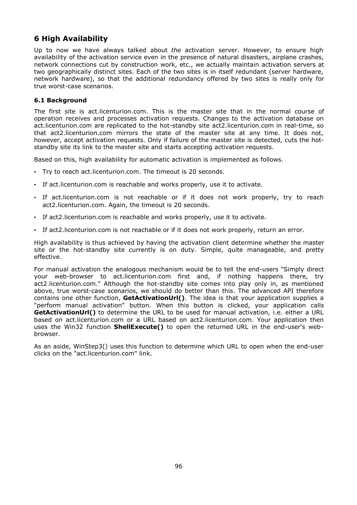# **6 High Availability**

Up to now we have always talked about *the* activation server. However, to ensure high availability of the activation service even in the presence of natural disasters, airplane crashes, network connections cut by construction work, etc., we actually maintain activation servers at two geographically distinct sites. Each of the two sites is in itself redundant (server hardware, network hardware), so that the additional redundancy offered by two sites is really only for true worst-case scenarios.

## **6.1 Background**

The first site is act.licenturion.com. This is the master site that in the normal course of operation receives and processes activation requests. Changes to the activation database on act.licenturion.com are replicated to the hot-standby site act2.licenturion.com in real-time, so that act2.licenturion.com mirrors the state of the master site at any time. It does not, however, accept activation requests. Only if failure of the master site is detected, cuts the hotstandby site its link to the master site and starts accepting activation requests.

Based on this, high availability for automatic activation is implemented as follows.

- Try to reach act.licenturion.com. The timeout is 20 seconds.
- If act.licenturion.com is reachable and works properly, use it to activate.
- If act.licenturion.com is not reachable or if it does not work properly, try to reach act2.licenturion.com. Again, the timeout is 20 seconds.
- If act2.licenturion.com is reachable and works properly, use it to activate.
- If act2.licenturion.com is not reachable or if it does not work properly, return an error.

High availability is thus achieved by having the activation client determine whether the master site or the hot-standby site currently is on duty. Simple, quite manageable, and pretty effective.

For manual activation the analogous mechanism would be to tell the end-users "Simply direct your web-browser to act.licenturion.com first and, if nothing happens there, try act2.licenturion.com." Although the hot-standby site comes into play only in, as mentioned above, true worst-case scenarios, we should do better than this. The advanced API therefore contains one other function, **GetActivationUrl()**. The idea is that your application supplies a "perform manual activation" button. When this button is clicked, your application calls **GetActivationUrl()** to determine the URL to be used for manual activation, i.e. either a URL based on act.licenturion.com or a URL based on act2.licenturion.com. Your application then uses the Win32 function **ShellExecute()** to open the returned URL in the end-user's webbrowser.

As an aside, WinStep3() uses this function to determine which URL to open when the end-user clicks on the "act.licenturion.com" link.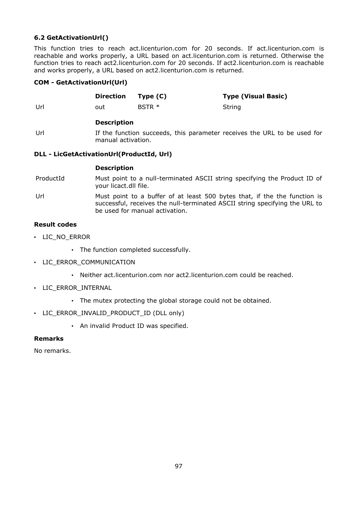## **6.2 GetActivationUrl()**

This function tries to reach act.licenturion.com for 20 seconds. If act.licenturion.com is reachable and works properly, a URL based on act.licenturion.com is returned. Otherwise the function tries to reach act2.licenturion.com for 20 seconds. If act2.licenturion.com is reachable and works properly, a URL based on act2.licenturion.com is returned.

## **COM - GetActivationUrl(Url)**

|     | Direction Type (C) |          | <b>Type (Visual Basic)</b> |
|-----|--------------------|----------|----------------------------|
| Url | out                | $BSTR *$ | String                     |

#### **Description**

Url If the function succeeds, this parameter receives the URL to be used for manual activation.

## **DLL - LicGetActivationUrl(ProductId, Url)**

#### **Description**

ProductId Must point to a null-terminated ASCII string specifying the Product ID of your licact.dll file.

Url Must point to a buffer of at least 500 bytes that, if the the function is successful, receives the null-terminated ASCII string specifying the URL to be used for manual activation.

## **Result codes**

- LIC\_NO\_ERROR
	- The function completed successfully.
- LIC ERROR COMMUNICATION
	- Neither act.licenturion.com nor act2.licenturion.com could be reached.
- LIC\_ERROR\_INTERNAL
	- The mutex protecting the global storage could not be obtained.
- LIC\_ERROR\_INVALID\_PRODUCT\_ID (DLL only)
	- An invalid Product ID was specified.

## **Remarks**

No remarks.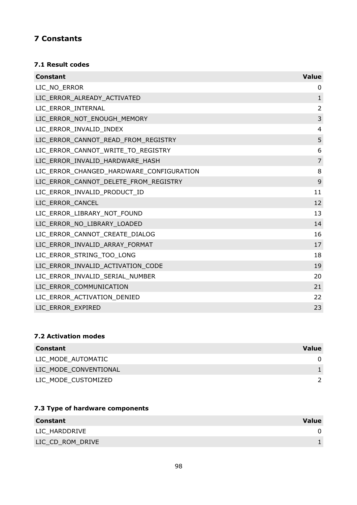# **7 Constants**

## **7.1 Result codes**

| <b>Constant</b>                          | <b>Value</b>   |
|------------------------------------------|----------------|
| LIC_NO_ERROR                             | 0              |
| LIC_ERROR_ALREADY_ACTIVATED              | $\mathbf 1$    |
| LIC_ERROR_INTERNAL                       | $\overline{2}$ |
| LIC_ERROR_NOT_ENOUGH_MEMORY              | 3              |
| LIC_ERROR_INVALID_INDEX                  | $\overline{4}$ |
| LIC_ERROR_CANNOT_READ_FROM_REGISTRY      | 5              |
| LIC_ERROR_CANNOT_WRITE_TO_REGISTRY       | 6              |
| LIC_ERROR_INVALID_HARDWARE_HASH          | $\overline{7}$ |
| LIC_ERROR_CHANGED_HARDWARE_CONFIGURATION | 8              |
| LIC ERROR CANNOT DELETE FROM REGISTRY    | 9              |
| LIC_ERROR_INVALID_PRODUCT_ID             | 11             |
| LIC_ERROR_CANCEL                         | 12             |
| LIC_ERROR_LIBRARY_NOT_FOUND              | 13             |
| LIC_ERROR_NO_LIBRARY_LOADED              | 14             |
| LIC_ERROR_CANNOT_CREATE_DIALOG           | 16             |
| LIC ERROR INVALID ARRAY FORMAT           | 17             |
| LIC_ERROR_STRING_TOO_LONG                | 18             |
| LIC_ERROR_INVALID_ACTIVATION_CODE        | 19             |
| LIC ERROR INVALID SERIAL NUMBER          | 20             |
| LIC_ERROR_COMMUNICATION                  | 21             |
| LIC_ERROR_ACTIVATION_DENIED              | 22             |
| LIC ERROR EXPIRED                        | 23             |

## **7.2 Activation modes**

| <b>Constant</b>       | <b>Value</b> |
|-----------------------|--------------|
| LIC MODE AUTOMATIC    |              |
| LIC MODE CONVENTIONAL |              |
| LIC MODE CUSTOMIZED   |              |

# **7.3 Type of hardware components**

| <b>Constant</b>  | <b>Value</b> |
|------------------|--------------|
| LIC HARDDRIVE    |              |
| LIC_CD_ROM_DRIVE |              |